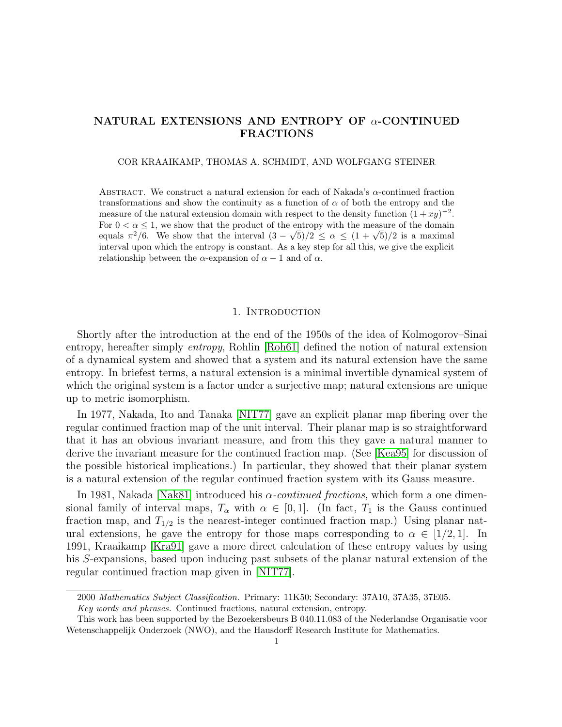## NATURAL EXTENSIONS AND ENTROPY OF  $\alpha$ -CONTINUED FRACTIONS

COR KRAAIKAMP, THOMAS A. SCHMIDT, AND WOLFGANG STEINER

ABSTRACT. We construct a natural extension for each of Nakada's  $\alpha$ -continued fraction transformations and show the continuity as a function of  $\alpha$  of both the entropy and the measure of the natural extension domain with respect to the density function  $(1+xy)^{-2}$ . For  $0 < \alpha \leq 1$ , we show that the product of the entropy with the measure of the domain For  $0 < \alpha \leq 1$ , we show that the product of the entropy with the measure of the domain equals  $\pi^2/6$ . We show that the interval  $(3 - \sqrt{5})/2 \leq \alpha \leq (1 + \sqrt{5})/2$  is a maximal interval upon which the entropy is constant. As a key step for all this, we give the explicit relationship between the  $\alpha$ -expansion of  $\alpha - 1$  and of  $\alpha$ .

#### 1. INTRODUCTION

Shortly after the introduction at the end of the 1950s of the idea of Kolmogorov–Sinai entropy, hereafter simply entropy, Rohlin [\[Roh61\]](#page-42-0) defined the notion of natural extension of a dynamical system and showed that a system and its natural extension have the same entropy. In briefest terms, a natural extension is a minimal invertible dynamical system of which the original system is a factor under a surjective map; natural extensions are unique up to metric isomorphism.

In 1977, Nakada, Ito and Tanaka [\[NIT77\]](#page-41-0) gave an explicit planar map fibering over the regular continued fraction map of the unit interval. Their planar map is so straightforward that it has an obvious invariant measure, and from this they gave a natural manner to derive the invariant measure for the continued fraction map. (See [\[Kea95\]](#page-41-1) for discussion of the possible historical implications.) In particular, they showed that their planar system is a natural extension of the regular continued fraction system with its Gauss measure.

In 1981, Nakada [\[Nak81\]](#page-41-2) introduced his  $\alpha$ -continued fractions, which form a one dimensional family of interval maps,  $T_{\alpha}$  with  $\alpha \in [0,1]$ . (In fact,  $T_1$  is the Gauss continued fraction map, and  $T_{1/2}$  is the nearest-integer continued fraction map.) Using planar natural extensions, he gave the entropy for those maps corresponding to  $\alpha \in [1/2, 1]$ . In 1991, Kraaikamp [\[Kra91\]](#page-41-3) gave a more direct calculation of these entropy values by using his S-expansions, based upon inducing past subsets of the planar natural extension of the regular continued fraction map given in [\[NIT77\]](#page-41-0).

<sup>2000</sup> Mathematics Subject Classification. Primary: 11K50; Secondary: 37A10, 37A35, 37E05.

Key words and phrases. Continued fractions, natural extension, entropy.

This work has been supported by the Bezoekersbeurs B 040.11.083 of the Nederlandse Organisatie voor Wetenschappelijk Onderzoek (NWO), and the Hausdorff Research Institute for Mathematics.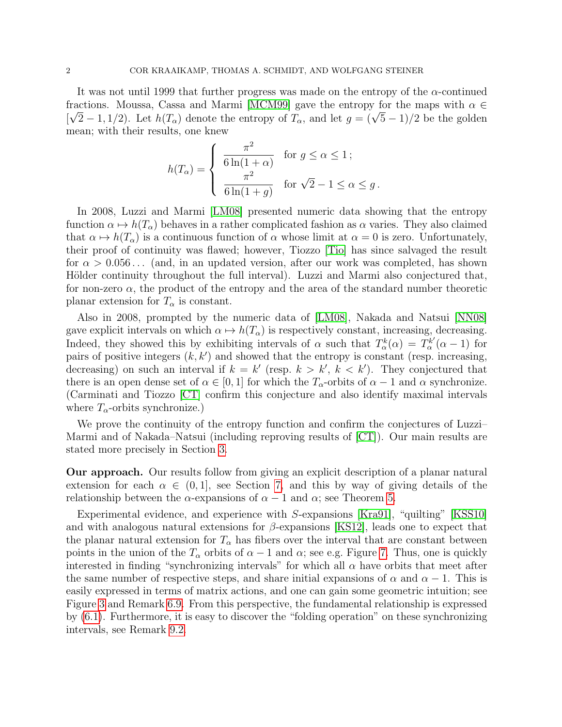It was not until 1999 that further progress was made on the entropy of the  $\alpha$ -continued fractions. Moussa, Cassa and Marmi [\[MCM99\]](#page-41-4) gave the entropy for the maps with  $\alpha \in \mathbb{R}$ Fractions. Moussa, Cassa and Marini [MCM99] gave the entropy for the maps with  $\alpha \in [\sqrt{2}-1,1/2)$ . Let  $h(T_\alpha)$  denote the entropy of  $T_\alpha$ , and let  $g = (\sqrt{5}-1)/2$  be the golden mean; with their results, one knew

$$
h(T_{\alpha}) = \begin{cases} \frac{\pi^2}{6\ln(1+\alpha)} & \text{for } g \le \alpha \le 1; \\ \frac{\pi^2}{6\ln(1+g)} & \text{for } \sqrt{2}-1 \le \alpha \le g. \end{cases}
$$

In 2008, Luzzi and Marmi [\[LM08\]](#page-41-5) presented numeric data showing that the entropy function  $\alpha \mapsto h(T_\alpha)$  behaves in a rather complicated fashion as  $\alpha$  varies. They also claimed that  $\alpha \mapsto h(T_\alpha)$  is a continuous function of  $\alpha$  whose limit at  $\alpha = 0$  is zero. Unfortunately, their proof of continuity was flawed; however, Tiozzo [\[Tio\]](#page-42-1) has since salvaged the result for  $\alpha > 0.056...$  (and, in an updated version, after our work was completed, has shown Hölder continuity throughout the full interval). Luzzi and Marmi also conjectured that, for non-zero  $\alpha$ , the product of the entropy and the area of the standard number theoretic planar extension for  $T_{\alpha}$  is constant.

Also in 2008, prompted by the numeric data of [\[LM08\]](#page-41-5), Nakada and Natsui [\[NN08\]](#page-42-2) gave explicit intervals on which  $\alpha \mapsto h(T_\alpha)$  is respectively constant, increasing, decreasing. Indeed, they showed this by exhibiting intervals of  $\alpha$  such that  $T^k_\alpha(\alpha) = T^{k'}_\alpha$  $\alpha^{k'}(\alpha-1)$  for pairs of positive integers  $(k, k')$  and showed that the entropy is constant (resp. increasing, decreasing) on such an interval if  $k = k'$  (resp.  $k > k'$ ,  $k < k'$ ). They conjectured that there is an open dense set of  $\alpha \in [0,1]$  for which the  $T_{\alpha}$ -orbits of  $\alpha - 1$  and  $\alpha$  synchronize. (Carminati and Tiozzo [\[CT\]](#page-41-6) confirm this conjecture and also identify maximal intervals where  $T_{\alpha}$ -orbits synchronize.)

We prove the continuity of the entropy function and confirm the conjectures of Luzzi– Marmi and of Nakada–Natsui (including reproving results of [\[CT\]](#page-41-6)). Our main results are stated more precisely in Section [3.](#page-6-0)

Our approach. Our results follow from giving an explicit description of a planar natural extension for each  $\alpha \in (0,1]$ , see Section [7,](#page-21-0) and this by way of giving details of the relationship between the  $\alpha$ -expansions of  $\alpha - 1$  and  $\alpha$ ; see Theorem [5.](#page-7-0)

Experimental evidence, and experience with S-expansions [\[Kra91\]](#page-41-3), "quilting" [\[KSS10\]](#page-41-7) and with analogous natural extensions for  $\beta$ -expansions [\[KS12\]](#page-41-8), leads one to expect that the planar natural extension for  $T_{\alpha}$  has fibers over the interval that are constant between points in the union of the  $T_{\alpha}$  orbits of  $\alpha - 1$  and  $\alpha$ ; see e.g. Figure [7.](#page-31-0) Thus, one is quickly interested in finding "synchronizing intervals" for which all  $\alpha$  have orbits that meet after the same number of respective steps, and share initial expansions of  $\alpha$  and  $\alpha - 1$ . This is easily expressed in terms of matrix actions, and one can gain some geometric intuition; see Figure [3](#page-20-0) and Remark [6.9.](#page-19-0) From this perspective, the fundamental relationship is expressed by [\(6.1\)](#page-15-0). Furthermore, it is easy to discover the "folding operation" on these synchronizing intervals, see Remark [9.2.](#page-32-0)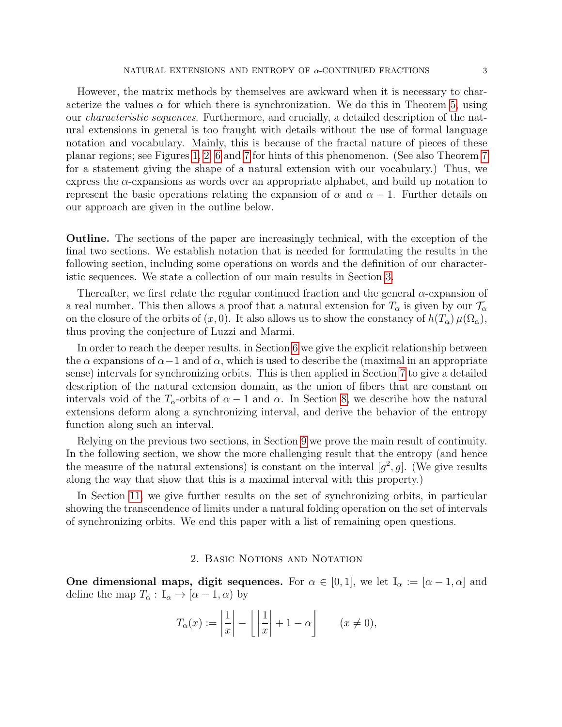However, the matrix methods by themselves are awkward when it is necessary to characterize the values  $\alpha$  for which there is synchronization. We do this in Theorem [5,](#page-7-0) using our characteristic sequences. Furthermore, and crucially, a detailed description of the natural extensions in general is too fraught with details without the use of formal language notation and vocabulary. Mainly, this is because of the fractal nature of pieces of these planar regions; see Figures [1,](#page-12-0) [2,](#page-12-1) [6](#page-31-1) and [7](#page-31-0) for hints of this phenomenon. (See also Theorem [7](#page-8-0) for a statement giving the shape of a natural extension with our vocabulary.) Thus, we express the  $\alpha$ -expansions as words over an appropriate alphabet, and build up notation to represent the basic operations relating the expansion of  $\alpha$  and  $\alpha - 1$ . Further details on our approach are given in the outline below.

Outline. The sections of the paper are increasingly technical, with the exception of the final two sections. We establish notation that is needed for formulating the results in the following section, including some operations on words and the definition of our characteristic sequences. We state a collection of our main results in Section [3.](#page-6-0)

Thereafter, we first relate the regular continued fraction and the general  $\alpha$ -expansion of a real number. This then allows a proof that a natural extension for  $T_{\alpha}$  is given by our  $\mathcal{T}_{\alpha}$ on the closure of the orbits of  $(x, 0)$ . It also allows us to show the constancy of  $h(T_\alpha)\mu(\Omega_\alpha)$ , thus proving the conjecture of Luzzi and Marmi.

In order to reach the deeper results, in Section [6](#page-15-1) we give the explicit relationship between the  $\alpha$  expansions of  $\alpha-1$  and of  $\alpha$ , which is used to describe the (maximal in an appropriate sense) intervals for synchronizing orbits. This is then applied in Section [7](#page-21-0) to give a detailed description of the natural extension domain, as the union of fibers that are constant on intervals void of the  $T_{\alpha}$ -orbits of  $\alpha - 1$  and  $\alpha$ . In Section [8,](#page-29-0) we describe how the natural extensions deform along a synchronizing interval, and derive the behavior of the entropy function along such an interval.

Relying on the previous two sections, in Section [9](#page-32-1) we prove the main result of continuity. In the following section, we show the more challenging result that the entropy (and hence the measure of the natural extensions) is constant on the interval  $[g^2, g]$ . (We give results along the way that show that this is a maximal interval with this property.)

In Section [11,](#page-40-0) we give further results on the set of synchronizing orbits, in particular showing the transcendence of limits under a natural folding operation on the set of intervals of synchronizing orbits. We end this paper with a list of remaining open questions.

#### 2. Basic Notions and Notation

One dimensional maps, digit sequences. For  $\alpha \in [0,1]$ , we let  $\mathbb{I}_{\alpha} := [\alpha - 1, \alpha]$  and define the map  $T_{\alpha}: \mathbb{I}_{\alpha} \to [\alpha - 1, \alpha)$  by

$$
T_{\alpha}(x) := \left| \frac{1}{x} \right| - \left| \left| \frac{1}{x} \right| + 1 - \alpha \right| \qquad (x \neq 0),
$$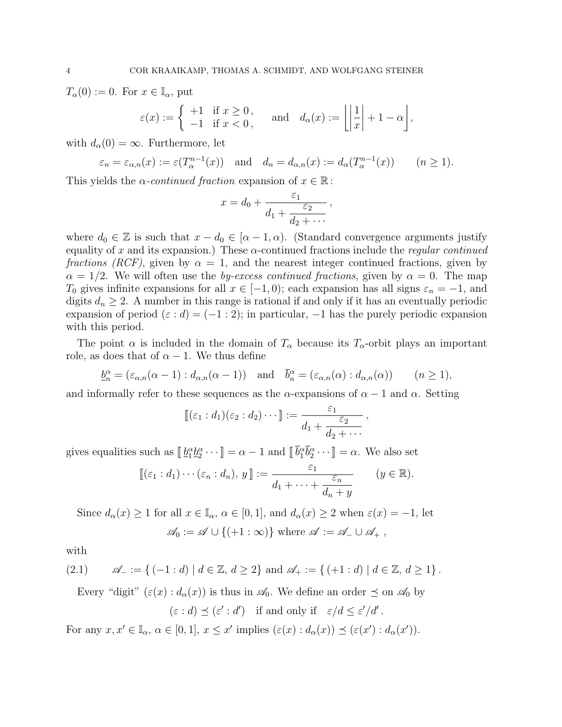$T_{\alpha}(0) := 0.$  For  $x \in I_{\alpha}$ , put

$$
\varepsilon(x) := \begin{cases} +1 & \text{if } x \ge 0, \\ -1 & \text{if } x < 0, \end{cases} \quad \text{and} \quad d_{\alpha}(x) := \left\lfloor \left| \frac{1}{x} \right| + 1 - \alpha \right\rfloor,
$$

with  $d_{\alpha}(0) = \infty$ . Furthermore, let

$$
\varepsilon_n = \varepsilon_{\alpha,n}(x) := \varepsilon(T_\alpha^{n-1}(x))
$$
 and  $d_n = d_{\alpha,n}(x) := d_\alpha(T_\alpha^{n-1}(x))$   $(n \ge 1).$ 

This yields the  $\alpha$ -continued fraction expansion of  $x \in \mathbb{R}$ :

$$
x = d_0 + \frac{\varepsilon_1}{d_1 + \frac{\varepsilon_2}{d_2 + \cdots}},
$$

where  $d_0 \in \mathbb{Z}$  is such that  $x - d_0 \in [\alpha - 1, \alpha)$ . (Standard convergence arguments justify equality of x and its expansion.) These  $\alpha$ -continued fractions include the *regular continued* fractions (RCF), given by  $\alpha = 1$ , and the nearest integer continued fractions, given by  $\alpha = 1/2$ . We will often use the *by-excess continued fractions*, given by  $\alpha = 0$ . The map  $T_0$  gives infinite expansions for all  $x \in [-1,0)$ ; each expansion has all signs  $\varepsilon_n = -1$ , and digits  $d_n \geq 2$ . A number in this range is rational if and only if it has an eventually periodic expansion of period ( $\varepsilon : d$ ) = (-1 : 2); in particular, -1 has the purely periodic expansion with this period.

The point  $\alpha$  is included in the domain of  $T_{\alpha}$  because its  $T_{\alpha}$ -orbit plays an important role, as does that of  $\alpha - 1$ . We thus define

$$
\underline{b}_n^{\alpha} = (\varepsilon_{\alpha,n}(\alpha-1) : d_{\alpha,n}(\alpha-1)) \text{ and } \overline{b}_n^{\alpha} = (\varepsilon_{\alpha,n}(\alpha) : d_{\alpha,n}(\alpha)) \qquad (n \ge 1),
$$

and informally refer to these sequences as the  $\alpha$ -expansions of  $\alpha - 1$  and  $\alpha$ . Setting

$$
\llbracket (\varepsilon_1 : d_1)(\varepsilon_2 : d_2) \cdots \rrbracket := \frac{\varepsilon_1}{d_1 + \frac{\varepsilon_2}{d_2 + \cdots}},
$$

gives equalities such as  $[\![\underline{b}_1^{\alpha}\underline{b}_2^{\alpha}\cdots]\!] = \alpha - 1$  and  $[\![\bar{b}_1^{\alpha}\bar{b}_2^{\alpha}\cdots]\!] = \alpha$ . We also set

$$
\llbracket (\varepsilon_1 : d_1) \cdots (\varepsilon_n : d_n), y \rrbracket := \frac{\varepsilon_1}{d_1 + \cdots + \frac{\varepsilon_n}{d_n + y}} \qquad (y \in \mathbb{R}).
$$

Since  $d_{\alpha}(x) \geq 1$  for all  $x \in \mathbb{I}_{\alpha}$ ,  $\alpha \in [0,1]$ , and  $d_{\alpha}(x) \geq 2$  when  $\varepsilon(x) = -1$ , let  $\mathscr{A}_0 := \mathscr{A} \cup \{(+1:\infty)\}\$  where  $\mathscr{A} := \mathscr{A}_- \cup \mathscr{A}_+$ ,

with

$$
(2.1) \qquad \mathscr{A}_{-} := \{ (-1:d) \mid d \in \mathbb{Z}, d \ge 2 \} \text{ and } \mathscr{A}_{+} := \{ (+1:d) \mid d \in \mathbb{Z}, d \ge 1 \}.
$$

Every "digit"  $(\varepsilon(x): d_{\alpha}(x))$  is thus in  $\mathscr{A}_0$ . We define an order  $\preceq$  on  $\mathscr{A}_0$  by

$$
(\varepsilon : d) \preceq (\varepsilon' : d')
$$
 if and only if  $\varepsilon/d \leq \varepsilon'/d'.$ 

For any  $x, x' \in \mathbb{I}_{\alpha}$ ,  $\alpha \in [0, 1]$ ,  $x \leq x'$  implies  $(\varepsilon(x) : d_{\alpha}(x)) \preceq (\varepsilon(x') : d_{\alpha}(x'))$ .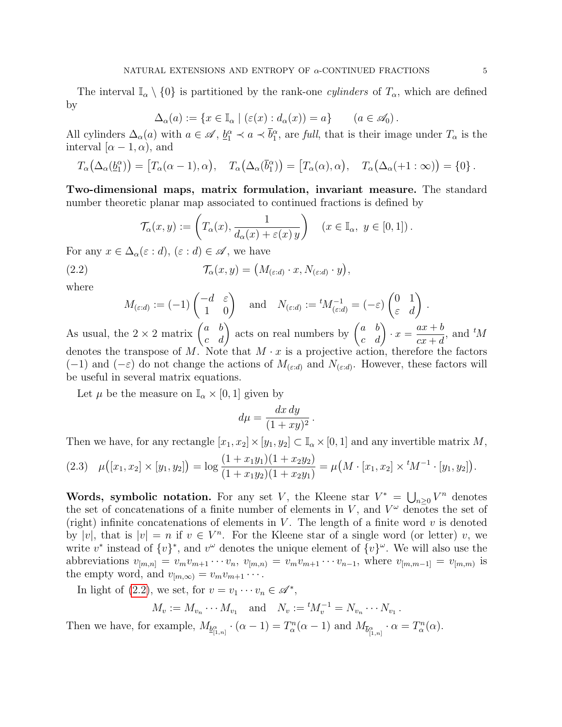The interval  $\mathbb{I}_{\alpha} \setminus \{0\}$  is partitioned by the rank-one *cylinders* of  $T_{\alpha}$ , which are defined by

$$
\Delta_{\alpha}(a) := \{ x \in \mathbb{I}_{\alpha} \mid (\varepsilon(x) : d_{\alpha}(x)) = a \} \qquad (a \in \mathscr{A}_0).
$$

All cylinders  $\Delta_{\alpha}(a)$  with  $a \in \mathscr{A}, \underline{b}_1^{\alpha} \prec a \prec \overline{b}_1^{\alpha}$ , are full, that is their image under  $T_{\alpha}$  is the interval [ $\alpha - 1, \alpha$ ], and

$$
T_{\alpha}(\Delta_{\alpha}(\underline{b}_1^{\alpha})) = [T_{\alpha}(\alpha - 1), \alpha), \quad T_{\alpha}(\Delta_{\alpha}(\overline{b}_1^{\alpha})) = [T_{\alpha}(\alpha), \alpha), \quad T_{\alpha}(\Delta_{\alpha}(+1:\infty)) = \{0\}.
$$

Two-dimensional maps, matrix formulation, invariant measure. The standard number theoretic planar map associated to continued fractions is defined by

<span id="page-4-0"></span>
$$
\mathcal{T}_{\alpha}(x,y) := \left( T_{\alpha}(x), \frac{1}{d_{\alpha}(x) + \varepsilon(x) y} \right) \quad (x \in \mathbb{I}_{\alpha}, y \in [0,1]).
$$

For any  $x \in \Delta_{\alpha}(\varepsilon : d)$ ,  $(\varepsilon : d) \in \mathscr{A}$ , we have

(2.2) 
$$
\mathcal{T}_{\alpha}(x,y) = \left(M_{(\varepsilon:d)} \cdot x, N_{(\varepsilon:d)} \cdot y\right),
$$

where

$$
M_{(\varepsilon:d)} := (-1) \begin{pmatrix} -d & \varepsilon \\ 1 & 0 \end{pmatrix} \quad \text{and} \quad N_{(\varepsilon:d)} := {}^{t}M_{(\varepsilon:d)}^{-1} = (-\varepsilon) \begin{pmatrix} 0 & 1 \\ \varepsilon & d \end{pmatrix}.
$$

As usual, the  $2 \times 2$  matrix  $\begin{pmatrix} a & b \\ c & d \end{pmatrix}$  acts on real numbers by  $\begin{pmatrix} a & b \\ c & d \end{pmatrix} \cdot x = \frac{ax+b}{cx+d}$  $\frac{ax + b}{cx + d}$ , and  $^tM$ denotes the transpose of M. Note that  $M \cdot x$  is a projective action, therefore the factors  $(-1)$  and  $(-\varepsilon)$  do not change the actions of  $M_{(\varepsilon:d)}$  and  $N_{(\varepsilon:d)}$ . However, these factors will be useful in several matrix equations.

Let  $\mu$  be the measure on  $\mathbb{I}_{\alpha} \times [0,1]$  given by

$$
d\mu = \frac{dx\,dy}{(1+xy)^2} \,.
$$

Then we have, for any rectangle  $[x_1, x_2] \times [y_1, y_2] \subset \mathbb{I}_{\alpha} \times [0, 1]$  and any invertible matrix M,

<span id="page-4-1"></span>
$$
(2.3) \quad \mu([x_1, x_2] \times [y_1, y_2]) = \log \frac{(1 + x_1 y_1)(1 + x_2 y_2)}{(1 + x_1 y_2)(1 + x_2 y_1)} = \mu(M \cdot [x_1, x_2] \times {}^{t}M^{-1} \cdot [y_1, y_2]).
$$

Words, symbolic notation. For any set V, the Kleene star  $V^* = \bigcup_{n\geq 0} V^n$  denotes the set of concatenations of a finite number of elements in V, and  $V^{\omega}$  denotes the set of (right) infinite concatenations of elements in  $V$ . The length of a finite word  $v$  is denoted by |v|, that is  $|v| = n$  if  $v \in V^n$ . For the Kleene star of a single word (or letter) v, we write  $v^*$  instead of  $\{v\}^*$ , and  $v^{\omega}$  denotes the unique element of  $\{v\}^{\omega}$ . We will also use the abbreviations  $v_{[m,n]} = v_m v_{m+1} \cdots v_n$ ,  $v_{[m,n]} = v_m v_{m+1} \cdots v_{n-1}$ , where  $v_{[m,m-1]} = v_{[m,m)}$  is the empty word, and  $v_{[m,\infty)} = v_m v_{m+1} \cdots$ .

In light of [\(2.2\)](#page-4-0), we set, for  $v = v_1 \cdots v_n \in \mathscr{A}^*$ ,

$$
M_v := M_{v_n} \cdots M_{v_1}
$$
 and  $N_v := {}^t M_v^{-1} = N_{v_n} \cdots N_{v_1}$ .

Then we have, for example,  $M_{\underline{b}_{[1,n]}^{\alpha}} \cdot (\alpha - 1) = T_{\alpha}^n(\alpha - 1)$  and  $M_{\overline{b}_{[1,n]}^{\alpha}} \cdot \alpha = T_{\alpha}^n(\alpha)$ .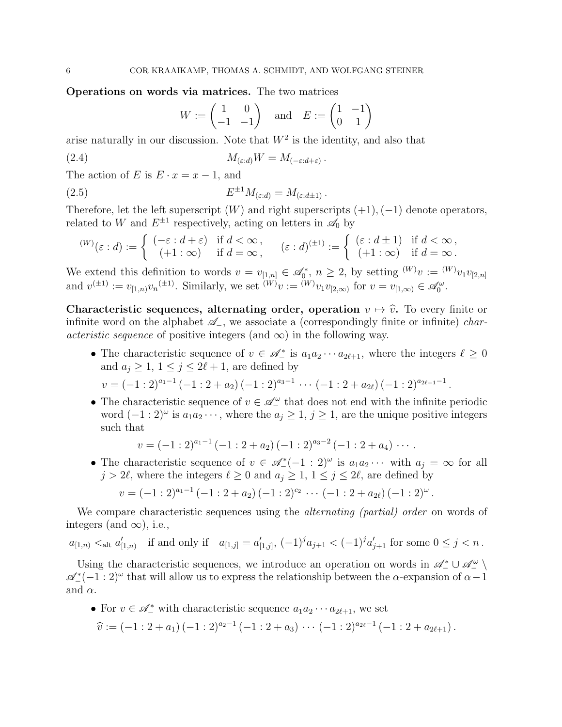Operations on words via matrices. The two matrices

<span id="page-5-1"></span><span id="page-5-0"></span>
$$
W := \begin{pmatrix} 1 & 0 \\ -1 & -1 \end{pmatrix} \quad \text{and} \quad E := \begin{pmatrix} 1 & -1 \\ 0 & 1 \end{pmatrix}
$$

arise naturally in our discussion. Note that  $W^2$  is the identity, and also that

(2.4) 
$$
M_{(\varepsilon:d)}W = M_{(-\varepsilon:d+\varepsilon)}.
$$

The action of E is  $E \cdot x = x - 1$ , and

(2.5) 
$$
E^{\pm 1}M_{(\varepsilon:d)} = M_{(\varepsilon:d\pm 1)}.
$$

Therefore, let the left superscript  $(W)$  and right superscripts  $(+1), (-1)$  denote operators, related to W and  $E^{\pm 1}$  respectively, acting on letters in  $\mathscr{A}_0$  by

$$
^{(W)}(\varepsilon : d) := \begin{cases} (-\varepsilon : d + \varepsilon) & \text{if } d < \infty, \\ ( +1 : \infty) & \text{if } d = \infty, \end{cases} (\varepsilon : d)^{(\pm 1)} := \begin{cases} (\varepsilon : d \pm 1) & \text{if } d < \infty, \\ (+1 : \infty) & \text{if } d = \infty. \end{cases}
$$

We extend this definition to words  $v = v_{[1,n]} \in \mathscr{A}_0^*$ ,  $n \geq 2$ , by setting  $^{(W)}v := {^{(W)}v_1v_{[2,n]}}$ and  $v^{(\pm 1)} := v_{[1,n)} v_n^{(\pm 1)}$ . Similarly, we set  $^{(W)}v := {}^{(W)}v_1v_{[2,\infty)}$  for  $v = v_{[1,\infty)} \in \mathscr{A}_0^{\omega}$ .

Characteristic sequences, alternating order, operation  $v \mapsto \hat{v}$ . To every finite or infinite word on the alphabet  $\mathscr{A}_-$ , we associate a (correspondingly finite or infinite) *characteristic sequence* of positive integers (and  $\infty$ ) in the following way.

- The characteristic sequence of  $v \in \mathscr{A}_{-}^{*}$  is  $a_1 a_2 \cdots a_{2\ell+1}$ , where the integers  $\ell \geq 0$ and  $a_j \geq 1, 1 \leq j \leq 2\ell + 1$ , are defined by  $v = (-1:2)^{a_1-1} (-1:2+a_2) (-1:2)^{a_3-1} \cdots (-1:2+a_{2\ell}) (-1:2)^{a_{2\ell+1}-1}.$
- The characteristic sequence of  $v \in \mathcal{A}_-^{\omega}$  that does not end with the infinite periodic word  $(-1:2)^\omega$  is  $a_1a_2\cdots$ , where the  $a_j\geq 1$ ,  $j\geq 1$ , are the unique positive integers such that

$$
v = (-1:2)^{a_1-1} (-1:2+a_2) (-1:2)^{a_3-2} (-1:2+a_4) \cdots
$$

• The characteristic sequence of  $v \in \mathscr{A}_{-}^{*}(-1:2)^{\omega}$  is  $a_1 a_2 \cdots$  with  $a_j = \infty$  for all  $j > 2\ell$ , where the integers  $\ell \geq 0$  and  $a_j \geq 1, 1 \leq j \leq 2\ell$ , are defined by

$$
v = (-1:2)^{a_1-1} (-1:2+a_2) (-1:2)^{c_2} \cdots (-1:2+a_{2\ell}) (-1:2)^{\omega}.
$$

We compare characteristic sequences using the *alternating (partial)* order on words of integers (and  $\infty$ ), i.e.,

$$
a_{[1,n)} <_{\text{alt}} a'_{[1,n)}
$$
 if and only if  $a_{[1,j]} = a'_{[1,j]}$ ,  $(-1)^j a_{j+1} < (-1)^j a'_{j+1}$  for some  $0 \le j < n$ .

Using the characteristic sequences, we introduce an operation on words in  $\mathscr{A}^*_- \cup \mathscr{A}^\omega_ \mathscr{A}_{-}^{*}(-1:2)^{\omega}$  that will allow us to express the relationship between the  $\alpha$ -expansion of  $\alpha-1$ and  $\alpha$ .

• For  $v \in \mathscr{A}_{-}^*$  with characteristic sequence  $a_1 a_2 \cdots a_{2\ell+1}$ , we set  $\widehat{v} := (-1:2+a_1)(-1:2)^{a_2-1}(-1:2+a_3)\cdots(-1:2)^{a_{2\ell}-1}(-1:2+a_{2\ell+1}).$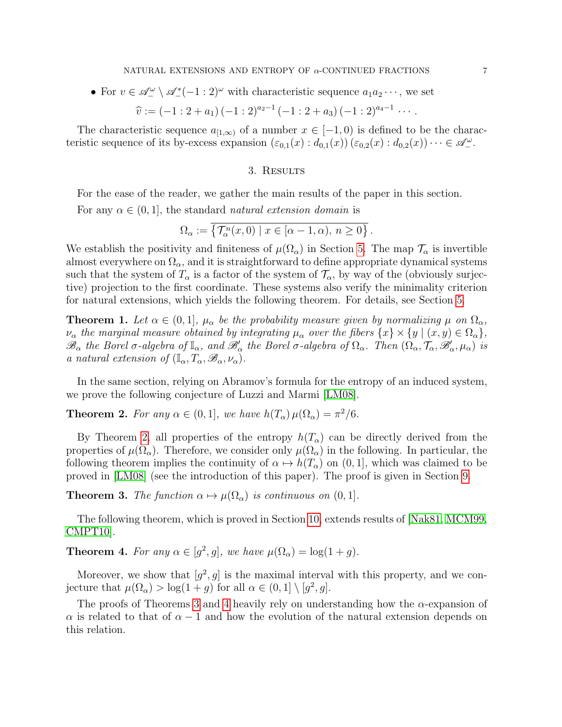• For  $v \in \mathscr{A}^{\omega}_-\setminus \mathscr{A}^*_-(-1:2)^\omega$  with characteristic sequence  $a_1a_2\cdots$ , we set

$$
\widehat{v} := (-1:2+a_1)(-1:2)^{a_2-1}(-1:2+a_3)(-1:2)^{a_4-1} \cdots
$$

The characteristic sequence  $a_{[1,\infty)}$  of a number  $x \in [-1,0)$  is defined to be the characteristic sequence of its by-excess expansion  $(\varepsilon_{0,1}(x): d_{0,1}(x)) (\varepsilon_{0,2}(x): d_{0,2}(x)) \cdots \in \mathscr{A}^{\omega}_{-}$ .

#### 3. Results

<span id="page-6-0"></span>For the ease of the reader, we gather the main results of the paper in this section.

For any  $\alpha \in (0,1]$ , the standard *natural extension domain* is

$$
\Omega_{\alpha} := \overline{\left\{ \mathcal{T}_{\alpha}^{n}(x,0) \mid x \in [\alpha-1,\alpha), n \geq 0 \right\}}.
$$

We establish the positivity and finiteness of  $\mu(\Omega_{\alpha})$  in Section [5.](#page-11-0) The map  $\mathcal{T}_{\alpha}$  is invertible almost everywhere on  $\Omega_{\alpha}$ , and it is straightforward to define appropriate dynamical systems such that the system of  $T_{\alpha}$  is a factor of the system of  $\mathcal{T}_{\alpha}$ , by way of the (obviously surjective) projection to the first coordinate. These systems also verify the minimality criterion for natural extensions, which yields the following theorem. For details, see Section [5.](#page-11-0)

<span id="page-6-4"></span>**Theorem 1.** Let  $\alpha \in (0,1]$ ,  $\mu_{\alpha}$  be the probability measure given by normalizing  $\mu$  on  $\Omega_{\alpha}$ ,  $\nu_{\alpha}$  the marginal measure obtained by integrating  $\mu_{\alpha}$  over the fibers  $\{x\} \times \{y \mid (x, y) \in \Omega_{\alpha}\},$  $\mathscr{B}_{\alpha}$  the Borel  $\sigma$ -algebra of  $\mathbb{I}_{\alpha}$ , and  $\mathscr{B}'_{\alpha}$  the Borel  $\sigma$ -algebra of  $\Omega_{\alpha}$ . Then  $(\Omega_{\alpha}, \mathcal{T}_{\alpha}, \mathscr{B}'_{\alpha}, \mu_{\alpha})$  is a natural extension of  $(\mathbb{I}_{\alpha}, T_{\alpha}, \mathscr{B}_{\alpha}, \nu_{\alpha}).$ 

In the same section, relying on Abramov's formula for the entropy of an induced system, we prove the following conjecture of Luzzi and Marmi [\[LM08\]](#page-41-5).

<span id="page-6-1"></span>**Theorem 2.** For any  $\alpha \in (0,1]$ , we have  $h(T_{\alpha}) \mu(\Omega_{\alpha}) = \pi^2/6$ .

By Theorem [2,](#page-6-1) all properties of the entropy  $h(T_\alpha)$  can be directly derived from the properties of  $\mu(\Omega_{\alpha})$ . Therefore, we consider only  $\mu(\Omega_{\alpha})$  in the following. In particular, the following theorem implies the continuity of  $\alpha \mapsto h(T_\alpha)$  on  $(0, 1]$ , which was claimed to be proved in [\[LM08\]](#page-41-5) (see the introduction of this paper). The proof is given in Section [9.](#page-32-1)

<span id="page-6-2"></span>**Theorem 3.** The function  $\alpha \mapsto \mu(\Omega_{\alpha})$  is continuous on  $(0, 1]$ .

The following theorem, which is proved in Section [10,](#page-34-0) extends results of [\[Nak81,](#page-41-2) [MCM99,](#page-41-4) [CMPT10\]](#page-41-9).

<span id="page-6-3"></span>**Theorem 4.** For any  $\alpha \in [g^2, g]$ , we have  $\mu(\Omega_{\alpha}) = \log(1 + g)$ .

Moreover, we show that  $[g^2, g]$  is the maximal interval with this property, and we conjecture that  $\mu(\Omega_{\alpha}) > \log(1+g)$  for all  $\alpha \in (0,1] \setminus [g^2, g]$ .

The proofs of Theorems [3](#page-6-2) and [4](#page-6-3) heavily rely on understanding how the  $\alpha$ -expansion of  $\alpha$  is related to that of  $\alpha - 1$  and how the evolution of the natural extension depends on this relation.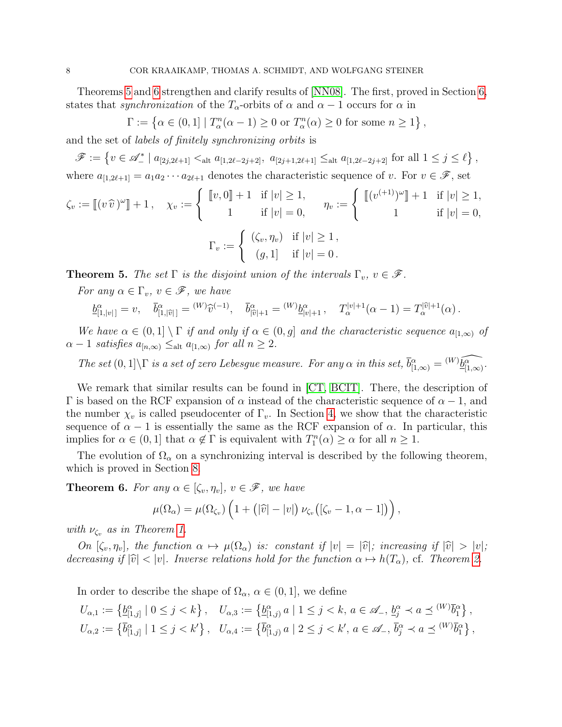Theorems [5](#page-7-0) and [6](#page-7-1) strengthen and clarify results of [\[NN08\]](#page-42-2). The first, proved in Section [6,](#page-15-1) states that synchronization of the  $T_{\alpha}$ -orbits of  $\alpha$  and  $\alpha - 1$  occurs for  $\alpha$  in

$$
\Gamma := \left\{ \alpha \in (0,1] \mid T_\alpha^n(\alpha - 1) \ge 0 \text{ or } T_\alpha^n(\alpha) \ge 0 \text{ for some } n \ge 1 \right\},\
$$

and the set of labels of finitely synchronizing orbits is

 $\mathscr{F} := \{ v \in \mathscr{A}_{-}^* \mid a_{[2j,2\ell+1]} <_{\text{alt}} a_{[1,2\ell-2j+2]}, a_{[2j+1,2\ell+1]} \leq_{\text{alt}} a_{[1,2\ell-2j+2]} \text{ for all } 1 \leq j \leq \ell \},\$ where  $a_{[1,2\ell+1]} = a_1 a_2 \cdots a_{2\ell+1}$  denotes the characteristic sequence of v. For  $v \in \mathscr{F}$ , set

$$
\zeta_v := [[v \widehat{v})^{\omega}]] + 1, \quad \chi_v := \begin{cases} [[v, 0]] + 1 & \text{if } |v| \ge 1, \\ 1 & \text{if } |v| = 0, \end{cases} \quad \eta_v := \begin{cases} [[(v^{(+1)})^{\omega}]] + 1 & \text{if } |v| \ge 1, \\ 1 & \text{if } |v| = 0, \end{cases}
$$

$$
\Gamma_v := \begin{cases} (\zeta_v, \eta_v) & \text{if } |v| \ge 1, \\ (g, 1) & \text{if } |v| = 0. \end{cases}
$$

<span id="page-7-0"></span>**Theorem 5.** The set  $\Gamma$  is the disjoint union of the intervals  $\Gamma_v$ ,  $v \in \mathscr{F}$ .

For any  $\alpha \in \Gamma_v$ ,  $v \in \mathscr{F}$ , we have

$$
\underline{b}^{\alpha}_{[1,|v|]} = v, \quad \overline{b}^{\alpha}_{[1,|\widehat{v}|]} = {}^{(W)}\widehat{v}^{(-1)}, \quad \overline{b}^{\alpha}_{|\widehat{v}|+1} = {}^{(W)}\underline{b}^{\alpha}_{|v|+1} \,, \quad T_{\alpha}^{|v|+1}(\alpha-1) = T_{\alpha}^{|\widehat{v}|+1}(\alpha) \,.
$$

We have  $\alpha \in (0,1] \setminus \Gamma$  if and only if  $\alpha \in (0,g]$  and the characteristic sequence  $a_{[1,\infty)}$  of  $\alpha - 1$  satisfies  $a_{[n,\infty)} \leq_{\text{alt}} a_{[1,\infty)}$  for all  $n \geq 2$ .

The set  $(0,1]\backslash\Gamma$  is a set of zero Lebesgue measure. For any  $\alpha$  in this set,  $\overline{b}_{[1,\infty)}^{\alpha} = {}^{(W)}\widehat{b_{[1,\infty)}^{\alpha}}$ .

We remark that similar results can be found in [\[CT,](#page-41-6) [BCIT\]](#page-41-10). There, the description of  $Γ$  is based on the RCF expansion of α instead of the characteristic sequence of α − 1, and the number  $\chi_v$  is called pseudocenter of  $\Gamma_v$ . In Section [4,](#page-9-0) we show that the characteristic sequence of  $\alpha - 1$  is essentially the same as the RCF expansion of  $\alpha$ . In particular, this implies for  $\alpha \in (0,1]$  that  $\alpha \notin \Gamma$  is equivalent with  $T_1^n(\alpha) \geq \alpha$  for all  $n \geq 1$ .

The evolution of  $\Omega_{\alpha}$  on a synchronizing interval is described by the following theorem, which is proved in Section [8.](#page-29-0)

<span id="page-7-1"></span>**Theorem 6.** For any  $\alpha \in [\zeta_v, \eta_v]$ ,  $v \in \mathcal{F}$ , we have

$$
\mu(\Omega_{\alpha}) = \mu(\Omega_{\zeta_v}) \left( 1 + (|\widehat{v}| - |v|) \, \nu_{\zeta_v} \big( [\zeta_v - 1, \alpha - 1] \big) \right),
$$

with  $\nu_{\zeta_v}$  as in Theorem [1.](#page-6-4)

On  $[\zeta_v, \eta_v]$ , the function  $\alpha \mapsto \mu(\Omega_\alpha)$  is: constant if  $|v| = |\widehat{v}|$ ; increasing if  $|\widehat{v}| > |v|$ ; decreasing if  $|\hat{v}| < |v|$ . Inverse relations hold for the function  $\alpha \mapsto h(T_{\alpha})$ , cf. Theorem [2.](#page-6-1)

In order to describe the shape of  $\Omega_{\alpha}$ ,  $\alpha \in (0,1]$ , we define

$$
U_{\alpha,1} := \left\{ \underline{b}_{[1,j]}^{\alpha} \mid 0 \leq j < k \right\}, \quad U_{\alpha,3} := \left\{ \underline{b}_{[1,j]}^{\alpha} \mid 1 \leq j < k, a \in \mathscr{A}_{-}, \underline{b}_{j}^{\alpha} \prec a \preceq {}^{(W)}\overline{b}_{1}^{\alpha} \right\},
$$
\n
$$
U_{\alpha,2} := \left\{ \overline{b}_{[1,j]}^{\alpha} \mid 1 \leq j < k' \right\}, \quad U_{\alpha,4} := \left\{ \overline{b}_{[1,j]}^{\alpha} \mid 2 \leq j < k', a \in \mathscr{A}_{-}, \overline{b}_{j}^{\alpha} \prec a \preceq {}^{(W)}\overline{b}_{1}^{\alpha} \right\},
$$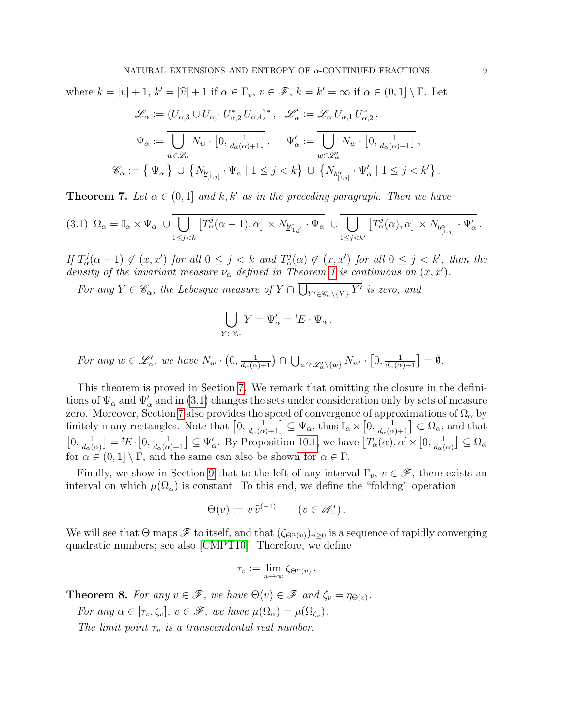where  $k = |v| + 1$ ,  $k' = |\hat{v}| + 1$  if  $\alpha \in \Gamma_v$ ,  $v \in \mathscr{F}$ ,  $k = k' = \infty$  if  $\alpha \in (0, 1] \setminus \Gamma$ . Let

$$
\mathscr{L}_{\alpha} := (U_{\alpha,3} \cup U_{\alpha,1} U_{\alpha,2}^* U_{\alpha,4})^*, \quad \mathscr{L}'_{\alpha} := \mathscr{L}_{\alpha} U_{\alpha,1} U_{\alpha,2}^*,
$$

$$
\Psi_{\alpha} := \overline{\bigcup_{w \in \mathscr{L}_{\alpha}} N_w \cdot [0, \frac{1}{d_{\alpha}(\alpha) + 1}]}^*, \quad \Psi'_{\alpha} := \overline{\bigcup_{w \in \mathscr{L}'_{\alpha}} N_w \cdot [0, \frac{1}{d_{\alpha}(\alpha) + 1}]}^*,
$$

$$
\mathscr{C}_{\alpha} := \{ \Psi_{\alpha} \} \cup \{ N_{\underline{b}^{\alpha}_{[1,j]}} \cdot \Psi_{\alpha} \mid 1 \leq j < k \} \cup \{ N_{\overline{b}^{\alpha}_{[1,j]}} \cdot \Psi'_{\alpha} \mid 1 \leq j < k' \}.
$$

<span id="page-8-0"></span>**Theorem 7.** Let  $\alpha \in (0,1]$  and k, k' as in the preceding paragraph. Then we have

<span id="page-8-1"></span>
$$
(3.1) \ \Omega_{\alpha} = \mathbb{I}_{\alpha} \times \Psi_{\alpha} \ \cup \overline{\bigcup_{1 \leq j < k} \left[ T_{\alpha}^{j}(\alpha-1), \alpha \right] \times N_{\underline{b}_{[1,j]}^{\alpha}} \cdot \Psi_{\alpha}} \ \cup \overline{\bigcup_{1 \leq j < k'} \left[ T_{\alpha}^{j}(\alpha), \alpha \right] \times N_{\overline{b}_{[1,j]}^{\alpha}} \cdot \Psi_{\alpha}'}.
$$

If  $T^j_\alpha(\alpha-1) \notin (x,x')$  for all  $0 \leq j < k$  and  $T^j_\alpha(\alpha) \notin (x,x')$  for all  $0 \leq j < k'$ , then the density of the invariant measure  $\nu_{\alpha}$  defined in Theorem [1](#page-6-4) is continuous on  $(x, x')$ .

For any  $Y \in \mathscr{C}_{\alpha}$ , the Lebesgue measure of  $Y \cap \bigcup_{Y' \in \mathscr{C}_{\alpha} \setminus \{Y\}} Y'$  is zero, and

$$
\overline{\bigcup_{Y \in \mathscr{C}_{\alpha}} Y} = \Psi'_{\alpha} = {}^{t}E \cdot \Psi_{\alpha}.
$$

For any  $w \in \mathscr{L}'_\alpha$ , we have  $N_w \cdot (0, \frac{1}{d_\alpha(\alpha)+1}) \cap \bigcup_{w' \in \mathscr{L}'_\alpha \setminus \{w\}} N_{w'} \cdot [0, \frac{1}{d_\alpha(\alpha)+1}] = \emptyset$ .

This theorem is proved in Section [7.](#page-21-0) We remark that omitting the closure in the definitions of  $\Psi_{\alpha}$  and  $\Psi'_{\alpha}$  and in [\(3.1\)](#page-8-1) changes the sets under consideration only by sets of measure zero. Moreover, Section [7](#page-21-0) also provides the speed of convergence of approximations of  $\Omega_{\alpha}$  by finitely many rectangles. Note that  $\left[0, \frac{1}{d_{\alpha}(\alpha)+1}\right] \subseteq \Psi_{\alpha}$ , thus  $\mathbb{I}_{\alpha} \times \left[0, \frac{1}{d_{\alpha}(\alpha)+1}\right] \subset \Omega_{\alpha}$ , and that  $\left[0, \frac{1}{d}\right]$  $\frac{1}{d_{\alpha}(\alpha)}$  =  ${}^{t}E \cdot [0, \frac{1}{d_{\alpha}(\alpha)+1}] \subseteq \Psi'_{\alpha}$ . By Proposition [10.1,](#page-34-1) we have  $[T_{\alpha}(\alpha), \alpha] \times [0, \frac{1}{d_{\alpha}(\alpha)}]$  $\frac{1}{d_{\alpha}(\alpha)}\big] \subseteq \Omega_{\alpha}$ for  $\alpha \in (0,1] \setminus \Gamma$ , and the same can also be shown for  $\alpha \in \Gamma$ .

Finally, we show in Section [9](#page-32-1) that to the left of any interval  $\Gamma_v$ ,  $v \in \mathscr{F}$ , there exists an interval on which  $\mu(\Omega_{\alpha})$  is constant. To this end, we define the "folding" operation

$$
\Theta(v) := v \,\widehat{v}^{(-1)} \qquad (v \in \mathscr{A}_-^*).
$$

We will see that  $\Theta$  maps  $\mathscr F$  to itself, and that  $(\zeta_{\Theta^n(v)})_{n\geq 0}$  is a sequence of rapidly converging quadratic numbers; see also [\[CMPT10\]](#page-41-9). Therefore, we define

$$
\tau_v := \lim_{n \to \infty} \zeta_{\Theta^n(v)}.
$$

<span id="page-8-2"></span>**Theorem 8.** For any  $v \in \mathcal{F}$ , we have  $\Theta(v) \in \mathcal{F}$  and  $\zeta_v = \eta_{\Theta(v)}$ .

For any  $\alpha \in [\tau_v, \zeta_v], v \in \mathscr{F}$ , we have  $\mu(\Omega_{\alpha}) = \mu(\Omega_{\zeta_v}).$ 

The limit point  $\tau_v$  is a transcendental real number.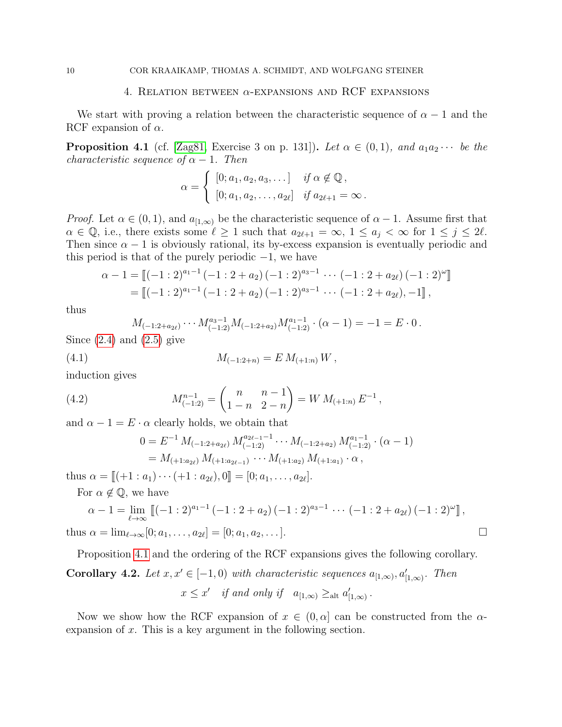#### 4. RELATION BETWEEN  $\alpha$ -EXPANSIONS AND RCF EXPANSIONS

We start with proving a relation between the characteristic sequence of  $\alpha - 1$  and the RCF expansion of  $\alpha$ .

<span id="page-9-1"></span>**Proposition 4.1** (cf. [\[Zag81,](#page-42-3) Exercise 3 on p. 131]). Let  $\alpha \in (0,1)$ , and  $a_1a_2 \cdots$  be the characteristic sequence of  $\alpha - 1$ . Then

$$
\alpha = \begin{cases} [0; a_1, a_2, a_3, \dots] & \text{if } \alpha \notin \mathbb{Q}, \\ [0; a_1, a_2, \dots, a_{2\ell}] & \text{if } a_{2\ell+1} = \infty. \end{cases}
$$

*Proof.* Let  $\alpha \in (0,1)$ , and  $a_{[1,\infty)}$  be the characteristic sequence of  $\alpha - 1$ . Assume first that  $\alpha \in \mathbb{Q}$ , i.e., there exists some  $\ell \geq 1$  such that  $a_{2\ell+1} = \infty$ ,  $1 \leq a_j < \infty$  for  $1 \leq j \leq 2\ell$ . Then since  $\alpha - 1$  is obviously rational, its by-excess expansion is eventually periodic and this period is that of the purely periodic  $-1$ , we have

$$
\alpha - 1 = \llbracket (-1:2)^{a_1-1} (-1:2+a_2) (-1:2)^{a_3-1} \cdots (-1:2+a_{2\ell}) (-1:2)^{\omega} \rrbracket
$$
  
= 
$$
\llbracket (-1:2)^{a_1-1} (-1:2+a_2) (-1:2)^{a_3-1} \cdots (-1:2+a_{2\ell}),-1 \rrbracket,
$$

thus

thus

<span id="page-9-3"></span>
$$
M_{(-1:2+a_{2\ell})}\cdots M_{(-1:2)}^{a_{3}-1}M_{(-1:2+a_{2})}M_{(-1:2)}^{a_{1}-1}\cdot(\alpha-1)=-1=E\cdot 0.
$$

Since  $(2.4)$  and  $(2.5)$  give

(4.1) 
$$
M_{(-1:2+n)} = E M_{(+1:n)} W,
$$

induction gives

(4.2) 
$$
M_{(-1:2)}^{n-1} = \begin{pmatrix} n & n-1 \ 1-n & 2-n \end{pmatrix} = W M_{(+1:n)} E^{-1},
$$

and  $\alpha - 1 = E \cdot \alpha$  clearly holds, we obtain that

<span id="page-9-2"></span>
$$
0 = E^{-1} M_{(-1:2+a_{2\ell})} M_{(-1:2)}^{a_{2\ell-1}-1} \cdots M_{(-1:2+a_2)} M_{(-1:2)}^{a_1-1} \cdot (\alpha - 1)
$$
  
=  $M_{(+1:a_{2\ell})} M_{(+1:a_{2\ell-1})} \cdots M_{(+1:a_2)} M_{(+1:a_1)} \cdot \alpha$ ,

thus  $\alpha = [[(1 : a_1) \cdots (1 : a_{2\ell}), 0]] = [0; a_1, \ldots, a_{2\ell}].$ 

For  $\alpha \notin \mathbb{Q}$ , we have

$$
\alpha - 1 = \lim_{\ell \to \infty} \left[ (-1:2)^{a_1 - 1} \left( -1:2 + a_2 \right) (-1:2)^{a_3 - 1} \cdots \left( -1:2 + a_{2\ell} \right) (-1:2)^{\omega} \right],
$$
  
\n
$$
\alpha = \lim_{\ell \to \infty} [0; a_1, \ldots, a_{2\ell}] = [0; a_1, a_2, \ldots].
$$

Proposition [4.1](#page-9-1) and the ordering of the RCF expansions gives the following corollary.

<span id="page-9-4"></span>Corollary 4.2. Let  $x, x' \in [-1, 0)$  with characteristic sequences  $a_{[1,\infty)}, a'_{[1,\infty)}$ . Then  $x \leq x'$  if and only if  $a_{[1,\infty)} \geq_{\text{alt}} a'_{[1,\infty)}$ .

Now we show how the RCF expansion of  $x \in (0, \alpha]$  can be constructed from the  $\alpha$ expansion of x. This is a key argument in the following section.

<span id="page-9-0"></span>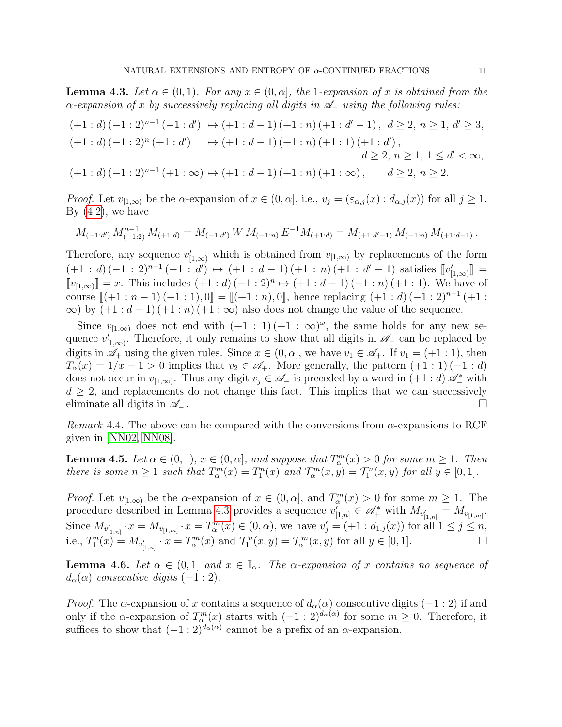<span id="page-10-0"></span>**Lemma 4.3.** Let  $\alpha \in (0,1)$ . For any  $x \in (0,\alpha]$ , the 1-expansion of x is obtained from the  $\alpha$ -expansion of x by successively replacing all digits in  $\mathscr{A}_-$  using the following rules:

$$
(+1:d)(-1:2)^{n-1}(-1:d') \mapsto (+1:d-1)(+1:n)(+1:d'-1), d \ge 2, n \ge 1, d' \ge 3,
$$
  

$$
(+1:d)(-1:2)^{n}(+1:d') \mapsto (+1:d-1)(+1:n)(+1:1)(+1:d'),
$$
  

$$
d \ge 2, n \ge 1, 1 \le d' < \infty,
$$
  

$$
(+1:d)(-1:2)^{n-1}(+1:\infty) \mapsto (+1:d-1)(+1:n)(+1:\infty), d \ge 2, n \ge 2.
$$

*Proof.* Let  $v_{[1,\infty)}$  be the  $\alpha$ -expansion of  $x \in (0,\alpha]$ , i.e.,  $v_j = (\varepsilon_{\alpha,j}(x) : d_{\alpha,j}(x))$  for all  $j \ge 1$ . By  $(4.2)$ , we have

$$
M_{(-1:d')} M_{(-1:2)}^{n-1} M_{(+1:d)} = M_{(-1:d')} W M_{(+1:n)} E^{-1} M_{(+1:d)} = M_{(+1:d'-1)} M_{(+1:n)} M_{(+1:d-1)}.
$$

Therefore, any sequence  $v'_{[1,\infty)}$  which is obtained from  $v_{[1,\infty)}$  by replacements of the form  $(+1:d)(-1:2)^{n-1}(-1:d') \mapsto (+1:d-1)(+1:n)(+1:d'-1)$  satisfies  $[\![v'_{[1,\infty)}]\!] =$  $[\![v_{[1,\infty)}]\!] = x$ . This includes  $(+1:d)(-1:2)^n \mapsto (+1:d-1)(+1:n)(+1:1)$ . We have of course  $[ (+1 : n - 1) (+1 : 1), 0] = [ (+1 : n), 0]$ , hence replacing  $(+1 : d) (-1 : 2)^{n-1} (+1 : \infty)$ <br>  $\infty$  by  $(+1 : d - 1) (+1 : n) (+1 : \infty)$  also does not change the value of the sequence  $\infty$ ) by  $(+1 : d-1)$   $(+1 : n)$   $(+1 : \infty)$  also does not change the value of the sequence.

Since  $v_{[1,\infty)}$  does not end with  $(+1:1)(+1:\infty)^{\omega}$ , the same holds for any new sequence  $v'_{[1,\infty)}$ . Therefore, it only remains to show that all digits in  $\mathscr{A}_-$  can be replaced by digits in  $\mathscr{A}_+$  using the given rules. Since  $x \in (0, \alpha]$ , we have  $v_1 \in \mathscr{A}_+$ . If  $v_1 = (+1 : 1)$ , then  $T_{\alpha}(x) = 1/x - 1 > 0$  implies that  $v_2 \in \mathscr{A}_{+}$ . More generally, the pattern  $(+1:1)(-1:d)$ does not occur in  $v_{[1,\infty)}$ . Thus any digit  $v_j \in \mathscr{A}_-$  is preceded by a word in  $(+1:d)\mathscr{A}^*_-$  with  $d \geq 2$ , and replacements do not change this fact. This implies that we can successively eliminate all digits in  $\mathscr{A}_-$ .

Remark 4.4. The above can be compared with the conversions from  $\alpha$ -expansions to RCF given in [\[NN02,](#page-42-4) [NN08\]](#page-42-2).

<span id="page-10-2"></span>**Lemma 4.5.** Let  $\alpha \in (0,1)$ ,  $x \in (0,\alpha]$ , and suppose that  $T_{\alpha}^{m}(x) > 0$  for some  $m \ge 1$ . Then there is some  $n \geq 1$  such that  $T_{\alpha}^{m}(x) = T_{1}^{n}(x)$  and  $\mathcal{T}_{\alpha}^{m}(x, y) = \mathcal{T}_{1}^{n}(x, y)$  for all  $y \in [0, 1]$ .

*Proof.* Let  $v_{[1,\infty)}$  be the  $\alpha$ -expansion of  $x \in (0,\alpha]$ , and  $T_\alpha^m(x) > 0$  for some  $m \ge 1$ . The procedure described in Lemma [4.3](#page-10-0) provides a sequence  $v'_{[1,n]} \in \mathscr{A}_{+}^*$  with  $M_{v'_{[1,n]}} = M_{v_{[1,m]}}$ . Since  $M_{v'_{[1,n]}} \cdot x = M_{v_{[1,m]}} \cdot x = T_{\alpha}^{m}(x) \in (0, \alpha)$ , we have  $v'_{j} = (+1 : d_{1,j}(x))$  for all  $1 \leq j \leq n$ , i.e.,  $T_1^n(x) = M_{v'_{[1,n]}} \cdot x = T_\alpha^m(x)$  and  $\mathcal{T}_1^n(x,y) = \mathcal{T}_\alpha^m(x,y)$  for all  $y \in [0,1]$ .

<span id="page-10-1"></span>**Lemma 4.6.** Let  $\alpha \in (0,1]$  and  $x \in \mathbb{I}_{\alpha}$ . The  $\alpha$ -expansion of x contains no sequence of  $d_{\alpha}(\alpha)$  consecutive digits  $(-1:2)$ .

*Proof.* The  $\alpha$ -expansion of x contains a sequence of  $d_{\alpha}(\alpha)$  consecutive digits (−1 : 2) if and only if the  $\alpha$ -expansion of  $T_\alpha^m(x)$  starts with  $(-1:2)^{d_\alpha(\alpha)}$  for some  $m \geq 0$ . Therefore, it suffices to show that  $(-1:2)^{d_{\alpha}(\alpha)}$  cannot be a prefix of an  $\alpha$ -expansion.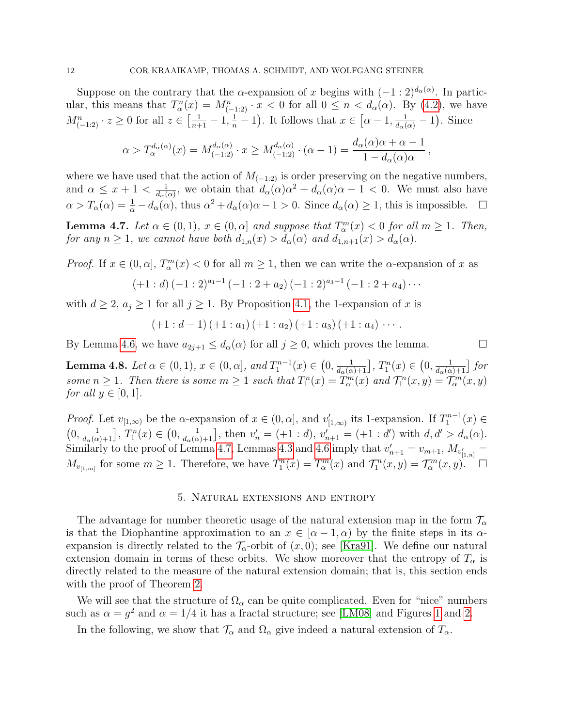Suppose on the contrary that the  $\alpha$ -expansion of x begins with  $(-1:2)^{d_{\alpha}(\alpha)}$ . In particular, this means that  $T_{\alpha}^n(x) = M_{(-1,2)}^n \cdot x < 0$  for all  $0 \leq n < d_{\alpha}(\alpha)$ . By [\(4.2\)](#page-9-2), we have  $M_{(-1:2)}^n \tcdot z \ge 0$  for all  $z \in \left[\frac{1}{n+1} - 1, \frac{1}{n} - 1\right)$ . It follows that  $x \in \left[\alpha - 1, \frac{1}{d_\alpha(\alpha)} - 1\right)$ . Since

$$
\alpha > T_{\alpha}^{d_{\alpha}(\alpha)}(x) = M_{(-1:2)}^{d_{\alpha}(\alpha)} \cdot x \ge M_{(-1:2)}^{d_{\alpha}(\alpha)} \cdot (\alpha - 1) = \frac{d_{\alpha}(\alpha)\alpha + \alpha - 1}{1 - d_{\alpha}(\alpha)\alpha}
$$

,

where we have used that the action of  $M_{(-1,2)}$  is order preserving on the negative numbers, and  $\alpha \leq x+1 < \frac{1}{d}$  $\frac{1}{d_{\alpha}(\alpha)}$ , we obtain that  $d_{\alpha}(\alpha)\alpha^2 + d_{\alpha}(\alpha)\alpha - 1 < 0$ . We must also have  $\alpha > T_{\alpha}(\alpha) = \frac{1}{\alpha} - d_{\alpha}(\alpha)$ , thus  $\alpha^2 + d_{\alpha}(\alpha)\alpha - 1 > 0$ . Since  $d_{\alpha}(\alpha) \ge 1$ , this is impossible.  $\Box$ 

<span id="page-11-1"></span>**Lemma 4.7.** Let  $\alpha \in (0,1)$ ,  $x \in (0,\alpha]$  and suppose that  $T_\alpha^m(x) < 0$  for all  $m \ge 1$ . Then, for any  $n \geq 1$ , we cannot have both  $d_{1,n}(x) > d_{\alpha}(\alpha)$  and  $d_{1,n+1}(x) > d_{\alpha}(\alpha)$ .

*Proof.* If  $x \in (0, \alpha]$ ,  $T_\alpha^m(x) < 0$  for all  $m \ge 1$ , then we can write the  $\alpha$ -expansion of x as

$$
(+1: d) (-1: 2)^{a_1-1} (-1: 2+a_2) (-1: 2)^{a_3-1} (-1: 2+a_4) \cdots
$$

with  $d \geq 2$ ,  $a_j \geq 1$  for all  $j \geq 1$ . By Proposition [4.1,](#page-9-1) the 1-expansion of x is

$$
(+1: d-1) (+1: a_1) (+1: a_2) (+1: a_3) (+1: a_4) \cdots
$$

By Lemma [4.6,](#page-10-1) we have  $a_{2j+1} \leq d_{\alpha}(\alpha)$  for all  $j \geq 0$ , which proves the lemma.

<span id="page-11-2"></span>**Lemma 4.8.** Let  $\alpha \in (0,1)$ ,  $x \in (0,\alpha]$ , and  $T_1^{n-1}(x) \in (0, \frac{1}{d_{\alpha}(\alpha)+1}]$ ,  $T_1^n(x) \in (0, \frac{1}{d_{\alpha}(\alpha)+1}]$  for some  $n \ge 1$ . Then there is some  $m \ge 1$  such that  $T_1^n(x) = T_\alpha^{m'}(x)$  and  $\mathcal{T}_1^n(x, y) = \mathcal{T}_\alpha^{m}(x, y)$ for all  $y \in [0, 1]$ .

*Proof.* Let  $v_{[1,\infty)}$  be the  $\alpha$ -expansion of  $x \in (0,\alpha]$ , and  $v'_{[1,\infty)}$  its 1-expansion. If  $T_1^{n-1}(x) \in$  $(0, \frac{1}{d_{\alpha}(\alpha)+1}], T_1^n(x) \in (0, \frac{1}{d_{\alpha}(\alpha)+1}],$  then  $v'_n = (+1:d), v'_{n+1} = (+1:d')$  with  $d, d' > d_{\alpha}(\alpha)$ . Similarly to the proof of Lemma [4.7,](#page-11-1) Lemmas [4.3](#page-10-0) and [4.6](#page-10-1) imply that  $v'_{n+1} = v_{m+1}$ ,  $M_{v'_{[1,n]}} =$  $M_{v_{[1,m]}}$  for some  $m\geq 1$ . Therefore, we have  $T_1^n(x)=T_\alpha^m(x)$  and  $\mathcal{T}_1^n(x,y)=\mathcal{T}_\alpha^m(x,y)$ .

## 5. Natural extensions and entropy

<span id="page-11-0"></span>The advantage for number theoretic usage of the natural extension map in the form  $\mathcal{T}_{\alpha}$ is that the Diophantine approximation to an  $x \in (\alpha - 1, \alpha)$  by the finite steps in its  $\alpha$ expansion is directly related to the  $\mathcal{T}_{\alpha}$ -orbit of  $(x, 0)$ ; see [\[Kra91\]](#page-41-3). We define our natural extension domain in terms of these orbits. We show moreover that the entropy of  $T_{\alpha}$  is directly related to the measure of the natural extension domain; that is, this section ends with the proof of Theorem [2.](#page-6-1)

We will see that the structure of  $\Omega_{\alpha}$  can be quite complicated. Even for "nice" numbers such as  $\alpha = g^2$  and  $\alpha = 1/4$  $\alpha = 1/4$  $\alpha = 1/4$  it has a fractal structure; see [\[LM08\]](#page-41-5) and Figures 1 and [2.](#page-12-1)

In the following, we show that  $\mathcal{T}_{\alpha}$  and  $\Omega_{\alpha}$  give indeed a natural extension of  $T_{\alpha}$ .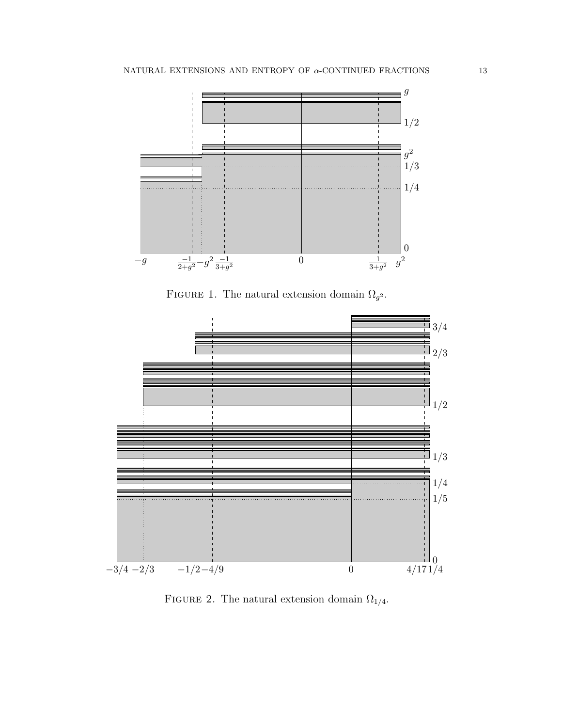

<span id="page-12-0"></span>FIGURE 1. The natural extension domain  $\Omega_{g^2}$ .



<span id="page-12-1"></span>FIGURE 2. The natural extension domain  $\Omega_{1/4}.$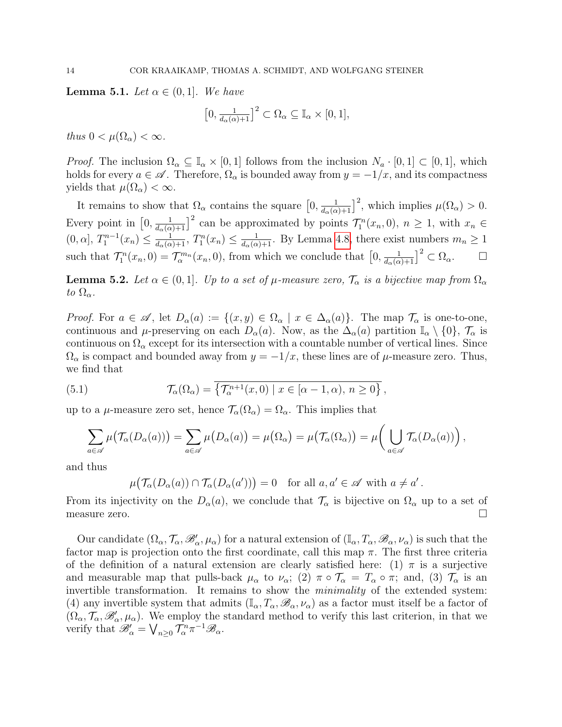<span id="page-13-0"></span>**Lemma 5.1.** Let  $\alpha \in (0,1]$ . We have

$$
\left[0, \frac{1}{d_{\alpha}(\alpha)+1}\right]^2 \subset \Omega_{\alpha} \subseteq \mathbb{I}_{\alpha} \times [0,1],
$$

thus  $0 < \mu(\Omega_{\alpha}) < \infty$ .

*Proof.* The inclusion  $\Omega_{\alpha} \subseteq \mathbb{I}_{\alpha} \times [0,1]$  follows from the inclusion  $N_a \cdot [0,1] \subset [0,1]$ , which holds for every  $a \in \mathscr{A}$ . Therefore,  $\Omega_{\alpha}$  is bounded away from  $y = -1/x$ , and its compactness yields that  $\mu(\Omega_{\alpha}) < \infty$ .

It remains to show that  $\Omega_{\alpha}$  contains the square  $\left[0, \frac{1}{d_{\alpha}(\alpha)+1}\right]^2$ , which implies  $\mu(\Omega_{\alpha}) > 0$ . Every point in  $\left[0, \frac{1}{d_{\alpha}(\alpha)+1}\right]^2$  can be approximated by points  $\mathcal{T}_1^n(x_n, 0), n \geq 1$ , with  $x_n \in$  $(0, \alpha], T_1^{n-1}(x_n) \leq \frac{1}{d_{\alpha}(\alpha)+1}, T_1^n(x_n) \leq \frac{1}{d_{\alpha}(\alpha)+1}.$  By Lemma [4.8,](#page-11-2) there exist numbers  $m_n \geq 1$ such that  $\mathcal{T}_1^n(x_n,0) = \mathcal{T}_{\alpha}^{m_n}(x_n,0)$ , from which we conclude that  $\left[0,\frac{1}{d_{\alpha}(\alpha)+1}\right]^2 \subset \Omega_{\alpha}$ .

<span id="page-13-1"></span>**Lemma 5.2.** Let  $\alpha \in (0,1]$ . Up to a set of  $\mu$ -measure zero,  $\mathcal{T}_{\alpha}$  is a bijective map from  $\Omega_{\alpha}$ to  $\Omega_{\alpha}$ .

*Proof.* For  $a \in \mathscr{A}$ , let  $D_{\alpha}(a) := \{(x, y) \in \Omega_{\alpha} \mid x \in \Delta_{\alpha}(a)\}\$ . The map  $\mathcal{T}_{\alpha}$  is one-to-one, continuous and  $\mu$ -preserving on each  $D_{\alpha}(a)$ . Now, as the  $\Delta_{\alpha}(a)$  partition  $\mathbb{I}_{\alpha} \setminus \{0\}, \mathcal{T}_{\alpha}$  is continuous on  $\Omega_{\alpha}$  except for its intersection with a countable number of vertical lines. Since  $\Omega_{\alpha}$  is compact and bounded away from  $y = -1/x$ , these lines are of  $\mu$ -measure zero. Thus, we find that

(5.1) 
$$
\mathcal{T}_{\alpha}(\Omega_{\alpha}) = \overline{\left\{ \mathcal{T}_{\alpha}^{n+1}(x,0) \mid x \in [\alpha-1,\alpha), n \geq 0 \right\}},
$$

up to a  $\mu$ -measure zero set, hence  $\mathcal{T}_{\alpha}(\Omega_{\alpha}) = \Omega_{\alpha}$ . This implies that

$$
\sum_{a\in\mathscr{A}}\mu\big(\mathcal{T}_{\alpha}(D_{\alpha}(a))\big)=\sum_{a\in\mathscr{A}}\mu\big(D_{\alpha}(a)\big)=\mu\big(\Omega_{\alpha}\big)=\mu\big(\mathcal{T}_{\alpha}(\Omega_{\alpha})\big)=\mu\big(\bigcup_{a\in\mathscr{A}}\mathcal{T}_{\alpha}(D_{\alpha}(a))\big),
$$

and thus

$$
\mu\big(\mathcal{T}_{\alpha}(D_{\alpha}(a)) \cap \mathcal{T}_{\alpha}(D_{\alpha}(a'))\big) = 0 \quad \text{for all } a, a' \in \mathscr{A} \text{ with } a \neq a'.
$$

From its injectivity on the  $D_{\alpha}(a)$ , we conclude that  $\mathcal{T}_{\alpha}$  is bijective on  $\Omega_{\alpha}$  up to a set of measure zero.

Our candidate  $(\Omega_{\alpha}, \mathcal{T}_{\alpha}, \mathscr{B}'_{\alpha}, \mu_{\alpha})$  for a natural extension of  $(\mathbb{I}_{\alpha}, T_{\alpha}, \mathscr{B}_{\alpha}, \nu_{\alpha})$  is such that the factor map is projection onto the first coordinate, call this map  $\pi$ . The first three criteria of the definition of a natural extension are clearly satisfied here: (1)  $\pi$  is a surjective and measurable map that pulls-back  $\mu_{\alpha}$  to  $\nu_{\alpha}$ ; (2)  $\pi \circ \mathcal{T}_{\alpha} = T_{\alpha} \circ \pi$ ; and, (3)  $\mathcal{T}_{\alpha}$  is an invertible transformation. It remains to show the minimality of the extended system: (4) any invertible system that admits  $(I_\alpha, T_\alpha, \mathscr{B}_\alpha, \nu_\alpha)$  as a factor must itself be a factor of  $(\Omega_\alpha, \mathcal{T}_\alpha, \mathscr{B}'_\alpha, \mu_\alpha)$ . We employ the standard method to verify this last criterion, in that we verify that  $\mathscr{B}'_{\alpha} = \bigvee_{n \geq 0} \mathcal{T}_{\alpha}^n \pi^{-1} \mathscr{B}_{\alpha}$ .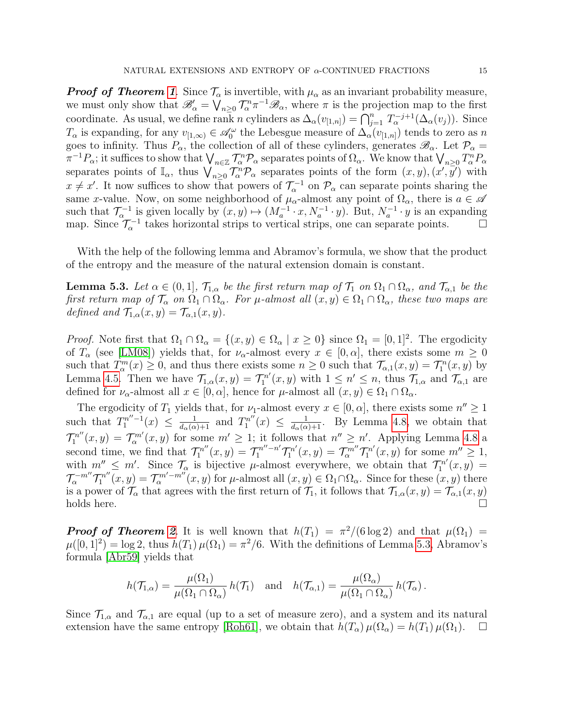**Proof of Theorem [1](#page-6-4).** Since  $\mathcal{T}_{\alpha}$  is invertible, with  $\mu_{\alpha}$  as an invariant probability measure, we must only show that  $\mathscr{B}'_{\alpha} = \bigvee_{n \geq 0} \mathcal{T}^n_{\alpha} \pi^{-1} \mathscr{B}_{\alpha}$ , where  $\pi$  is the projection map to the first coordinate. As usual, we define rank n cylinders as  $\Delta_{\alpha}(v_{[1,n]}) = \bigcap_{j=1}^{n} T_{\alpha}^{-j+1}(\Delta_{\alpha}(v_j)).$  Since  $T_\alpha$  is expanding, for any  $v_{[1,\infty)} \in \mathscr{A}_0^\omega$  the Lebesgue measure of  $\Delta_\alpha(v_{[1,n]})$  tends to zero as n goes to infinity. Thus  $P_{\alpha}$ , the collection of all of these cylinders, generates  $\mathscr{B}_{\alpha}$ . Let  $\mathcal{P}_{\alpha}$  $\pi^{-1}P_\alpha$ ; it suffices to show that  $\bigvee_{n\in\mathbb{Z}}\mathcal{T}_\alpha^n\mathcal{P}_\alpha$  separates points of  $\Omega_\alpha$ . We know that  $\bigvee_{n\geq 0}T_\alpha^nP_\alpha$ separates points of  $\mathbb{I}_{\alpha}$ , thus  $\bigvee_{n\geq 0} \overline{\mathcal{I}_{\alpha}^{n}} \mathcal{P}_{\alpha}$  separates points of the form  $(x, y), (x', y')$  with  $x \neq x'$ . It now suffices to show that powers of  $\mathcal{T}_{\alpha}^{-1}$  on  $\mathcal{P}_{\alpha}$  can separate points sharing the same x-value. Now, on some neighborhood of  $\mu_{\alpha}$ -almost any point of  $\Omega_{\alpha}$ , there is  $a \in \mathscr{A}$ such that  $\mathcal{T}_{\alpha}^{-1}$  is given locally by  $(x, y) \mapsto (M_a^{-1} \cdot x, N_a^{-1} \cdot y)$ . But,  $N_a^{-1} \cdot y$  is an expanding map. Since  $\mathcal{T}_{\alpha}^{-1}$  takes horizontal strips to vertical strips, one can separate points.  $\Box$ 

With the help of the following lemma and Abramov's formula, we show that the product of the entropy and the measure of the natural extension domain is constant.

<span id="page-14-0"></span>**Lemma 5.3.** Let  $\alpha \in (0,1]$ ,  $\mathcal{T}_{1,\alpha}$  be the first return map of  $\mathcal{T}_1$  on  $\Omega_1 \cap \Omega_\alpha$ , and  $\mathcal{T}_{\alpha,1}$  be the first return map of  $\mathcal{T}_{\alpha}$  on  $\Omega_1 \cap \Omega_{\alpha}$ . For  $\mu$ -almost all  $(x, y) \in \Omega_1 \cap \Omega_{\alpha}$ , these two maps are defined and  $\mathcal{T}_{1,\alpha}(x,y) = \mathcal{T}_{\alpha,1}(x,y)$ .

*Proof.* Note first that  $\Omega_1 \cap \Omega_\alpha = \{(x, y) \in \Omega_\alpha \mid x \geq 0\}$  since  $\Omega_1 = [0, 1]^2$ . The ergodicity of  $T_{\alpha}$  (see [\[LM08\]](#page-41-5)) yields that, for  $\nu_{\alpha}$ -almost every  $x \in [0, \alpha]$ , there exists some  $m \ge 0$ such that  $T_{\alpha}^{m}(x) \geq 0$ , and thus there exists some  $n \geq 0$  such that  $\mathcal{T}_{\alpha,1}(x,y) = \mathcal{T}_{1}^{n}(x,y)$  by Lemma [4.5.](#page-10-2) Then we have  $\mathcal{T}_{1,\alpha}(x,y) = \mathcal{T}_1^{n'}$  $T_1^{n'}(x,y)$  with  $1 \leq n' \leq n$ , thus  $\mathcal{T}_{1,\alpha}$  and  $\mathcal{T}_{\alpha,1}$  are defined for  $\nu_{\alpha}$ -almost all  $x \in [0, \alpha]$ , hence for  $\mu$ -almost all  $(x, y) \in \Omega_1 \cap \Omega_{\alpha}$ .

The ergodicity of  $T_1$  yields that, for  $\nu_1$ -almost every  $x \in [0, \alpha]$ , there exists some  $n'' \ge 1$ such that  $T_1^{n''-1}(x) \leq \frac{1}{d_\alpha(\alpha)+1}$  and  $T_1^{n''}$  $T_1^{n''}(x) \leq \frac{1}{d_{\alpha}(\alpha)+1}$ . By Lemma [4.8,](#page-11-2) we obtain that  $\mathcal{T}^{n''}_1$  $\mathcal{T}_1^{n''}(x,y) = \mathcal{T}_\alpha^{m'}(x,y)$  for some  $m' \geq 1$ ; it follows that  $n'' \geq n'$ . Applying Lemma [4.8](#page-11-2) a second time, we find that  $\mathcal{T}_1^{n''}$  $\mathcal{T}_1^{n''}(x,y) = \mathcal{T}_1^{n''-n'} \mathcal{T}_1^{n'}$  $\mathcal{T}_1^{n'}(x,y) = \mathcal{T}_{\alpha}^{m''} \mathcal{T}_1^{n'}$  $T_1^{n'}(x, y)$  for some  $m'' \geq 1$ , with  $m'' \leq m'$ . Since  $\mathcal{T}_{\alpha}$  is bijective  $\mu$ -almost everywhere, we obtain that  $\mathcal{T}_{1}^{n'}$  $\zeta_1^{n'}(x,y) =$  $\mathcal{T}_{\alpha}^{-m''}\mathcal{T}_{1}^{n''}$  $\mathcal{T}_1^{n''}(x,y) = \mathcal{T}_{\alpha}^{m'-m''}(x,y)$  for  $\mu$ -almost all  $(x,y) \in \Omega_1 \cap \Omega_\alpha$ . Since for these  $(x,y)$  there is a power of  $\mathcal{T}_{\alpha}$  that agrees with the first return of  $\mathcal{T}_1$ , it follows that  $\mathcal{T}_{1,\alpha}(x,y) = \mathcal{T}_{\alpha,1}(x,y)$  $holds$  here.

**Proof of Theorem [2](#page-6-1).** It is well known that  $h(T_1) = \pi^2/(6 \log 2)$  and that  $\mu(\Omega_1) =$  $\mu([0,1]^2) = \log 2$ , thus  $h(T_1)\mu(\Omega_1) = \pi^2/6$ . With the definitions of Lemma [5.3,](#page-14-0) Abramov's formula [\[Abr59\]](#page-41-11) yields that

$$
h(\mathcal{T}_{1,\alpha}) = \frac{\mu(\Omega_1)}{\mu(\Omega_1 \cap \Omega_\alpha)} h(\mathcal{T}_1) \text{ and } h(\mathcal{T}_{\alpha,1}) = \frac{\mu(\Omega_\alpha)}{\mu(\Omega_1 \cap \Omega_\alpha)} h(\mathcal{T}_\alpha).
$$

Since  $\mathcal{T}_{1,\alpha}$  and  $\mathcal{T}_{\alpha,1}$  are equal (up to a set of measure zero), and a system and its natural extension have the same entropy [\[Roh61\]](#page-42-0), we obtain that  $h(T_\alpha)\mu(\Omega_\alpha) = h(T_1)\mu(\Omega_1)$ .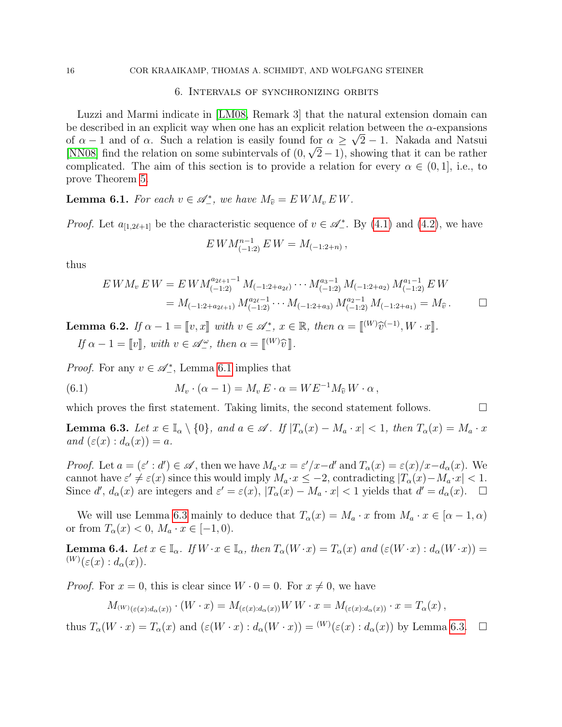## 6. Intervals of synchronizing orbits

<span id="page-15-1"></span>Luzzi and Marmi indicate in [\[LM08,](#page-41-5) Remark 3] that the natural extension domain can be described in an explicit way when one has an explicit relation between the  $\alpha$ -expansions of  $\alpha - 1$  and of  $\alpha$ . Such a relation is easily found for  $\alpha \geq \sqrt{2} - 1$ . Nakada and Natsui [\[NN08\]](#page-42-2) find the relation on some subintervals of  $(0, \sqrt{2}-1)$ , showing that it can be rather complicated. The aim of this section is to provide a relation for every  $\alpha \in (0,1]$ , i.e., to prove Theorem [5.](#page-7-0)

<span id="page-15-2"></span>**Lemma 6.1.** For each  $v \in \mathscr{A}_{-}^{*}$ , we have  $M_{\hat{v}} = EWM_{v}EM$ .

*Proof.* Let  $a_{[1,2\ell+1]}$  be the characteristic sequence of  $v \in \mathscr{A}_{-}^*$ . By [\(4.1\)](#page-9-3) and [\(4.2\)](#page-9-2), we have

$$
EWM_{(-1:2)}^{n-1} EW = M_{(-1:2+n)},
$$

thus

$$
EWM_v EW = EWM_{(-1:2)}^{a_{2\ell+1}-1} M_{(-1:2+a_{2\ell})} \cdots M_{(-1:2)}^{a_{3}-1} M_{(-1:2+a_{2})} M_{(-1:2)}^{a_{1}-1} EW
$$
  
=  $M_{(-1:2+a_{2\ell+1})} M_{(-1:2)}^{a_{2\ell}-1} \cdots M_{(-1:2+a_{3})} M_{(-1:2)}^{a_{2}-1} M_{(-1:2+a_{1})} = M_{\hat{v}}.$ 

<span id="page-15-4"></span>**Lemma 6.2.** If  $\alpha - 1 = [v, x]$  with  $v \in \mathcal{A}^*_{-}, x \in \mathbb{R}$ , then  $\alpha = [W]\hat{v}^{(-1)}, W \cdot x]$ . If  $\alpha - 1 = \llbracket v \rrbracket$ , with  $v \in \mathscr{A}^{\omega}_{-}$ , then  $\alpha = \llbracket {}^{(W)}\widehat{v} \rrbracket$ .

*Proof.* For any  $v \in \mathcal{A}_-^*$ , Lemma [6.1](#page-15-2) implies that

<span id="page-15-0"></span>(6.1) 
$$
M_v \cdot (\alpha - 1) = M_v E \cdot \alpha = W E^{-1} M_{\widehat{v}} W \cdot \alpha,
$$

which proves the first statement. Taking limits, the second statement follows.  $\Box$ 

<span id="page-15-3"></span>**Lemma 6.3.** Let  $x \in \mathbb{I}_{\alpha} \setminus \{0\}$ , and  $a \in \mathscr{A}$ . If  $|T_{\alpha}(x) - M_{a} \cdot x| < 1$ , then  $T_{\alpha}(x) = M_{\alpha} \cdot x$ and  $(\varepsilon(x) : d_{\alpha}(x)) = a$ .

Proof. Let  $a = (\varepsilon' : d') \in \mathscr{A}$ , then we have  $M_a \cdot x = \varepsilon'/x - d'$  and  $T_\alpha(x) = \varepsilon(x)/x - d_\alpha(x)$ . We cannot have  $\varepsilon' \neq \varepsilon(x)$  since this would imply  $M_a \cdot x \leq -2$ , contradicting  $|T_\alpha(x) - M_a \cdot x| < 1$ . Since d',  $d_{\alpha}(x)$  are integers and  $\varepsilon' = \varepsilon(x)$ ,  $|T_{\alpha}(x) - M_{a} \cdot x| < 1$  yields that  $d' = d_{\alpha}(x)$ .  $\Box$ 

We will use Lemma [6.3](#page-15-3) mainly to deduce that  $T_{\alpha}(x) = M_a \cdot x$  from  $M_a \cdot x \in [\alpha - 1, \alpha)$ or from  $T_{\alpha}(x) < 0, M_a \cdot x \in [-1, 0).$ 

<span id="page-15-5"></span>**Lemma 6.4.** Let  $x \in \mathbb{I}_{\alpha}$ . If  $W \cdot x \in \mathbb{I}_{\alpha}$ , then  $T_{\alpha}(W \cdot x) = T_{\alpha}(x)$  and  $(\varepsilon(W \cdot x) : d_{\alpha}(W \cdot x)) =$  $^{(W)}(\varepsilon(x):d_{\alpha}(x)).$ 

*Proof.* For  $x = 0$ , this is clear since  $W \cdot 0 = 0$ . For  $x \neq 0$ , we have

$$
M_{(W)_{(\varepsilon(x):d_{\alpha}(x))}} \cdot (W \cdot x) = M_{(\varepsilon(x):d_{\alpha}(x))} W W \cdot x = M_{(\varepsilon(x):d_{\alpha}(x))} \cdot x = T_{\alpha}(x),
$$

thus  $T_{\alpha}(W \cdot x) = T_{\alpha}(x)$  and  $(\varepsilon(W \cdot x) : d_{\alpha}(W \cdot x)) = {}^{(W)}(\varepsilon(x) : d_{\alpha}(x))$  by Lemma [6.3.](#page-15-3)  $\Box$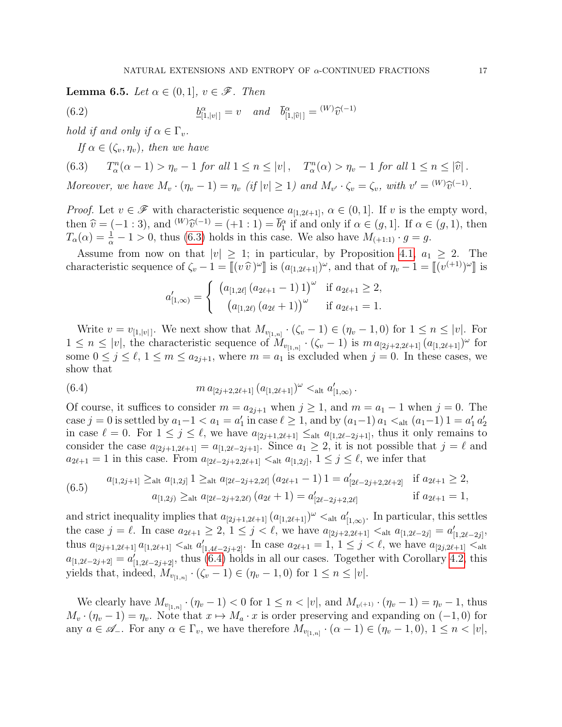<span id="page-16-3"></span>**Lemma 6.5.** Let  $\alpha \in (0,1], v \in \mathcal{F}$ . Then

(6.2) 
$$
\underline{b}_{[1,|v|]}^{\alpha} = v \quad \text{and} \quad \overline{b}_{[1,|\widehat{v}|]}^{\alpha} = {}^{(W)}\widehat{v}^{(-1)}
$$

hold if and only if  $\alpha \in \Gamma_v$ .

<span id="page-16-4"></span><span id="page-16-0"></span>If  $\alpha \in (\zeta_v, \eta_v)$ , then we have

(6.3) 
$$
T_{\alpha}^n(\alpha - 1) > \eta_v - 1 \text{ for all } 1 \le n \le |v|, \quad T_{\alpha}^n(\alpha) > \eta_v - 1 \text{ for all } 1 \le n \le |\hat{v}|.
$$

Moreover, we have  $M_v \cdot (\eta_v - 1) = \eta_v$  (if  $|v| \ge 1$ ) and  $M_{v'} \cdot \zeta_v = \zeta_v$ , with  $v' = {^{(W)}\hat{v}^{(-1)}}$ .

*Proof.* Let  $v \in \mathscr{F}$  with characteristic sequence  $a_{[1,2\ell+1]}, \alpha \in (0,1]$ . If v is the empty word, then  $\hat{v} = (-1 : 3)$ , and  $^{(W)}\hat{v}^{(-1)} = (+1 : 1) = \bar{b}_1^{\alpha}$  if and only if  $\alpha \in (g, 1]$ . If  $\alpha \in (g, 1)$ , then  $T(\alpha) = \frac{1}{2} - 1 > 0$ , thus (6.3) holds in this case. We also have  $M_{\alpha}$ ,  $\alpha \in \alpha$  $T_{\alpha}(\alpha) = \frac{1}{\alpha} - 1 > 0$ , thus [\(6.3\)](#page-16-0) holds in this case. We also have  $M_{(+1:1)} \cdot g = g$ .

Assume from now on that  $|v| \geq 1$ ; in particular, by Proposition [4.1,](#page-9-1)  $a_1 \geq 2$ . The characteristic sequence of  $\zeta_v - 1 = [(v \hat{v})^{\omega}]$  is  $(a_{[1,2\ell+1]})^{\omega}$ , and that of  $\eta_v - 1 = [(v^{(+1)})^{\omega}]$  is

<span id="page-16-1"></span>
$$
a'_{[1,\infty)} = \begin{cases} (a_{[1,2\ell]}(a_{2\ell+1}-1)1)^{\omega} & \text{if } a_{2\ell+1} \geq 2, \\ (a_{[1,2\ell)}(a_{2\ell}+1))^{\omega} & \text{if } a_{2\ell+1} = 1. \end{cases}
$$

Write  $v = v_{[1,|v|]}$ . We next show that  $M_{v_{[1,n]}} \cdot (\zeta_v - 1) \in (\eta_v - 1, 0)$  for  $1 \leq n \leq |v|$ . For  $1 \leq n \leq |v|$ , the characteristic sequence of  $M_{v_{[1,n]}} \cdot (\zeta_v - 1)$  is  $m a_{[2j+2,2\ell+1]} (a_{[1,2\ell+1]})^{\omega}$  for some  $0 \le j \le \ell, 1 \le m \le a_{2j+1}$ , where  $m = a_1$  is excluded when  $j = 0$ . In these cases, we show that

(6.4) 
$$
m a_{[2j+2,2\ell+1]} (a_{[1,2\ell+1]})^{\omega} <_{\text{alt}} a'_{[1,\infty)}.
$$

Of course, it suffices to consider  $m = a_{2j+1}$  when  $j \ge 1$ , and  $m = a_1 - 1$  when  $j = 0$ . The case j = 0 is settled by  $a_1 - 1 < a_1 = a'_1$  in case  $\ell \ge 1$ , and by  $(a_1 - 1)a_1 <_{\text{alt}} (a_1 - 1) 1 = a'_1 a'_2$ in case  $\ell = 0$ . For  $1 \leq j \leq \ell$ , we have  $a_{[2j+1,2\ell+1]} \leq_{\text{alt}} a_{[1,2\ell-2j+1]}$ , thus it only remains to consider the case  $a_{[2j+1,2\ell+1]} = a_{[1,2\ell-2j+1]}$ . Since  $a_1 \geq 2$ , it is not possible that  $j = \ell$  and  $a_{2\ell+1} = 1$  in this case. From  $a_{[2\ell-2j+2,2\ell+1]} < \text{at } a_{[1,2j]}, 1 \leq j \leq \ell$ , we infer that

<span id="page-16-2"></span>
$$
(6.5) \quad a_{[1,2j+1]} \geq_{\text{alt}} a_{[1,2j]} 1 \geq_{\text{alt}} a_{[2\ell-2j+2,2\ell]} (a_{2\ell+1}-1) 1 = a'_{[2\ell-2j+2,2\ell+2]} \quad \text{if } a_{2\ell+1} \geq 2,
$$
  

$$
a_{[1,2j)} \geq_{\text{alt}} a_{[2\ell-2j+2,2\ell]} (a_{2\ell}+1) = a'_{[2\ell-2j+2,2\ell]} \quad \text{if } a_{2\ell+1} = 1,
$$

and strict inequality implies that  $a_{[2j+1,2\ell+1]} (a_{[1,2\ell+1]})^{\omega} <_{\text{alt}} a'_{[1,\infty)}$ . In particular, this settles the case  $j = \ell$ . In case  $a_{2\ell+1} \geq 2$ ,  $1 \leq j < \ell$ , we have  $a_{[2j+2,2\ell+1]} < \text{alt } a_{[1,2\ell-2j]} = a'_{[1,2\ell-2j]},$ thus  $a_{[2j+1,2\ell+1]} a_{[1,2\ell+1]} <_{\text{alt}} a'_{[1,4\ell-2j+2]}$ . In case  $a_{2\ell+1} = 1, 1 \leq j < \ell$ , we have  $a_{[2j,2\ell+1]} <_{\text{alt}} a_{[2j,2\ell+1]}$  $a_{[1,2\ell-2j+2]} = a'_{[1,2\ell-2j+2]}$ , thus [\(6.4\)](#page-16-1) holds in all our cases. Together with Corollary [4.2,](#page-9-4) this yields that, indeed,  $M_{v_{[1,n]}} \cdot (\zeta_v - 1) \in (\eta_v - 1, 0)$  for  $1 \le n \le |v|$ .

We clearly have  $M_{v_{[1,n]}} \cdot (\eta_v - 1) < 0$  for  $1 \le n < |v|$ , and  $M_{v^{(+1)}} \cdot (\eta_v - 1) = \eta_v - 1$ , thus  $M_v \cdot (\eta_v - 1) = \eta_v$ . Note that  $x \mapsto M_a \cdot x$  is order preserving and expanding on (-1, 0) for any  $a \in \mathscr{A}_-$ . For any  $\alpha \in \Gamma_v$ , we have therefore  $M_{v_{[1,n]}} \cdot (\alpha - 1) \in (\eta_v - 1, 0), 1 \leq n < |v|$ ,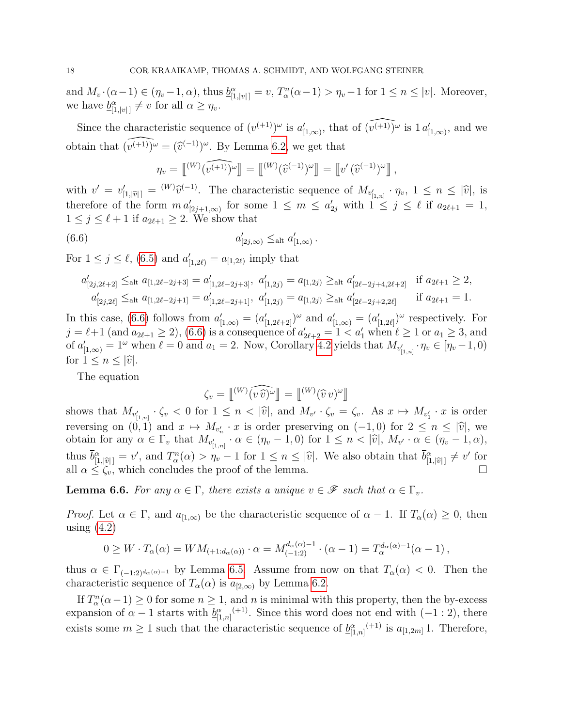and  $M_v \cdot (\alpha - 1) \in (\eta_v - 1, \alpha)$ , thus  $\underline{b}_{[1, |v|]}^{\alpha} = v$ ,  $T_\alpha^n(\alpha - 1) > \eta_v - 1$  for  $1 \leq n \leq |v|$ . Moreover, we have  $\underline{b}_{[1,|v|]}^{\alpha} \neq v$  for all  $\alpha \geq \eta_v$ .

Since the characteristic sequence of  $(v^{(+1)})^{\omega}$  is  $a'_{[1,\infty)}$ , that of  $\widehat{(v^{(+1)})^{\omega}}$  is  $1 a'_{[1,\infty)}$ , and we obtain that  $\widehat{(v^{(+1)})^{\omega}} = \widehat{(v^{(-1)})^{\omega}}$ . By Lemma [6.2,](#page-15-4) we get that

$$
\eta_v = \begin{bmatrix} (W) \widehat{v^{(n+1)}}^{\omega} \end{bmatrix} = \begin{bmatrix} (W) \widehat{v}^{(-1)}^{\omega} \end{bmatrix} = \begin{bmatrix} v' \widehat{v}^{(-1)}^{\omega} \end{bmatrix},
$$

with  $v' = v'_{[1,|\hat{v}|]} = {}^{(W)}\hat{v}^{(-1)}$ . The characteristic sequence of  $M_{v'_{[1,n]}} \cdot \eta_v$ ,  $1 \leq n \leq |\hat{v}|$ , is therefore of the form  $m a'_{[2j+1,\infty)}$  for some  $1 \leq m \leq a'_{2j}$  with  $1 \leq j \leq \ell$  if  $a_{2\ell+1} = 1$ ,  $1 \leq j \leq \ell + 1$  if  $a_{2\ell+1} \geq 2$ . We show that

<span id="page-17-0"></span>.

$$
(6.6) \t a'_{[2j,\infty)} \leq_{\text{alt}} a'_{[1,\infty)}
$$

For  $1 \le j \le \ell$ , [\(6.5\)](#page-16-2) and  $a'_{[1,2\ell)} = a_{[1,2\ell)}$  imply that

$$
a'_{[2j,2\ell+2]} \leq_{\text{alt}} a_{[1,2\ell-2j+3]} = a'_{[1,2\ell-2j+3]}, \ a'_{[1,2j)} = a_{[1,2j)} \geq_{\text{alt}} a'_{[2\ell-2j+4,2\ell+2]} \quad \text{if } a_{2\ell+1} \geq 2,
$$
  

$$
a'_{[2j,2\ell]} \leq_{\text{alt}} a_{[1,2\ell-2j+1]} = a'_{[1,2\ell-2j+1]}, \ a'_{[1,2j)} = a_{[1,2j)} \geq_{\text{alt}} a'_{[2\ell-2j+2,2\ell]} \quad \text{if } a_{2\ell+1} = 1.
$$

In this case, [\(6.6\)](#page-17-0) follows from  $a'_{[1,\infty)} = (a'_{[1,2\ell+2]})^{\omega}$  and  $a'_{[1,\infty)} = (a'_{[1,2\ell]})^{\omega}$  respectively. For  $j = \ell + 1$  (and  $a_{2\ell+1} \ge 2$ ), [\(6.6\)](#page-17-0) is a consequence of  $a'_{2\ell+2} = 1 < a'_1$  when  $\ell \ge 1$  or  $a_1 \ge 3$ , and of  $a'_{[1,\infty)} = 1^{\omega}$  when  $\ell = 0$  and  $a_1 = 2$ . Now, Corollary [4.2](#page-9-4) yields that  $M_{v'_{[1,n]}} \cdot \eta_v \in [\eta_v - 1, 0)$ for  $1 \leq n \leq |\widehat{v}|$ .

The equation

$$
\zeta_v = \begin{bmatrix} (W) \widehat{(v \hat{v})^{\omega}} \end{bmatrix} = \begin{bmatrix} (W) (\widehat{v} v)^{\omega} \end{bmatrix}
$$

shows that  $M_{v'_{[1,n]}} \cdot \zeta_v < 0$  for  $1 \leq n < |\hat{v}|$ , and  $M_{v'} \cdot \zeta_v = \zeta_v$ . As  $x \mapsto M_{v'_1} \cdot x$  is order reversing on  $(0,1)$  and  $x \mapsto M_{v'_n} \cdot x$  is order preserving on  $(-1,0)$  for  $2 \le n \le |\hat{v}|$ , we<br>obtain for any  $\alpha \in \Gamma$ , that  $M_{v_1} \cdot \alpha \in (n-1,0)$  for  $1 \le n \le |\hat{v}|$ ,  $M_{v_1} \alpha \in (n-1,\alpha)$ botain for any  $\alpha \in \Gamma_v$  that  $M_{v'_{[1,n]}} \cdot \alpha \in (\eta_v - 1, 0)$  for  $1 \le n < |\hat{v}|$ ,  $M_{v'} \cdot \alpha \in (\eta_v - 1, \alpha)$ , thus  $\bar{b}^{\alpha}_{[1,|\hat{v}|]} = v'$ , and  $T^n_{\alpha}(\alpha) > \eta_v - 1$  for  $1 \leq n \leq |\hat{v}|$ . We also obtain that  $\bar{b}^{\alpha}_{[1,|\hat{v}|]} \neq v'$  for all  $\alpha \leq \zeta_v$ , which concludes the proof of the lemma.

<span id="page-17-1"></span>**Lemma 6.6.** For any  $\alpha \in \Gamma$ , there exists a unique  $v \in \mathcal{F}$  such that  $\alpha \in \Gamma_v$ .

*Proof.* Let  $\alpha \in \Gamma$ , and  $a_{[1,\infty)}$  be the characteristic sequence of  $\alpha - 1$ . If  $T_{\alpha}(\alpha) \geq 0$ , then using  $(4.2)$ 

$$
0 \geq W \cdot T_{\alpha}(\alpha) = WM_{(1: d_{\alpha}(\alpha))} \cdot \alpha = M_{(-1:2)}^{d_{\alpha}(\alpha)-1} \cdot (\alpha-1) = T_{\alpha}^{d_{\alpha}(\alpha)-1}(\alpha-1),
$$

thus  $\alpha \in \Gamma_{(-1,2)^{d_\alpha(\alpha)-1}}$  by Lemma [6.5.](#page-16-3) Assume from now on that  $T_\alpha(\alpha) < 0$ . Then the characteristic sequence of  $T_{\alpha}(\alpha)$  is  $a_{[2,\infty)}$  by Lemma [6.2.](#page-15-4)

If  $T_\alpha^n(\alpha-1) \geq 0$  for some  $n \geq 1$ , and n is minimal with this property, then the by-excess expansion of  $\alpha - 1$  starts with  $\underline{b}_{[1,n]}^{\alpha}$  (+1). Since this word does not end with (-1 : 2), there exists some  $m \geq 1$  such that the characteristic sequence of  $\underline{b}_{[1,n]}^{\alpha}$ <sup>(+1)</sup> is  $a_{[1,2m]}$  1. Therefore,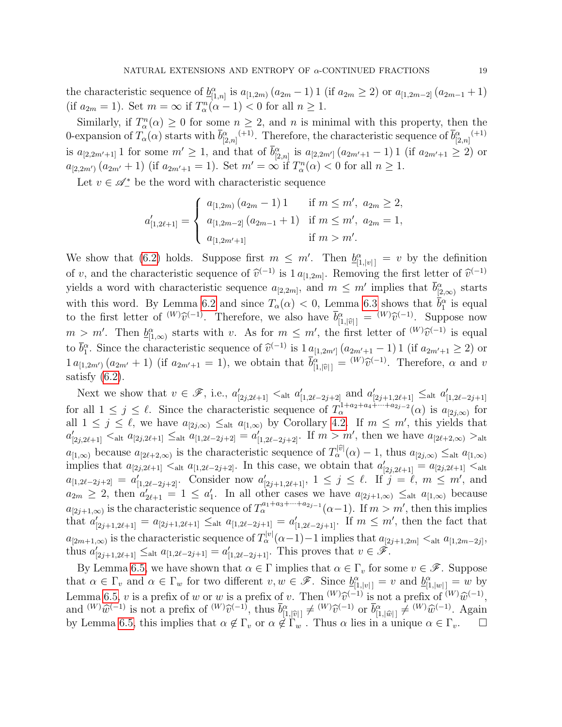the characteristic sequence of  $\underline{b}_{[1,n]}^{\alpha}$  is  $a_{[1,2m)} (a_{2m} - 1) 1$  (if  $a_{2m} \geq 2$ ) or  $a_{[1,2m-2]} (a_{2m-1} + 1)$ (if  $a_{2m} = 1$ ). Set  $m = \infty$  if  $T_\alpha^n(\alpha - 1) < 0$  for all  $n \ge 1$ .

Similarly, if  $T_\alpha^n(\alpha) \geq 0$  for some  $n \geq 2$ , and n is minimal with this property, then the 0-expansion of  $T_\alpha(\alpha)$  starts with  $\bar{b}^{\alpha}_{[2,n]}(n+1)}$ . Therefore, the characteristic sequence of  $\bar{b}^{\alpha}_{[2,n]}(n+1)}$ is  $a_{[2,2m'+1]}$  1 for some  $m' \geq 1$ , and that of  $\bar{b}_{[2,n]}^{\alpha}$  is  $a_{[2,2m']}(a_{2m'+1}-1)$  1 (if  $a_{2m'+1} \geq 2$ ) or  $a_{[2,2m')}$   $(a_{2m'}+1)$  (if  $a_{2m'+1}=1$ ). Set  $m'=\infty$  if  $T_\alpha^n(\alpha) < 0$  for all  $n \geq 1$ .

Let  $v \in \mathcal{A}_-^*$  be the word with characteristic sequence

$$
a'_{[1,2\ell+1]} = \begin{cases} a_{[1,2m)} (a_{2m} - 1) 1 & \text{if } m \leq m', a_{2m} \geq 2, \\ a_{[1,2m-2]} (a_{2m-1} + 1) & \text{if } m \leq m', a_{2m} = 1, \\ a_{[1,2m'+1]} & \text{if } m > m'. \end{cases}
$$

We show that [\(6.2\)](#page-16-4) holds. Suppose first  $m \leq m'$ . Then  $\underline{b}_{[1,|v|]}^{\alpha} = v$  by the definition of v, and the characteristic sequence of  $\hat{v}^{(-1)}$  is  $1 a_{[1,2m]}$ . Removing the first letter of  $\hat{v}^{(-1)}$ yields a word with characteristic sequence  $a_{[2,2m]}$ , and  $m \leq m'$  implies that  $\bar{b}^{\alpha}_{[2,\infty)}$  starts with this word. By Lemma [6.2](#page-15-4) and since  $T_{\alpha}(\alpha) < 0$ , Lemma [6.3](#page-15-3) shows that  $\bar{b}_1^{\alpha}$  is equal to the first letter of  $^{(W)}\hat{v}^{(-1)}$ . Therefore, we also have  $\overline{b}_{[1,|\hat{v}|]}^{\alpha} = {^{(W)}\hat{v}^{(-1)}}$ . Suppose now  $m > m'$ . Then  $\underline{b}_{[1,\infty)}^{\alpha}$  starts with v. As for  $m \leq m'$ , the first letter of  $W(\hat{v})^{-1}$  is equal  $\overline{b}^{\alpha}$ . to  $\bar{b}_1^{\alpha}$ . Since the characteristic sequence of  $\hat{v}^{(-1)}$  is  $1 a_{[1,2m']} (a_{2m'+1} - 1) 1$  (if  $a_{2m'+1} \ge 2$ ) or  $1 a_{[1,2m')} (a_{2m'} + 1)$  (if  $a_{2m'+1} = 1$ ), we obtain that  $\bar{b}_{[1,|\hat{v}|]}^{\alpha} = {}^{(W)}\hat{v}^{(-1)}$ . Therefore,  $\alpha$  and  $v$ satisfy  $(6.2)$ .

Next we show that  $v \in \mathscr{F}$ , i.e.,  $a'_{[2j,2\ell+1]} < \text{alt } a'_{[1,2\ell-2j+2]}$  and  $a'_{[2j+1,2\ell+1]} \leq \text{alt } a'_{[1,2\ell-2j+1]}$ for all  $1 \leq j \leq \ell$ . Since the characteristic sequence of  $T_{\alpha}^{1+a_2+a_4+\cdots+a_{2j-2}}(\alpha)$  is  $a_{[2j,\infty)}$  for all  $1 \leq j \leq \ell$ , we have  $a_{[2j,\infty)} \leq_{\text{alt}} a_{[1,\infty)}$  by Corollary [4.2.](#page-9-4) If  $m \leq m'$ , this yields that  $a'_{[2j,2\ell+1]}$   $\lt_{\text{alt}} a_{[2j,2\ell+1]} \leq_{\text{alt}} a_{[1,2\ell-2j+2]} = a'_{[1,2\ell-2j+2]}$ . If  $m > m'$ , then we have  $a_{[2\ell+2,\infty)} >_{\text{alt}}$  $a_{[1,\infty)}$  because  $a_{[2\ell+2,\infty)}$  is the characteristic sequence of  $T_\alpha^{[0]}(\alpha) - 1$ , thus  $a_{[2j,\infty)} \leq_{\text{alt}} a_{[1,\infty)}$ implies that  $a_{[2j,2\ell+1]} \lt_{\text{alt}} a_{[1,2\ell-2j+2]}$ . In this case, we obtain that  $a'_{[2j,2\ell+1]} = a_{[2j,2\ell+1]} \lt_{\text{alt}}$  $a_{[1,2\ell-2j+2]} = a'_{[1,2\ell-2j+2]}$ . Consider now  $a'_{[2j+1,2\ell+1]}$ ,  $1 \leq j \leq \ell$ . If  $j = \ell, m \leq m'$ , and  $a_{2m} \geq 2$ , then  $a'_{2\ell+1} = 1 \leq a'_{1}$ . In all other cases we have  $a_{[2j+1,\infty)} \leq_{\text{alt}} a_{[1,\infty)}$  because  $a_{[2j+1,\infty)}$  is the characteristic sequence of  $T_\alpha^{a_1+a_3+\cdots+a_{2j-1}}(\alpha-1)$ . If  $m > m'$ , then this implies that  $a'_{[2j+1,2\ell+1]} = a_{[2j+1,2\ell+1]} \leq_{\text{alt}} a_{[1,2\ell-2j+1]} = a'_{[1,2\ell-2j+1]}$ . If  $m \leq m'$ , then the fact that  $a_{[2m+1,\infty)}$  is the characteristic sequence of  $T_\alpha^{|v|}(\alpha-1)-1$  implies that  $a_{[2j+1,2m]} <_{\text{alt}} a_{[1,2m-2j]},$ thus  $a'_{[2j+1,2\ell+1]} \leq_{\text{alt}} a_{[1,2\ell-2j+1]} = a'_{[1,2\ell-2j+1]}$ . This proves that  $v \in \mathscr{F}$ .

By Lemma [6.5,](#page-16-3) we have shown that  $\alpha \in \Gamma$  implies that  $\alpha \in \Gamma_v$  for some  $v \in \mathscr{F}$ . Suppose that  $\alpha \in \Gamma_v$  and  $\alpha \in \Gamma_w$  for two different  $v, w \in \mathscr{F}$ . Since  $\underline{b}_{[1,|v|]}^{\alpha} = v$  and  $\underline{b}_{[1,|w|]}^{\alpha} = w$  by Lemma [6.5,](#page-16-3) v is a prefix of w or w is a prefix of v. Then  $^{(W)}\hat{v}^{(-1)}$  is not a prefix of  $^{(W)}\hat{w}^{(-1)}$ ,<br>and  $^{(W)}\hat{w}^{(-1)}$  is not a profix of  $^{(W)}\hat{w}^{(-1)}$  thus  $\bar{h}^{\alpha}$   $\rightarrow$   $^{(W)}\hat{w}^{(-1)}$  or  $\bar{h}^{\alpha}$   $\rightarrow$ and  $^{(W)}\hat{w}^{(-1)}$  is not a prefix of  $^{(W)}\hat{v}^{(-1)}$ , thus  $\bar{b}^{\alpha}_{[1,|\hat{v}|]} \neq {}^{(W)}\hat{v}^{(-1)}$  or  $\bar{b}^{\alpha}_{[1,|\hat{w}|]} \neq {}^{(W)}\hat{w}^{(-1)}$ . Again by Lemma [6.5,](#page-16-3) this implies that  $\alpha \notin \Gamma_v$  or  $\alpha \notin \Gamma_w$ . Thus  $\alpha$  lies in a unique  $\alpha \in \Gamma_v$ .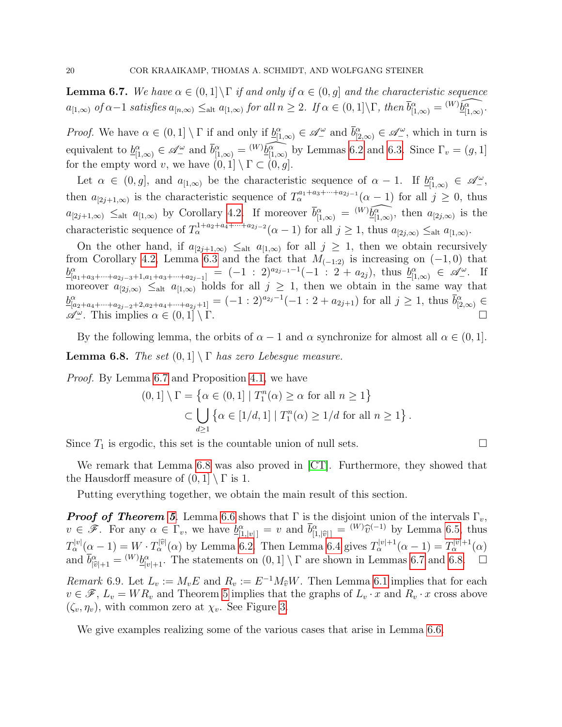<span id="page-19-1"></span>**Lemma 6.7.** We have  $\alpha \in (0,1] \backslash \Gamma$  if and only if  $\alpha \in (0,g]$  and the characteristic sequence  $a_{[1,\infty)}$  of  $\alpha-1$  satisfies  $a_{[n,\infty)} \leq_{\text{alt}} a_{[1,\infty)}$  for all  $n \geq 2$ . If  $\alpha \in (0,1] \backslash \Gamma$ , then  $\overline{b_{[1,\infty)}^{\alpha}} = {}^{(W)}\widehat{\underline{b_{[1,\infty)}^{\alpha}}}$ .

*Proof.* We have  $\alpha \in (0,1] \setminus \Gamma$  if and only if  $\underline{b}_{[1,\infty)}^{\alpha} \in \mathscr{A}_{-}^{\omega}$  and  $\overline{b}_{[2,\infty)}^{\alpha} \in \mathscr{A}_{-}^{\omega}$ , which in turn is equivalent to  $\underline{b}_{[1,\infty)}^{\alpha} \in \mathscr{A}_{-}^{\omega}$  and  $\overline{b}_{[1,\infty)}^{\alpha} = {}^{(W)}\widehat{\underline{b}_{[1,\infty)}^{\alpha}}$  by Lemmas [6.2](#page-15-4) and [6.3.](#page-15-3) Since  $\Gamma_v = (g,1]$ for the empty word v, we have  $(0, 1] \setminus \Gamma \subset (0, g]$ .

Let  $\alpha \in (0,g]$ , and  $a_{[1,\infty)}$  be the characteristic sequence of  $\alpha - 1$ . If  $\underline{b}_{[1,\infty)}^{\alpha} \in \mathscr{A}_{-}^{\omega}$ , then  $a_{[2j+1,\infty)}$  is the characteristic sequence of  $T_\alpha^{a_1+a_3+\cdots+a_{2j-1}}(\alpha-1)$  for all  $j\geq 0$ , thus  $a_{[2j+1,\infty)} \leq_{\text{alt}} a_{[1,\infty)}$  by Corollary [4.2.](#page-9-4) If moreover  $\overline{b}_{[1,\infty)}^{\alpha} = {^{(W)}\widehat{b_{[1,\infty)}^{\alpha}}}$ , then  $a_{[2j,\infty)}$  is the characteristic sequence of  $T_{\alpha}^{1+a_2+a_4+\cdots+a_{2j-2}}(\alpha-1)$  for all  $j\geq 1$ , thus  $a_{[2j,\infty)} \leq_{\text{alt}} a_{[1,\infty)}$ .

On the other hand, if  $a_{[2j+1,\infty)} \leq_{\text{alt}} a_{[1,\infty)}$  for all  $j \geq 1$ , then we obtain recursively from Corollary [4.2,](#page-9-4) Lemma [6.3](#page-15-3) and the fact that  $M_{(-1,2)}$  is increasing on  $(-1,0)$  that  $\underline{b}_{[a_1+a_3+\cdots+a_{2j-3}+1,a_1+a_3+\cdots+a_{2j-1}]}^{a_1+a_3+\cdots+a_{2j-1}} = (-1 \pm 2)^{a_{2j-1}-1}(-1 \pm 2+a_{2j}),$  thus  $\underline{b}_{[1,\infty)}^{\alpha} \in \mathscr{A}_{-}^{\omega}$ . If moreover  $a_{[2j,\infty)} \leq_{\text{alt}} a_{[1,\infty)}$  holds for all  $j \geq 1$ , then we obtain in the same way that  $\underline{b}_{[a_2+a_4+\cdots+a_{2j-2}+2,a_2+a_4+\cdots+a_{2j}+1]}^{a_2} = (-1:2)^{a_{2j}-1}(-1:2+a_{2j+1})$  for all  $j \geq 1$ , thus  $\overline{b}_{[2,\infty)}^{\alpha} \in$  $\mathscr{A}^{\omega}_{-}$ . This implies  $\alpha \in (0,1] \setminus \Gamma$ .

<span id="page-19-2"></span>By the following lemma, the orbits of  $\alpha - 1$  and  $\alpha$  synchronize for almost all  $\alpha \in (0, 1]$ . **Lemma 6.8.** The set  $(0,1] \setminus \Gamma$  has zero Lebesque measure.

Proof. By Lemma [6.7](#page-19-1) and Proposition [4.1,](#page-9-1) we have

$$
(0,1] \setminus \Gamma = \left\{ \alpha \in (0,1] \mid T_1^n(\alpha) \ge \alpha \text{ for all } n \ge 1 \right\}
$$
  

$$
\subset \bigcup_{d \ge 1} \left\{ \alpha \in [1/d,1] \mid T_1^n(\alpha) \ge 1/d \text{ for all } n \ge 1 \right\}.
$$

Since  $T_1$  is ergodic, this set is the countable union of null sets.

We remark that Lemma [6.8](#page-19-2) was also proved in [\[CT\]](#page-41-6). Furthermore, they showed that the Hausdorff measure of  $(0, 1] \setminus \Gamma$  is 1.

Putting everything together, we obtain the main result of this section.

**Proof of Theorem [5](#page-7-0).** Lemma [6.6](#page-17-1) shows that  $\Gamma$  is the disjoint union of the intervals  $\Gamma_v$ ,  $v \in \mathscr{F}$ . For any  $\alpha \in \Gamma_v$ , we have  $\underline{b}_{[1,|v|]}^{\alpha} = v$  and  $\overline{b}_{[1,|\widehat{v}|]}^{\alpha} = {}^{(W)}\widehat{v}^{(-1)}$  by Lemma [6.5,](#page-16-3) thus  $T_{\alpha}^{|v|}(\alpha-1) = W \cdot T_{\alpha}^{|\widehat{v}|}(\alpha)$  by Lemma [6.2.](#page-15-4) Then Lemma [6.4](#page-15-5) gives  $T_{\alpha}^{|v|+1}(\alpha-1) = T_{\alpha}^{|\widehat{v}|+1}(\alpha)$ and  $\overline{b}_{|\widehat{v}|+1}^{\alpha} = {}^{(W)}\underline{b}_{|v|+1}^{\alpha}$ . The statements on  $(0,1] \setminus \Gamma$  are shown in Lemmas [6.7](#page-19-1) and [6.8.](#page-19-2)  $\Box$ Remark 6.9. Let  $L_v := M_v E$  and  $R_v := E^{-1} M_{\hat{v}} W$ . Then Lemma [6.1](#page-15-2) implies that for each  $v \in \mathcal{F}$ ,  $L_{v}$  with  $R_{v}$  and Theorem 5 implies that the membership for each  $R_{v}$  were above  $v \in \mathscr{F}, L_v = WR_v$  and Theorem [5](#page-7-0) implies that the graphs of  $L_v \cdot x$  and  $R_v \cdot x$  cross above  $(\zeta_v, \eta_v)$ , with common zero at  $\chi_v$ . See Figure [3.](#page-20-0)

<span id="page-19-0"></span>We give examples realizing some of the various cases that arise in Lemma [6.6.](#page-17-1)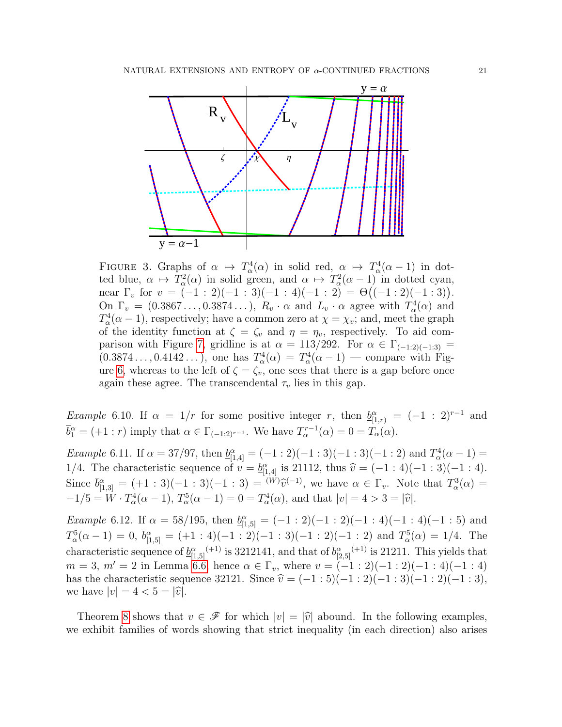

<span id="page-20-0"></span>FIGURE 3. Graphs of  $\alpha \mapsto T^4_\alpha(\alpha)$  in solid red,  $\alpha \mapsto T^4_\alpha(\alpha-1)$  in dotted blue,  $\alpha \mapsto T_\alpha^2(\alpha)$  in solid green, and  $\alpha \mapsto T_\alpha^2(\alpha-1)$  in dotted cyan, near  $\Gamma_v$  for  $v = (-1 : 2)(-1 : 3)(-1 : 4)(-1 : 2) = \Theta((-1 : 2)(-1 : 3)).$ On  $\Gamma_v = (0.3867\dots, 0.3874\dots), R_v \cdot \alpha$  and  $L_v \cdot \alpha$  agree with  $T^4_\alpha(\alpha)$  and  $T_\alpha^4(\alpha - 1)$ , respectively; have a common zero at  $\chi = \chi_v$ ; and, meet the graph of the identity function at  $\zeta = \zeta_v$  and  $\eta = \eta_v$ , respectively. To aid com-parison with Figure [7,](#page-31-0) gridline is at  $\alpha = 113/292$ . For  $\alpha \in \Gamma_{(-1,2)(-1,3)} =$  $(0.3874\dots, 0.4142\dots)$ , one has  $T_\alpha^4(\alpha) = T_\alpha^4(\alpha - 1)$  — compare with Fig-ure [6,](#page-31-1) whereas to the left of  $\zeta = \zeta_v$ , one sees that there is a gap before once again these agree. The transcendental  $\tau_v$  lies in this gap.

*Example* 6.10. If  $\alpha = 1/r$  for some positive integer r, then  $\underline{b}_{[1,r)}^{\alpha} = (-1 : 2)^{r-1}$  and  $\overline{b}_1^{\alpha} = (+1 : r)$  imply that  $\alpha \in \Gamma_{(-1:2)^{r-1}}$ . We have  $T_{\alpha}^{r-1}(\alpha) = 0 = T_{\alpha}(\alpha)$ .

*Example* 6.11. If  $\alpha = 37/97$ , then  $\underline{b}_{[1,4]}^{\alpha} = (-1:2)(-1:3)(-1:3)(-1:2)$  and  $T_{\alpha}^{4}(\alpha - 1) =$ 1/4. The characteristic sequence of  $v = \underline{b}_{[1,4]}^{\alpha}$  is 21112, thus  $\hat{v} = (-1 : 4)(-1 : 3)(-1 : 4)$ . Since  $\bar{b}^{\alpha}_{[1,3]} = (+1 : 3)(-1 : 3)(-1 : 3) = {^{(W)}\hat{v}}^{(-1)}$ , we have  $\alpha \in \Gamma_v$ . Note that  $T^3_{\alpha}(\alpha) =$  $-1/5 = W \cdot T_\alpha^4(\alpha - 1), T_\alpha^5(\alpha - 1) = 0 = T_\alpha^4(\alpha), \text{ and that } |v| = 4 > 3 = |\hat{v}|.$ 

*Example* 6.12. If  $\alpha = 58/195$ , then  $\underline{b}_{[1,5]}^{\alpha} = (-1:2)(-1:2)(-1:4)(-1:4)(-1:5)$  and  $T_{\alpha}^{5}(\alpha-1)=0, \bar{b}_{[1,5]}^{\alpha}=(+1:4)(-1:2)(-1:3)(-1:2)(-1:2)$  and  $T_{\alpha}^{5}(\alpha)=1/4$ . The characteristic sequence of  $\underline{b}_{[1,5]}^{\alpha}$  (+1) is 3212141, and that of  $\overline{b}_{[2,5]}^{\alpha}$  (+1) is 21211. This yields that  $m = 3, m' = 2$  in Lemma [6.6,](#page-17-1) hence  $\alpha \in \Gamma_v$ , where  $v = (-1:2)(-1:2)(-1:4)(-1:4)$ has the characteristic sequence 32121. Since  $\hat{v} = (-1 : 5)(-1 : 2)(-1 : 3)(-1 : 3),$ we have  $|v| = 4 < 5 = |\hat{v}|$ .

Theorem [8](#page-8-2) shows that  $v \in \mathscr{F}$  for which  $|v| = |\hat{v}|$  abound. In the following examples, we exhibit families of words showing that strict inequality (in each direction) also arises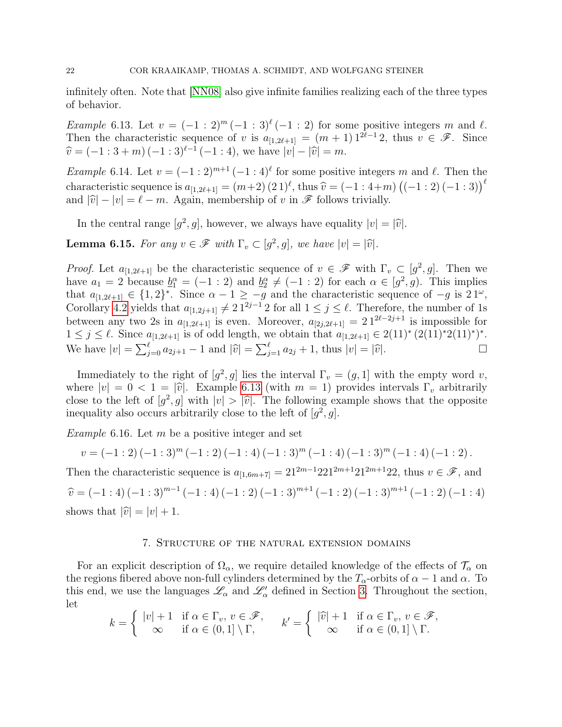infinitely often. Note that [\[NN08\]](#page-42-2) also give infinite families realizing each of the three types of behavior.

<span id="page-21-1"></span>Example 6.13. Let  $v = (-1:2)^m (-1:3)^{\ell} (-1:2)$  for some positive integers m and  $\ell$ . Then the characteristic sequence of v is  $a_{[1,2\ell+1]} = (m + 1) 1^{2\ell-1} 2$ , thus  $v \in \mathscr{F}$ . Since  $\hat{v} = (-1 : 3 + m) (-1 : 3)^{\ell-1} (-1 : 4)$ , we have  $|v| - |\hat{v}| = m$ .

*Example* 6.14. Let  $v = (-1:2)^{m+1} (-1:4)^{\ell}$  for some positive integers m and  $\ell$ . Then the characteristic sequence is  $a_{[1,2\ell+1]} = (m+2) (2 \ 1)^{\ell}$ , thus  $\hat{v} = (-1 : 4+m) ((-1 : 2) (-1 : 3))^{\ell}$ and  $|\hat{v}| - |v| = \ell - m$ . Again, membership of v in  $\mathscr F$  follows trivially.

In the central range  $[g^2, g]$ , however, we always have equality  $|v| = |\hat{v}|$ .

<span id="page-21-2"></span>**Lemma 6.15.** For any  $v \in \mathscr{F}$  with  $\Gamma_v \subset [g^2, g]$ , we have  $|v| = |\hat{v}|$ .

*Proof.* Let  $a_{[1,2\ell+1]}$  be the characteristic sequence of  $v \in \mathscr{F}$  with  $\Gamma_v \subset [g^2, g]$ . Then we have  $a_1 = 2$  because  $\underline{b}_1^{\alpha} = (-1 : 2)$  and  $\underline{b}_2^{\alpha} \neq (-1 : 2)$  for each  $\alpha \in [g^2, g)$ . This implies that  $a_{[1,2\ell+1]} \in \{1,2\}^*$ . Since  $\alpha - 1 \geq -g$  and the characteristic sequence of  $-g$  is  $21^\omega$ , Corollary [4.2](#page-9-4) yields that  $a_{[1,2j+1]} \neq 21^{2j-1}2$  for all  $1 \leq j \leq \ell$ . Therefore, the number of 1s between any two 2s in  $a_{[1,2\ell+1]}$  is even. Moreover,  $a_{[2j,2\ell+1]} = 2 1^{2\ell-2j+1}$  is impossible for  $1 \leq j \leq \ell$ . Since  $a_{[1,2\ell+1]}$  is of odd length, we obtain that  $a_{[1,2\ell+1]} \in 2(11)^{*}(2(11)^{*})^{*}$ . We have  $|v| = \sum_{j=0}^{\ell} a_{2j+1} - 1$  and  $|\hat{v}| = \sum_{j=1}^{\ell} a_{2j} + 1$ , thus  $|v| = |\hat{v}|$ .

Immediately to the right of  $[g^2, g]$  lies the interval  $\Gamma_v = (g, 1]$  with the empty word v, where  $|v| = 0 < 1 = |\hat{v}|$ . Example [6.13](#page-21-1) (with  $m = 1$ ) provides intervals  $\Gamma_v$  arbitrarily close to the left of  $[g^2, g]$  with  $|v| > |\hat{v}|$ . The following example shows that the opposite<br>inoquality also occurs arbitrarily close to the left of  $[a^2, a]$ inequality also occurs arbitrarily close to the left of  $[g^2, g]$ .

*Example* 6.16. Let  $m$  be a positive integer and set

$$
v = (-1:2)(-1:3)^{m} (-1:2)(-1:4)(-1:3)^{m} (-1:4)(-1:3)^{m} (-1:4)(-1:2).
$$

Then the characteristic sequence is  $a_{[1,6m+7]} = 21^{2m-1}221^{2m+1}21^{2m+1}22$ , thus  $v \in \mathscr{F}$ , and  $\widehat{v} = (-1:4)(-1:3)^{m-1}(-1:4)(-1:2)(-1:3)^{m+1}(-1:2)(-1:3)^{m+1}(-1:2)(-1:4)$ shows that  $|\hat{v}| = |v| + 1$ .

## 7. Structure of the natural extension domains

<span id="page-21-0"></span>For an explicit description of  $\Omega_{\alpha}$ , we require detailed knowledge of the effects of  $\mathcal{T}_{\alpha}$  on the regions fibered above non-full cylinders determined by the  $T_{\alpha}$ -orbits of  $\alpha - 1$  and  $\alpha$ . To this end, we use the languages  $\mathscr{L}_{\alpha}$  and  $\mathscr{L}'_{\alpha}$  defined in Section [3.](#page-6-0) Throughout the section, let

$$
k = \begin{cases} |v| + 1 & \text{if } \alpha \in \Gamma_v, v \in \mathcal{F}, \\ \infty & \text{if } \alpha \in (0, 1] \setminus \Gamma, \end{cases} \qquad k' = \begin{cases} |\widehat{v}| + 1 & \text{if } \alpha \in \Gamma_v, v \in \mathcal{F}, \\ \infty & \text{if } \alpha \in (0, 1] \setminus \Gamma. \end{cases}
$$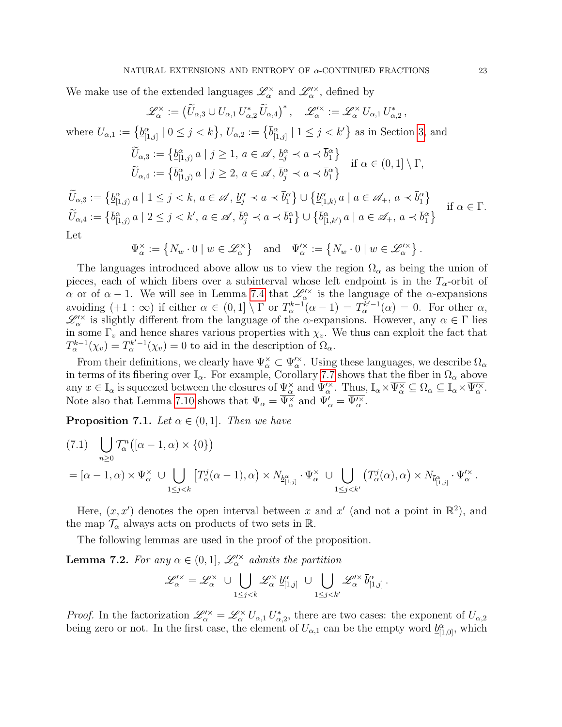We make use of the extended languages  $\mathscr{L}_{\alpha}^{\times}$  and  $\mathscr{L}'^{\times}_{\alpha}$ , defined by

$$
\mathscr{L}_{\alpha}^{\times} := (\widetilde{U}_{\alpha,3} \cup U_{\alpha,1} U_{\alpha,2}^{*} \widetilde{U}_{\alpha,4})^{*}, \quad \mathscr{L}_{\alpha}^{\prime \times} := \mathscr{L}_{\alpha}^{\times} U_{\alpha,1} U_{\alpha,2}^{*},
$$
  
\nwhere  $U_{\alpha,1} := \{ \underline{b}_{[1,j]}^{\alpha} \mid 0 \leq j < k \}$ ,  $U_{\alpha,2} := \{ \overline{b}_{[1,j]}^{\alpha} \mid 1 \leq j < k' \}$  as in Section 3, and  
\n
$$
\widetilde{U}_{\alpha,3} := \{ \underline{b}_{[1,j]}^{\alpha} \mid j \geq 1, a \in \mathscr{A}, \underline{b}_{j}^{\alpha} \prec a \prec \overline{b}_{1}^{\alpha} \}
$$
\nif  $\alpha \in (0,1] \setminus \Gamma$ ,  
\n
$$
\widetilde{U}_{\alpha,4} := \{ \overline{b}_{[1,j]}^{\alpha} \mid j \geq 2, a \in \mathscr{A}, \overline{b}_{j}^{\alpha} \prec a \prec \overline{b}_{1}^{\alpha} \}
$$
\nif  $\alpha \in (0,1] \setminus \Gamma$ ,  
\n
$$
\widetilde{U}_{\alpha,3} := \{ \underline{b}_{[1,j]}^{\alpha} \mid 1 \leq j < k, a \in \mathscr{A}, \underline{b}_{j}^{\alpha} \prec a \prec \overline{b}_{1}^{\alpha} \} \cup \{ \underline{b}_{[1,k]}^{\alpha} \mid a \in \mathscr{A}_{+}, a \prec \overline{b}_{1}^{\alpha} \}
$$

 $\widetilde{U}_{\alpha,3} := \left\{ \underline{b}_{[1,j)}^{\alpha} \, a \mid 1 \leq j < k, \, a \in \mathscr{A}, \, \underline{b}_j^{\alpha} \prec a \prec \overline{b}_1^{\alpha} \right\} \cup \left\{ \underline{b}_{[1,k)}^{\alpha} \, a \mid a \in \mathscr{A}_+, \, a \prec \overline{b}_1^{\alpha} \right\}$  $\widetilde{U}_{\alpha,4} := \left\{ \overline{b}_{[1,j)}^{\alpha} \ a \mid 2 \leq j < k', \ a \in \mathscr{A}, \ \overline{b}_{j}^{\alpha} \prec a \prec \overline{b}_{1}^{\alpha} \right\} \cup \left\{ \overline{b}_{[1,k')}^{\alpha} \ a \mid a \in \mathscr{A}_{+}, \ a \prec \overline{b}_{1}^{\alpha} \right\}$ if  $\alpha \in \Gamma$ . Let

$$
\Psi_{\alpha}^{\times} := \{ N_w \cdot 0 \mid w \in \mathscr{L}_{\alpha}^{\times} \} \quad \text{and} \quad \Psi_{\alpha}^{\prime \times} := \{ N_w \cdot 0 \mid w \in \mathscr{L}_{\alpha}^{\prime \times} \}.
$$

The languages introduced above allow us to view the region  $\Omega_{\alpha}$  as being the union of pieces, each of which fibers over a subinterval whose left endpoint is in the  $T_{\alpha}$ -orbit of  $\alpha$  or of  $\alpha - 1$ . We will see in Lemma [7.4](#page-24-0) that  $\mathscr{L}^{\prime\prime\prime}_{\alpha}$  is the language of the  $\alpha$ -expansions avoiding  $(+1 : \infty)$  if either  $\alpha \in (0,1] \setminus \Gamma$  or  $T_{\alpha}^{k-1}(\alpha-1) = T_{\alpha}^{k-1}(\alpha) = 0$ . For other  $\alpha$ ,  $\mathscr{L}'^{\times}_{\alpha}$  is slightly different from the language of the  $\alpha$ -expansions. However, any  $\alpha \in \Gamma$  lies in some  $\Gamma_v$  and hence shares various properties with  $\chi_v$ . We thus can exploit the fact that  $T_{\alpha}^{k-1}(\chi_v) = T_{\alpha}^{k'-1}(\chi_v) = 0$  to aid in the description of  $\Omega_{\alpha}$ .

From their definitions, we clearly have  $\Psi_\alpha^\times \subset \Psi_\alpha^{\prime\times}$ . Using these languages, we describe  $\Omega_\alpha$ in terms of its fibering over  $\mathbb{I}_{\alpha}$ . For example, Corollary [7.7](#page-26-0) shows that the fiber in  $\Omega_{\alpha}$  above any  $x \in \mathbb{I}_{\alpha}$  is squeezed between the closures of  $\Psi^{\times}_{\alpha}$  and  $\Psi'^{\times}_{\alpha}$ . Thus,  $\mathbb{I}_{\alpha} \times \overline{\Psi^{\times}_{\alpha}} \subseteq \Omega_{\alpha} \subseteq \mathbb{I}_{\alpha} \times \overline{\Psi'^{\times}_{\alpha}}$ . Note also that Lemma [7.10](#page-26-1) shows that  $\Psi_{\alpha} = \overline{\Psi_{\alpha}^{\times}}$  and  $\Psi_{\alpha}' = \overline{\Psi_{\alpha}^{\prime \times}}$ .

<span id="page-22-2"></span>**Proposition 7.1.** Let  $\alpha \in (0, 1]$ . Then we have

<span id="page-22-1"></span>
$$
(7.1) \bigcup_{n\geq 0} T_{\alpha}^{n} \big( [\alpha - 1, \alpha) \times \{ 0 \} \big)
$$
  
=  $[\alpha - 1, \alpha) \times \Psi_{\alpha}^{\times} \cup \bigcup_{1 \leq j < k} \big[ T_{\alpha}^{j} (\alpha - 1), \alpha \big) \times N_{\underline{b}_{[1,j]}^{\alpha}} \cdot \Psi_{\alpha}^{\times} \cup \bigcup_{1 \leq j < k'} \big( T_{\alpha}^{j}(\alpha), \alpha \big) \times N_{\overline{b}_{[1,j]}^{\alpha}} \cdot \Psi_{\alpha}^{\prime \times}.$ 

Here,  $(x, x')$  denotes the open interval between x and x' (and not a point in  $\mathbb{R}^2$ ), and the map  $\mathcal{T}_{\alpha}$  always acts on products of two sets in R.

The following lemmas are used in the proof of the proposition.

<span id="page-22-0"></span>**Lemma 7.2.** For any  $\alpha \in (0,1]$ ,  $\mathscr{L}_\alpha^{\prime\prime\prime}$  admits the partition

$$
\mathscr{L}^{\prime\times}_\alpha=\mathscr{L}^\times_\alpha\ \cup\bigcup_{1\leq j
$$

*Proof.* In the factorization  $\mathscr{L}^{\prime\times}_{\alpha} = \mathscr{L}^{\times}_{\alpha} U_{\alpha,1} U^*_{\alpha,2}$ , there are two cases: the exponent of  $U_{\alpha,2}$ being zero or not. In the first case, the element of  $U_{\alpha,1}$  can be the empty word  $\underline{b}_{[1,0]}^{\alpha}$ , which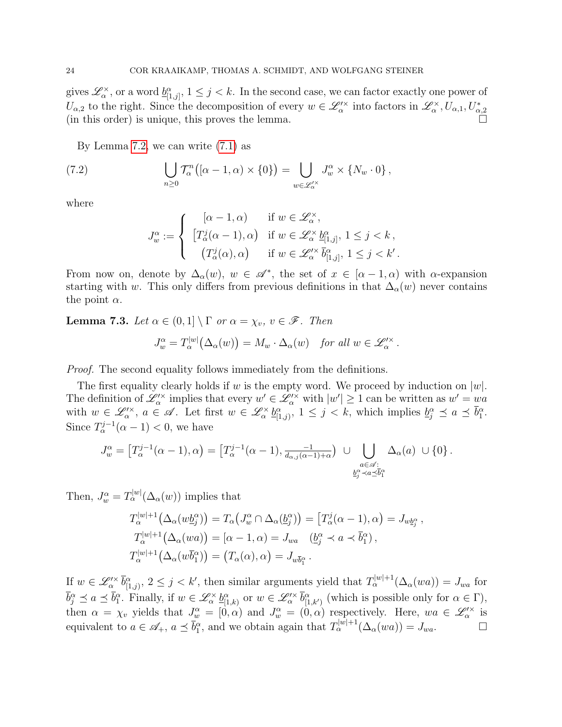gives  $\mathscr{L}_{\alpha}^{\times}$ , or a word  $\underline{b}_{[1,j]}^{\alpha}$ ,  $1 \leq j < k$ . In the second case, we can factor exactly one power of  $U_{\alpha,2}$  to the right. Since the decomposition of every  $w \in \mathscr{L}'^{\times}_{\alpha}$  into factors in  $\mathscr{L}^{\times}_{\alpha}, U_{\alpha,1}, U_{\alpha,2}^{*}$ (in this order) is unique, this proves the lemma.

By Lemma [7.2,](#page-22-0) we can write [\(7.1\)](#page-22-1) as

(7.2) 
$$
\bigcup_{n\geq 0} \mathcal{T}_{\alpha}^{n} \big( [\alpha - 1, \alpha \big) \times \{ 0 \} \big) = \bigcup_{w \in \mathscr{L}_{\alpha}^{\prime \times}} J_{w}^{\alpha} \times \{ N_{w} \cdot 0 \},
$$

where

<span id="page-23-1"></span>
$$
J^{\alpha}_{w} := \begin{cases} \begin{array}{ll} [\alpha - 1, \alpha) & \text{if } w \in \mathscr{L}_{\alpha}^{\times}, \\ \begin{bmatrix} T_{\alpha}^{j}(\alpha - 1), \alpha \end{bmatrix} & \text{if } w \in \mathscr{L}_{\alpha}^{\times} \underline{b}_{[1,j]}^{\alpha}, \ 1 \leq j < k \\ \begin{array}{ll} \left( T_{\alpha}^{j}(\alpha), \alpha \right) & \text{if } w \in \mathscr{L}_{\alpha}^{\prime \times} \overline{b}_{[1,j]}^{\alpha}, \ 1 \leq j < k' \end{array}. \end{cases}
$$

From now on, denote by  $\Delta_{\alpha}(w)$ ,  $w \in \mathscr{A}^*$ , the set of  $x \in [\alpha - 1, \alpha)$  with  $\alpha$ -expansion starting with w. This only differs from previous definitions in that  $\Delta_{\alpha}(w)$  never contains the point  $\alpha$ .

<span id="page-23-0"></span>**Lemma 7.3.** Let  $\alpha \in (0,1] \setminus \Gamma$  or  $\alpha = \chi_v$ ,  $v \in \mathscr{F}$ . Then

$$
J_w^{\alpha} = T_{\alpha}^{|w|} (\Delta_{\alpha}(w)) = M_w \cdot \Delta_{\alpha}(w) \quad \text{for all } w \in \mathscr{L}'_{\alpha}.
$$

Proof. The second equality follows immediately from the definitions.

The first equality clearly holds if w is the empty word. We proceed by induction on  $|w|$ . The definition of  $\mathscr{L}'^{\times}_{\alpha}$  implies that every  $w' \in \mathscr{L}'^{\times}_{\alpha}$  with  $|w'| \geq 1$  can be written as  $w' = wa$ with  $w \in \mathscr{L}^{\prime\times}_{\alpha}$ ,  $a \in \mathscr{A}$ . Let first  $w \in \mathscr{L}^{\times}_{\alpha}$   $\underline{b}^{\alpha}_{[1,j)}, 1 \leq j < k$ , which implies  $\underline{b}^{\alpha}_{j} \preceq a \preceq \overline{b}^{\alpha}_{1}$ . Since  $T_{\alpha}^{j-1}(\alpha - 1) < 0$ , we have

$$
J_w^{\alpha} = \left[ T_{\alpha}^{j-1}(\alpha - 1), \alpha \right) = \left[ T_{\alpha}^{j-1}(\alpha - 1), \frac{-1}{d_{\alpha,j}(\alpha - 1) + \alpha} \right) \cup \bigcup_{\substack{a \in \mathscr{A} : \\ \frac{b_{j}^{\alpha} \prec a \preceq b_{1}^{\alpha}}{\alpha}} \Delta_{\alpha}(a) \cup \{0\} .
$$

Then,  $J_w^{\alpha} = T_{\alpha}^{|w|}(\Delta_{\alpha}(w))$  implies that

$$
T_{\alpha}^{|w|+1}(\Delta_{\alpha}(w\underline{b}_{j}^{\alpha})) = T_{\alpha}(J_{w}^{\alpha} \cap \Delta_{\alpha}(\underline{b}_{j}^{\alpha})) = [T_{\alpha}^{j}(\alpha - 1), \alpha) = J_{w\underline{b}_{j}^{\alpha}},
$$
  
\n
$$
T_{\alpha}^{|w|+1}(\Delta_{\alpha}(wa)) = [\alpha - 1, \alpha) = J_{wa} \quad (\underline{b}_{j}^{\alpha} \prec a \prec \overline{b}_{1}^{\alpha}),
$$
  
\n
$$
T_{\alpha}^{|w|+1}(\Delta_{\alpha}(w\overline{b}_{1}^{\alpha})) = (T_{\alpha}(\alpha), \alpha) = J_{w\overline{b}_{1}^{\alpha}}.
$$

If  $w \in \mathscr{L}'_{\alpha}$   $\bar{b}^{\alpha}_{[1,j)}, 2 \leq j < k'$ , then similar arguments yield that  $T_{\alpha}^{|w|+1}(\Delta_{\alpha}(wa)) = J_{wa}$  for  $\overline{b}_j^{\alpha} \preceq a \preceq \overline{b}_1^{\alpha}$ . Finally, if  $w \in \mathscr{L}_{\alpha}^{\times} \underline{b}_{[1,k)}^{\alpha}$  or  $w \in \mathscr{L}_{\alpha}^{\prime \times} \overline{b}_{[1,k')}^{\alpha}$  (which is possible only for  $\alpha \in \Gamma$ ), then  $\alpha = \chi_v$  yields that  $J_w^{\alpha} = [0, \alpha)$  and  $J_w^{\alpha} = (0, \alpha)$  respectively. Here,  $wa \in \mathscr{L}_{\alpha}^{\prime \times}$  is equivalent to  $a \in \mathscr{A}_+$ ,  $a \preceq \overline{b}_1^{\alpha}$ , and we obtain again that  $T_{\alpha}^{|w|+1}(\Delta_{\alpha}(wa)) = J_{wa}$ .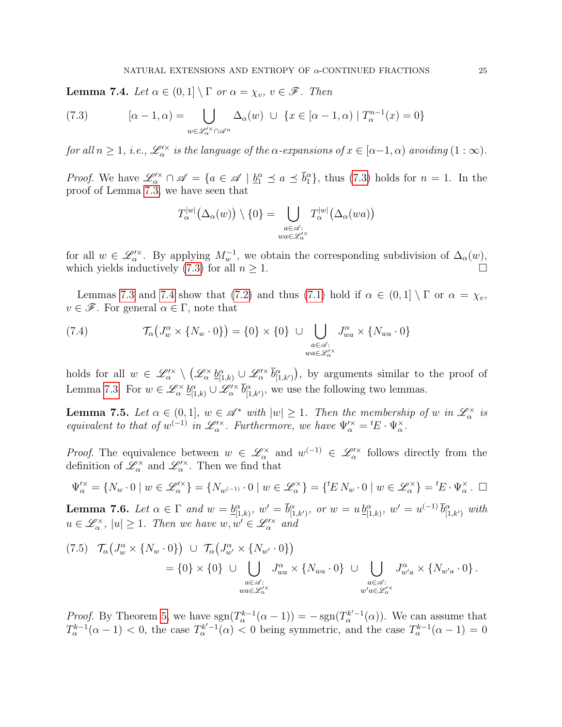<span id="page-24-0"></span>**Lemma 7.4.** Let  $\alpha \in (0,1] \setminus \Gamma$  or  $\alpha = \chi_v$ ,  $v \in \mathscr{F}$ . Then

<span id="page-24-1"></span>(7.3) 
$$
[\alpha - 1, \alpha] = \bigcup_{w \in \mathscr{L}'^{\times} \cap \mathscr{A}^n} \Delta_{\alpha}(w) \cup \{x \in [\alpha - 1, \alpha) \mid T_{\alpha}^{n-1}(x) = 0\}
$$

for all  $n \geq 1$ , i.e.,  $\mathscr{L}^{\prime \times}_\alpha$  is the language of the  $\alpha$ -expansions of  $x \in [\alpha-1, \alpha)$  avoiding  $(1:\infty)$ .

*Proof.* We have  $\mathscr{L}'^{\times} \cap \mathscr{A} = \{a \in \mathscr{A} \mid \underline{b}_1^{\alpha} \preceq a \preceq \overline{b}_1^{\alpha}\}\$ , thus [\(7.3\)](#page-24-1) holds for  $n = 1$ . In the proof of Lemma [7.3,](#page-23-0) we have seen that

$$
T_{\alpha}^{|w|}(\Delta_{\alpha}(w)) \setminus \{0\} = \bigcup_{\substack{a \in \mathscr{A}: \\ wa \in \mathscr{L}_{\alpha}^{\prime} }} T_{\alpha}^{|w|}(\Delta_{\alpha}(wa))
$$

for all  $w \in \mathscr{L}'^{\times}_{\alpha}$ . By applying  $M^{-1}_w$ , we obtain the corresponding subdivision of  $\Delta_{\alpha}(w)$ , which yields inductively [\(7.3\)](#page-24-1) for all  $n \geq 1$ .

Lemmas [7.3](#page-23-0) and [7.4](#page-24-0) show that [\(7.2\)](#page-23-1) and thus [\(7.1\)](#page-22-1) hold if  $\alpha \in (0,1] \setminus \Gamma$  or  $\alpha = \chi_v$ ,  $v \in \mathscr{F}$ . For general  $\alpha \in \Gamma$ , note that

<span id="page-24-2"></span>(7.4) 
$$
\mathcal{T}_{\alpha}\left(J_{w}^{\alpha} \times \{N_{w} \cdot 0\}\right) = \{0\} \times \{0\} \cup \bigcup_{\substack{a \in \mathscr{A}: \\ wa \in \mathscr{L}_{\alpha}^{\times}}} J_{wa}^{\alpha} \times \{N_{wa} \cdot 0\}
$$

holds for all  $w \in \mathscr{L}'^{\times}_{\alpha} \setminus (\mathscr{L}^{\times}_{\alpha} \underline{b}^{\alpha}_{[1,k)} \cup \mathscr{L}'^{\times}_{\alpha} \overline{b}^{\alpha}_{[1,k')})$ , by arguments similar to the proof of Lemma [7.3.](#page-23-0) For  $w \in \mathscr{L}_{\alpha}^{\times} \underline{b}_{[1,k)}^{\alpha} \cup \mathscr{L}_{\alpha}^{\prime \times} \overline{b}_{[1,k']}^{\alpha}$ , we use the following two lemmas.

<span id="page-24-5"></span>**Lemma 7.5.** Let  $\alpha \in (0,1]$ ,  $w \in \mathcal{A}^*$  with  $|w| \geq 1$ . Then the membership of w in  $\mathcal{L}_\alpha^*$  is equivalent to that of  $w^{(-1)}$  in  $\mathscr{L}^{\prime\times}_{\alpha}$ . Furthermore, we have  $\Psi^{\prime\times}_{\alpha} = {}^{t}E \cdot \Psi^{\times}_{\alpha}$ .

*Proof.* The equivalence between  $w \in \mathscr{L}_{\alpha}^{\times}$  and  $w^{(-1)} \in \mathscr{L}_{\alpha}^{\times}$  follows directly from the definition of  $\mathscr{L}_{\alpha}^{\times}$  and  $\mathscr{L}_{\alpha}^{\prime\times}$ . Then we find that

$$
\Psi''_{\alpha} = \{ N_w \cdot 0 \mid w \in \mathscr{L}'^{\times}_{\alpha} \} = \{ N_{w^{(-1)}} \cdot 0 \mid w \in \mathscr{L}^{\times}_{\alpha} \} = \{ {}^t E N_w \cdot 0 \mid w \in \mathscr{L}^{\times}_{\alpha} \} = {}^t E \cdot \Psi^{\times}_{\alpha} . \ \ \Box
$$

<span id="page-24-4"></span>**Lemma 7.6.** Let  $\alpha \in \Gamma$  and  $w = \underline{b}_{[1,k)}^{\alpha}$ ,  $w' = \overline{b}_{[1,k')}^{\alpha}$ , or  $w = u \underline{b}_{[1,k]}^{\alpha}$ ,  $w' = u^{(-1)} \overline{b}_{[1,k']}^{\alpha}$  with  $u \in \mathscr{L}_{\alpha}^{\times}$ ,  $|u| \geq 1$ . Then we have  $w, w' \in \mathscr{L}_{\alpha}^{\prime \times}$  and

<span id="page-24-3"></span>
$$
(7.5) \quad \mathcal{T}_{\alpha}\left(J_{w}^{\alpha} \times \{N_{w} \cdot 0\}\right) \cup \mathcal{T}_{\alpha}\left(J_{w'}^{\alpha} \times \{N_{w'} \cdot 0\}\right) \\
= \{0\} \times \{0\} \cup \bigcup_{\substack{a \in \mathcal{A}: \\ w a \in \mathcal{L}_{\alpha}^{\vee} \\ \vdots \\ w' a \in \mathcal{L}_{\alpha}^{\vee}}} J_{w}^{\alpha} \times \{N_{wa} \cdot 0\} \cup \bigcup_{\substack{a \in \mathcal{A}: \\ w' a \in \mathcal{L}_{\alpha}^{\vee} \\ \vdots \\ w' a \in \mathcal{L}_{\alpha}^{\vee}}} J_{w'}^{\alpha} \times \{N_{w'a} \cdot 0\}.
$$

*Proof.* By Theorem [5,](#page-7-0) we have  $sgn(T_\alpha^{k-1}(\alpha-1)) = -sgn(T_\alpha^{k'-1}(\alpha))$ . We can assume that  $T_{\alpha}^{k-1}(\alpha-1) < 0$ , the case  $T_{\alpha}^{k'-1}(\alpha) < 0$  being symmetric, and the case  $T_{\alpha}^{k-1}(\alpha-1) = 0$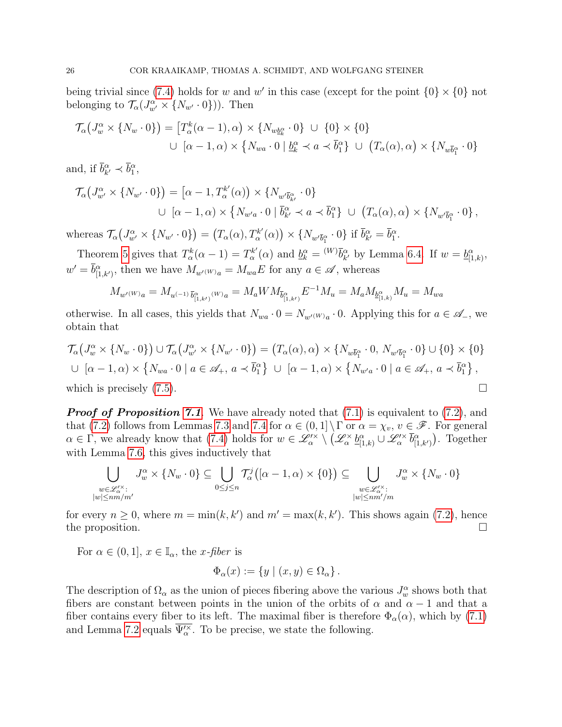being trivial since [\(7.4\)](#page-24-2) holds for w and w' in this case (except for the point  $\{0\} \times \{0\}$  not belonging to  $\mathcal{T}_{\alpha}(J_{w'}^{\alpha} \times \{N_{w'} \cdot 0\})$ ). Then

$$
\mathcal{T}_{\alpha}(J_{w}^{\alpha} \times \{N_{w} \cdot 0\}) = [T_{\alpha}^{k}(\alpha - 1), \alpha) \times \{N_{w\underline{b}_{k}^{\alpha}} \cdot 0\} \cup \{0\} \times \{0\}
$$
  

$$
\cup \ [\alpha - 1, \alpha) \times \{N_{wa} \cdot 0 \mid \underline{b}_{k}^{\alpha} \prec a \prec \overline{b}_{1}^{\alpha}\} \cup (T_{\alpha}(\alpha), \alpha) \times \{N_{w\overline{b}_{1}^{\alpha}} \cdot 0\}
$$

and, if  $\overline{b}_{k'}^{\alpha} \prec \overline{b}_{1}^{\alpha}$ ,

$$
\mathcal{T}_{\alpha}\left(J_{w'}^{\alpha} \times \{N_{w'} \cdot 0\}\right) = \left[\alpha - 1, T_{\alpha}^{k'}(\alpha)\right) \times \{N_{w'\bar{b}_{k'}^{\alpha}} \cdot 0\}
$$

$$
\cup \left[\alpha - 1, \alpha\right) \times \{N_{w'a} \cdot 0 \mid \bar{b}_{k'}^{\alpha} \prec a \prec \bar{b}_1^{\alpha}\} \cup \left(T_{\alpha}(\alpha), \alpha\right) \times \{N_{w'\bar{b}_1^{\alpha}} \cdot 0\},
$$

whereas  $\mathcal{T}_{\alpha}(J_{w'}^{\alpha} \times \{N_{w'} \cdot 0\}) = (T_{\alpha}(\alpha), T_{\alpha}^{k'}$  $N_{\alpha}^{k'}(\alpha)$   $\times$  { $N_{w'\overline{b}_{1}^{\alpha}}\cdot 0$ } if  $\overline{b}_{k'}^{\alpha} = \overline{b}_{1}^{\alpha}$ .

Theorem [5](#page-7-0) gives that  $T_{\alpha}^{k}(\alpha - 1) = T_{\alpha}^{k'}$  $a_{\alpha}^{k'}(\alpha)$  and  $\underline{b}_{k}^{\alpha} = {}^{(W)}\overline{b}_{k'}^{\alpha}$  by Lemma [6.4.](#page-15-5) If  $w = \underline{b}_{[1,k]}^{\alpha}$ ,  $w' = \overline{b}_{[1,k')}^{\alpha}$ , then we have  $M_{w'(W)a} = M_{wa}E$  for any  $a \in \mathscr{A}$ , whereas

$$
M_{w'^{(W)}a}=M_{u^{(-1)}}_{\bar{b}^{\alpha}_{[1,k')}} \mathrm{_{}(w)}_{a}=M_{a}WM_{\bar{b}^{\alpha}_{[1,k')}}E^{-1}M_{u}=M_{a}M_{\underline{b}^{\alpha}_{[1,k)}}M_{u}=M_{wa}
$$

otherwise. In all cases, this yields that  $N_{wa} \cdot 0 = N_{w'(W)a} \cdot 0$ . Applying this for  $a \in \mathscr{A}_{-}$ , we obtain that

$$
\mathcal{T}_{\alpha}(J_{w}^{\alpha} \times \{N_{w} \cdot 0\}) \cup \mathcal{T}_{\alpha}(J_{w'}^{\alpha} \times \{N_{w'} \cdot 0\}) = (T_{\alpha}(\alpha), \alpha) \times \{N_{w\bar{b}_{1}^{\alpha}} \cdot 0, N_{w'\bar{b}_{1}^{\alpha}} \cdot 0\} \cup \{0\} \times \{0\}
$$
  

$$
\cup [\alpha - 1, \alpha) \times \{N_{wa} \cdot 0 \mid a \in \mathscr{A}_{+}, a \prec \bar{b}_{1}^{\alpha}\} \cup [\alpha - 1, \alpha) \times \{N_{w'a} \cdot 0 \mid a \in \mathscr{A}_{+}, a \prec \bar{b}_{1}^{\alpha}\},
$$
  
which is precisely (7.5).

**Proof of Proposition [7.1](#page-22-2)**. We have already noted that  $(7.1)$  is equivalent to  $(7.2)$ , and that [\(7.2\)](#page-23-1) follows from Lemmas [7.3](#page-23-0) and [7.4](#page-24-0) for  $\alpha \in (0,1] \setminus \Gamma$  or  $\alpha = \chi_v, v \in \mathscr{F}$ . For general  $\alpha \in \Gamma$ , we already know that [\(7.4\)](#page-24-2) holds for  $w \in \mathscr{L}^{\prime \times}_{\alpha} \setminus (\mathscr{L}^{\times}_{\alpha} \underline{b}^{\alpha}_{[1,k]}) \cup \mathscr{L}^{\prime \times}_{\alpha} \overline{b}^{\alpha}_{[1,k')})$ . Together with Lemma [7.6,](#page-24-4) this gives inductively that

$$
\bigcup_{\substack{w \in \mathscr{L}'^\times_{\alpha} : \\ |w| \leq nm/m'}} J^\alpha_w \times \{N_w \cdot 0\} \subseteq \bigcup_{0 \leq j \leq n} \mathcal{T}^j_\alpha \big( [\alpha - 1, \alpha) \times \{0\} \big) \subseteq \bigcup_{\substack{w \in \mathscr{L}'^\times_{\alpha} : \\ |w| \leq nm/m}} J^\alpha_w \times \{N_w \cdot 0\}
$$

for every  $n \geq 0$ , where  $m = \min(k, k')$  and  $m' = \max(k, k')$ . This shows again [\(7.2\)](#page-23-1), hence the proposition.  $\Box$ 

For  $\alpha \in (0,1], x \in \mathbb{I}_{\alpha}$ , the *x*-fiber is

$$
\Phi_{\alpha}(x) := \{ y \mid (x, y) \in \Omega_{\alpha} \}.
$$

The description of  $\Omega_{\alpha}$  as the union of pieces fibering above the various  $J_{w}^{\alpha}$  shows both that fibers are constant between points in the union of the orbits of  $\alpha$  and  $\alpha - 1$  and that a fiber contains every fiber to its left. The maximal fiber is therefore  $\Phi_{\alpha}(\alpha)$ , which by [\(7.1\)](#page-22-1) and Lemma [7.2](#page-22-0) equals  $\overline{\Psi_{\alpha}^{\prime \times}}$ . To be precise, we state the following.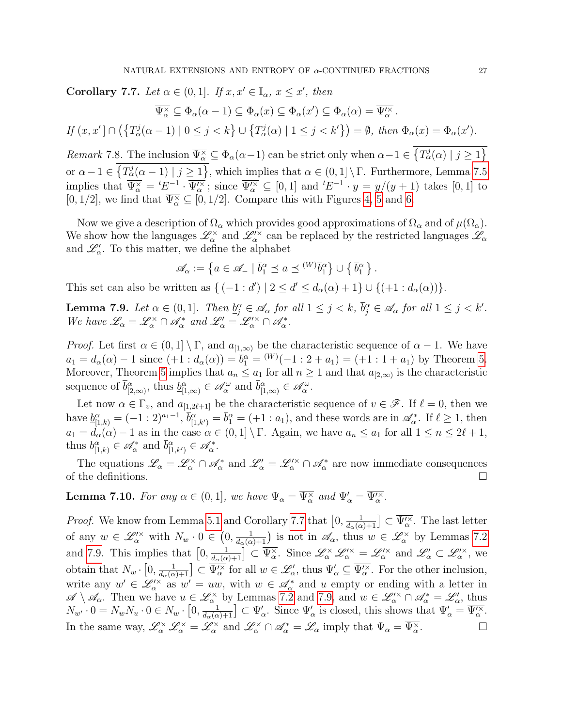<span id="page-26-0"></span>Corollary 7.7. Let  $\alpha \in (0,1]$ . If  $x, x' \in \mathbb{I}_{\alpha}, x \leq x'$ , then

$$
\overline{\Psi_{\alpha}^{\times}} \subseteq \Phi_{\alpha}(\alpha - 1) \subseteq \Phi_{\alpha}(x) \subseteq \Phi_{\alpha}(x') \subseteq \Phi_{\alpha}(\alpha) = \overline{\Psi_{\alpha}^{\times}}.
$$

$$
If (x, x') \cap (\{T_\alpha^j(\alpha - 1) \mid 0 \le j < k\} \cup \{T_\alpha^j(\alpha) \mid 1 \le j < k'\}) = \emptyset, then \ \Phi_\alpha(x) = \Phi_\alpha(x').
$$

Remark 7.8. The inclusion  $\overline{\Psi_{\alpha}^{\times}} \subseteq \Phi_{\alpha}(\alpha-1)$  can be strict only when  $\alpha-1 \in \{T_{\alpha}^{j}(\alpha) \mid j \geq 1\}$ or  $\alpha - 1 \in \{T_\alpha^j(\alpha - 1) \mid j \ge 1\}$ , which implies that  $\alpha \in (0, 1] \setminus \Gamma$ . Furthermore, Lemma [7.5](#page-24-5) implies that  $\overline{\Psi_{\alpha}^{\times}} = {}^{t}E^{-1} \cdot \overline{\Psi_{\alpha}^{\prime \times}}$ ; since  $\overline{\Psi_{\alpha}^{\prime \times}} \subseteq [0,1]$  and  ${}^{t}E^{-1} \cdot y = y/(y+1)$  takes  $[0,1]$  to  $[0, 1/2]$ , we find that  $\overline{\Psi^{\times}_{\alpha}} \subseteq [0, 1/2]$ . Compare this with Figures [4,](#page-30-0) [5](#page-30-1) and [6.](#page-31-1)

Now we give a description of  $\Omega_{\alpha}$  which provides good approximations of  $\Omega_{\alpha}$  and of  $\mu(\Omega_{\alpha})$ . We show how the languages  $\mathscr{L}_\alpha^\times$  and  $\mathscr{L}'^\times_\alpha$  can be replaced by the restricted languages  $\mathscr{L}_\alpha$ and  $\mathscr{L}'_\alpha$ . To this matter, we define the alphabet

$$
\mathscr{A}_{\alpha} := \left\{ a \in \mathscr{A}_{-} \mid \overline{b}_{1}^{\alpha} \preceq a \preceq {}^{(W)}\overline{b}_{1}^{\alpha} \right\} \cup \left\{ \overline{b}_{1}^{\alpha} \right\}.
$$

This set can also be written as  $\{(-1:d') | 2 \le d' \le d_\alpha(\alpha) + 1\} \cup \{(+1:d_\alpha(\alpha))\}.$ 

<span id="page-26-2"></span>**Lemma 7.9.** Let  $\alpha \in (0,1]$ . Then  $\underline{b}_{j}^{\alpha} \in \mathscr{A}_{\alpha}$  for all  $1 \leq j < k$ ,  $\overline{b}_{j}^{\alpha} \in \mathscr{A}_{\alpha}$  for all  $1 \leq j < k'$ . We have  $\mathscr{L}_{\alpha} = \mathscr{L}_{\alpha}^{\times} \cap \mathscr{A}_{\alpha}^{*}$  and  $\mathscr{L}_{\alpha}^{\prime} = \mathscr{L}_{\alpha}^{\prime \times} \cap \mathscr{A}_{\alpha}^{*}$ .

*Proof.* Let first  $\alpha \in (0,1] \setminus \Gamma$ , and  $a_{[1,\infty)}$  be the characteristic sequence of  $\alpha - 1$ . We have  $a_1 = d_\alpha(\alpha) - 1$  since  $(+1 : d_\alpha(\alpha)) = \overline{b}_1^\alpha = {^{(W)}(-1 : 2 + a_1) = (+1 : 1 + a_1)}$  by Theorem [5.](#page-7-0) Moreover, Theorem [5](#page-7-0) implies that  $a_n \leq a_1$  for all  $n \geq 1$  and that  $a_{[2,\infty)}$  is the characteristic sequence of  $\bar{b}^{\alpha}_{[2,\infty)}$ , thus  $\underline{b}^{\alpha}_{[1,\infty)} \in \mathscr{A}_{\alpha}^{\omega}$  and  $\bar{b}^{\alpha}_{[1,\infty)} \in \mathscr{A}_{\alpha}^{\omega}$ .

Let now  $\alpha \in \Gamma_v$ , and  $a_{[1,2\ell+1]}$  be the characteristic sequence of  $v \in \mathscr{F}$ . If  $\ell = 0$ , then we have  $\underline{b}_{[1,k)}^{\alpha} = (-1:2)^{a_1-1}, \overline{b}_{[1,k')}^{\alpha} = \overline{b}_1^{\alpha} = (+1: a_1)$ , and these words are in  $\mathscr{A}_{\alpha}^*$ . If  $\ell \geq 1$ , then  $a_1 = d_\alpha(\alpha) - 1$  as in the case  $\alpha \in (0,1] \setminus \Gamma$ . Again, we have  $a_n \le a_1$  for all  $1 \le n \le 2\ell + 1$ , thus  $\underline{b}_{[1,k)}^{\alpha} \in \mathscr{A}_{\alpha}^{*}$  and  $\overline{b}_{[1,k')}^{\alpha} \in \mathscr{A}_{\alpha}^{*}$ .

The equations  $\mathscr{L}_{\alpha} = \mathscr{L}_{\alpha}^{\times} \cap \mathscr{A}_{\alpha}^{*}$  and  $\mathscr{L}_{\alpha}' = \mathscr{L}_{\alpha}^{\times} \cap \mathscr{A}_{\alpha}^{*}$  are now immediate consequences of the definitions.

<span id="page-26-1"></span>**Lemma 7.10.** For any  $\alpha \in (0,1]$ , we have  $\Psi_{\alpha} = \overline{\Psi_{\alpha}^{\times}}$  and  $\Psi_{\alpha}' = \overline{\Psi_{\alpha}^{\prime \times}}$ .

*Proof.* We know from Lemma [5.1](#page-13-0) and Corollary [7.7](#page-26-0) that  $\left[0, \frac{1}{d_{\alpha}(\alpha)+1}\right] \subset \overline{\Psi_{\alpha}^{\prime \times}}$ . The last letter of any  $w \in \mathscr{L}'^{\times}_{\alpha}$  with  $N_w \cdot 0 \in (0, \frac{1}{d_{\alpha}(\alpha)+1})$  is not in  $\mathscr{A}_{\alpha}$ , thus  $w \in \mathscr{L}^{\times}_{\alpha}$  by Lemmas [7.2](#page-22-0) and [7.9.](#page-26-2) This implies that  $[0, \frac{1}{d_{\alpha}(\alpha)+1}] \subset \overline{\Psi_{\alpha}^{\times}}$ . Since  $\mathscr{L}_{\alpha}^{\times} \mathscr{L}_{\alpha}^{\prime\times} = \mathscr{L}_{\alpha}^{\prime\times}$  and  $\mathscr{L}_{\alpha}^{\prime} \subset \mathscr{L}_{\alpha}^{\prime\times}$ , we obtain that  $N_w \cdot [0, \frac{1}{d_\alpha(\alpha)+1}] \subset \overline{\Psi_\alpha^{\prime \times}}$  for all  $w \in \mathscr{L}'_\alpha$ , thus  $\Psi_\alpha \subseteq \overline{\Psi_\alpha^{\prime \times}}$ . For the other inclusion, write any  $w' \in \mathscr{L}'^{\times}_{\alpha}$  as  $w' = uw$ , with  $w \in \mathscr{A}^*_{\alpha}$  and u empty or ending with a letter in  $\mathscr{A}\setminus\mathscr{A}_\alpha$ . Then we have  $u\in\mathscr{L}_\alpha^\times$  by Lemmas [7.2](#page-22-0) and [7.9,](#page-26-2) and  $w\in\mathscr{L}'_\alpha^\times\cap\mathscr{A}_\alpha^*=\mathscr{L}'_\alpha$ , thus  $N_{w'} \cdot 0 = N_w N_u \cdot 0 \in N_w \cdot [0, \frac{1}{d_\alpha(\alpha) + 1}] \subset \Psi'_\alpha$ . Since  $\Psi'_\alpha$  is closed, this shows that  $\Psi'_\alpha = \overline{\Psi''_\alpha}$ . In the same way,  $\mathscr{L}_{\alpha}^{\times} \mathscr{L}_{\alpha}^{\times} = \mathscr{L}_{\alpha}^{\times}$  and  $\mathscr{L}_{\alpha}^{\times} \cap \mathscr{A}_{\alpha}^{*} = \mathscr{L}_{\alpha}$  imply that  $\Psi_{\alpha} = \overline{\Psi_{\alpha}^{\times}}$ .<br>. Последница и последница и последница и последница и последница и последница и последница и последница и по<br>. В последница и последница и последница и последница и последница и последница и последница и последница и по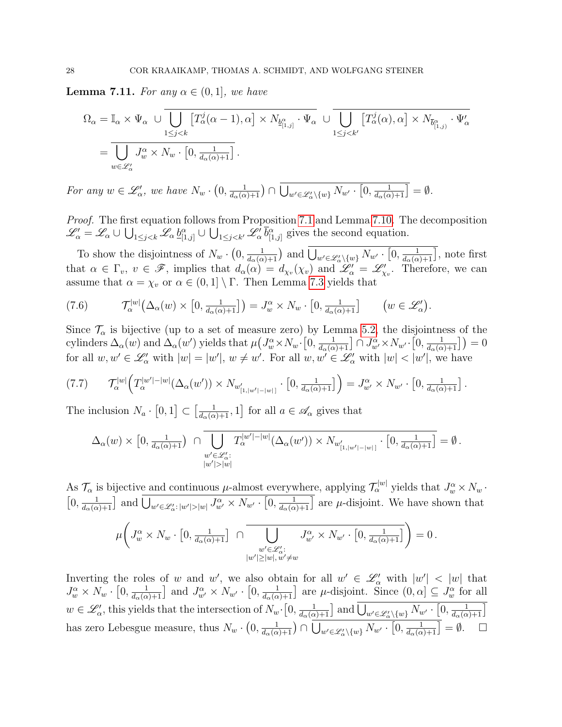<span id="page-27-0"></span>**Lemma 7.11.** For any  $\alpha \in (0,1]$ , we have

$$
\Omega_{\alpha} = \mathbb{I}_{\alpha} \times \Psi_{\alpha} \cup \overline{\bigcup_{1 \leq j < k} \left[ T_{\alpha}^{j}(\alpha - 1), \alpha \right] \times N_{\underline{b}_{[1,j]}^{\alpha}} \cdot \Psi_{\alpha}} \cup \overline{\bigcup_{1 \leq j < k'} \left[ T_{\alpha}^{j}(\alpha), \alpha \right] \times N_{\overline{b}_{[1,j]}^{\alpha}} \cdot \Psi_{\alpha}'}\right] \n= \overline{\bigcup_{w \in \mathscr{L}'_{\alpha}} J_{w}^{\alpha} \times N_{w} \cdot \left[ 0, \frac{1}{d_{\alpha}(\alpha) + 1} \right]}.
$$

For any  $w \in \mathscr{L}'_\alpha$ , we have  $N_w \cdot (0, \frac{1}{d_\alpha(\alpha)+1}) \cap \bigcup_{w' \in \mathscr{L}'_\alpha \setminus \{w\}} N_{w'} \cdot [0, \frac{1}{d_\alpha(\alpha)+1}] = \emptyset$ .

*Proof.* The first equation follows from Proposition [7.1](#page-22-2) and Lemma [7.10.](#page-26-1) The decomposition  $\mathscr{L}'_{\alpha} = \mathscr{L}_{\alpha} \cup \bigcup_{1 \leq j < k} \mathscr{L}_{\alpha} \underline{b}^{\alpha}_{[1,j]} \cup \bigcup_{1 \leq j < k'} \mathscr{L}'_{\alpha} \overline{b}^{\alpha}_{[1,j]}$  gives the second equation.

To show the disjointness of  $N_w \cdot (0, \frac{1}{d_\alpha(\alpha)+1})$  and  $\bigcup_{w' \in \mathscr{L}'_\alpha \setminus \{w\}} N_{w'} \cdot [0, \frac{1}{d_\alpha(\alpha)+1}]$ , note first that  $\alpha \in \Gamma_v$ ,  $v \in \mathscr{F}$ , implies that  $d_{\alpha}(\alpha) = d_{\chi_v}(\chi_v)$  and  $\mathscr{L}'_{\alpha} = \mathscr{L}'_{\chi_v}$ . Therefore, we can assume that  $\alpha = \chi_v$  or  $\alpha \in (0,1] \setminus \Gamma$ . Then Lemma [7.3](#page-23-0) yields that

<span id="page-27-1"></span>(7.6) 
$$
\mathcal{T}_{\alpha}^{|w|}(\Delta_{\alpha}(w) \times [0, \tfrac{1}{d_{\alpha}(\alpha)+1}]) = J_{w}^{\alpha} \times N_{w} \cdot [0, \tfrac{1}{d_{\alpha}(\alpha)+1}] \qquad (w \in \mathscr{L}'_{\alpha}).
$$

Since  $\mathcal{T}_{\alpha}$  is bijective (up to a set of measure zero) by Lemma [5.2,](#page-13-1) the disjointness of the cylinders  $\Delta_{\alpha}(w)$  and  $\Delta_{\alpha}(w')$  yields that  $\mu\left(J_{w}^{\alpha} \times N_{w} \cdot \left[0, \frac{1}{d_{\alpha}(\alpha)+1}\right] \cap J_{w'}^{\alpha} \times N_{w'} \cdot \left[0, \frac{1}{d_{\alpha}(\alpha)+1}\right]\right) = 0$ for all  $w, w' \in \mathscr{L}'_\alpha$  with  $|w| = |w'|$ ,  $w \neq w'$ . For all  $w, w' \in \mathscr{L}'_\alpha$  with  $|w| < |w'|$ , we have

<span id="page-27-2"></span>
$$
(7.7) \t\t \mathcal{T}_{\alpha}^{|w|}\Big(T_{\alpha}^{|w'|-|w|}(\Delta_{\alpha}(w')) \times N_{w'_{[1,|w'|-|w|]}} \cdot \left[0, \tfrac{1}{d_{\alpha}(\alpha)+1}\right]\Big) = J_{w'}^{\alpha} \times N_{w'} \cdot \left[0, \tfrac{1}{d_{\alpha}(\alpha)+1}\right].
$$

The inclusion  $N_a \cdot [0,1] \subset \left[\frac{1}{d_\alpha(\alpha)+1}, 1\right]$  for all  $a \in \mathscr{A}_\alpha$  gives that

$$
\Delta_{\alpha}(w) \times \left[0, \frac{1}{d_{\alpha}(\alpha)+1}\right) \cap \overline{\bigcup_{\substack{w' \in \mathscr{L}'_{\alpha}: \\ |w'| > |w|}} T_{\alpha}^{|w'|-|w|}(\Delta_{\alpha}(w')) \times N_{w'_{[1,|w'|-|w|]}} \cdot \left[0, \frac{1}{d_{\alpha}(\alpha)+1}\right] = \emptyset.
$$

As  $\mathcal{T}_{\alpha}$  is bijective and continuous  $\mu$ -almost everywhere, applying  $\mathcal{T}_{\alpha}^{[w]}$  yields that  $J_{w}^{\alpha} \times N_{w}$ .  $\left[0, \frac{1}{d_{\alpha}(\alpha)+1}\right]$  and  $\bigcup_{w'\in\mathscr{L}'_{\alpha}:|w'|>|w|}J_{w'}^{\alpha}\times N_{w'}\cdot\left[0, \frac{1}{d_{\alpha}(\alpha)+1}\right]$  are  $\mu$ -disjoint. We have shown that  $\mu$  $\sqrt{ }$  $J^{\alpha}_{w} \times N_{w} \cdot \left[0, \frac{1}{d_{\alpha}(\alpha)+1}\right] \cap \bigcup$  $w' \in \mathscr{L}'_\alpha$ :  $|w'|$  $|\geq|w|, w'\neq w$  $\overline{J_{w'}^{\alpha} \times N_{w'} \cdot \left[0, \frac{1}{d_{\alpha}(\alpha)+1}\right]}}$  $= 0$ .

Inverting the roles of w and w', we also obtain for all  $w' \in \mathcal{L}'_\alpha$  with  $|w'| < |w|$  that  $J^{\alpha}_{w} \times N_{w} \cdot [0, \frac{1}{d_{\alpha}(\alpha)+1}]$  and  $J^{\alpha}_{w'} \times N_{w'} \cdot [0, \frac{1}{d_{\alpha}(\alpha)+1}]$  are  $\mu$ -disjoint. Since  $(0, \alpha] \subseteq J^{\alpha}_{w}$  for all  $w \in \mathscr{L}'_{\alpha}$ , this yields that the intersection of  $N_w \cdot \left[0, \frac{1}{d_{\alpha}(\alpha)+1}\right]$  and  $\bigcup_{w' \in \mathscr{L}'_{\alpha} \setminus \{w\}} N_{w'} \cdot \left[0, \frac{1}{d_{\alpha}(\alpha)+1}\right]$ has zero Lebesgue measure, thus  $N_w \cdot (0, \frac{1}{d_\alpha(\alpha)+1}) \cap \overline{\bigcup_{w' \in \mathscr{L}'_\alpha \setminus \{w\}} N_{w'} \cdot [0, \frac{1}{d_\alpha(\alpha)+1}] } = \emptyset.$   $\Box$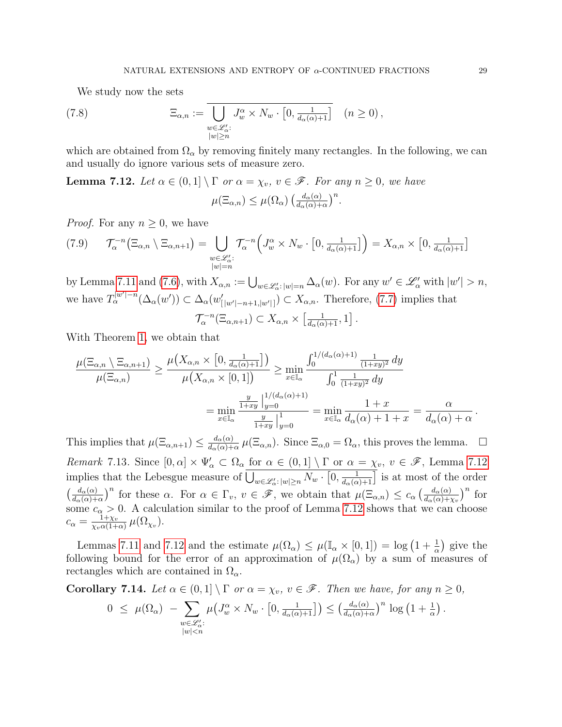<span id="page-28-2"></span>We study now the sets

(7.8) 
$$
\Xi_{\alpha,n} := \overline{\bigcup_{\substack{w \in \mathscr{L}'_{\alpha}: \\ |w| \ge n}} J^{\alpha}_{w} \times N_{w} \cdot [0, \frac{1}{d_{\alpha}(\alpha) + 1}]} \quad (n \ge 0),
$$

which are obtained from  $\Omega_{\alpha}$  by removing finitely many rectangles. In the following, we can and usually do ignore various sets of measure zero.

<span id="page-28-0"></span>**Lemma 7.12.** Let  $\alpha \in (0,1] \setminus \Gamma$  or  $\alpha = \chi_v$ ,  $v \in \mathscr{F}$ . For any  $n \geq 0$ , we have

$$
\mu(\Xi_{\alpha,n}) \leq \mu(\Omega_{\alpha}) \left( \frac{d_{\alpha}(\alpha)}{d_{\alpha}(\alpha)+\alpha} \right)^n.
$$

*Proof.* For any  $n \geq 0$ , we have

$$
(7.9) \qquad \mathcal{T}_{\alpha}^{-n}(\Xi_{\alpha,n} \setminus \Xi_{\alpha,n+1}) = \bigcup_{\substack{w \in \mathscr{L}'_{\alpha}: \\ |w|=n}} \mathcal{T}_{\alpha}^{-n} \Big( J_{w}^{\alpha} \times N_{w} \cdot \big[ 0, \frac{1}{d_{\alpha}(\alpha)+1} \big] \Big) = X_{\alpha,n} \times \big[ 0, \frac{1}{d_{\alpha}(\alpha)+1} \big]
$$

by Lemma [7.11](#page-27-0) and [\(7.6\)](#page-27-1), with  $X_{\alpha,n} := \bigcup_{w \in \mathscr{L}'_{\alpha} : |w|=n} \Delta_{\alpha}(w)$ . For any  $w' \in \mathscr{L}'_{\alpha}$  with  $|w'| > n$ , we have  $T_{\alpha}^{|w'|-n}(\Delta_{\alpha}(w')) \subset \Delta_{\alpha}(w'_{|w'|-n+1, |w'|}) \subset X_{\alpha,n}$ . Therefore, [\(7.7\)](#page-27-2) implies that

$$
\mathcal{T}_{\alpha}^{-n}(\Xi_{\alpha,n+1}) \subset X_{\alpha,n} \times \left[\frac{1}{d_{\alpha}(\alpha)+1},1\right].
$$

With Theorem [1,](#page-6-4) we obtain that

$$
\frac{\mu(\Xi_{\alpha,n}\setminus \Xi_{\alpha,n+1})}{\mu(\Xi_{\alpha,n})} \ge \frac{\mu(X_{\alpha,n}\times [0,\frac{1}{d_{\alpha}(\alpha)+1}])}{\mu(X_{\alpha,n}\times [0,1])} \ge \min_{x\in\mathbb{I}_{\alpha}} \frac{\int_0^{1/(d_{\alpha}(\alpha)+1)} \frac{1}{(1+xy)^2} dy}{\int_0^1 \frac{1}{(1+xy)^2} dy}
$$

$$
= \min_{x\in\mathbb{I}_{\alpha}} \frac{\frac{y}{1+xy}\Big|_y^{1/(d_{\alpha}(\alpha)+1)}}{\frac{y}{1+xy}\Big|_y^{1-0}} = \min_{x\in\mathbb{I}_{\alpha}} \frac{1+x}{d_{\alpha}(\alpha)+1+x} = \frac{\alpha}{d_{\alpha}(\alpha)+\alpha}.
$$

This implies that  $\mu(\Xi_{\alpha,n+1}) \leq \frac{d_{\alpha}(\alpha)}{d_{\alpha}(\alpha)+1}$  $\frac{d_{\alpha}(\alpha)}{d_{\alpha}(\alpha)+\alpha}$   $\mu(\Xi_{\alpha,n})$ . Since  $\Xi_{\alpha,0} = \Omega_{\alpha}$ , this proves the lemma.  $\Box$ Remark 7.13. Since  $[0, \alpha] \times \Psi'_\alpha \subset \Omega_\alpha$  for  $\alpha \in (0, 1] \setminus \Gamma$  or  $\alpha = \chi_v, v \in \mathscr{F}$ , Lemma [7.12](#page-28-0) implies that the Lebesgue measure of  $\bigcup_{w\in\mathscr{L}'_\alpha:|w|\geq n} N_w\cdot [0,\frac{1}{d_\alpha(\alpha)+1}]$  is at most of the order  $\left(\frac{d_{\alpha}(\alpha)}{d_{\alpha}(\alpha)+\alpha}\right)^n$  for these  $\alpha$ . For  $\alpha \in \Gamma_v$ ,  $v \in \mathscr{F}$ , we obtain that  $\mu(\Xi_{\alpha,n}) \leq c_{\alpha} \left(\frac{d_{\alpha}(\alpha)}{d_{\alpha}(\alpha)+\chi_v}\right)^n$  for some  $c_{\alpha} > 0$ . A calculation similar to the proof of Lemma [7.12](#page-28-0) shows that we can choose  $c_{\alpha} = \frac{1 + \chi_v}{\chi_v \alpha (1 + \chi_v)}$  $\frac{1+\chi_v}{\chi_v\alpha(1+\alpha)}\,\mu(\Omega_{\chi_v}).$ 

Lemmas [7.11](#page-27-0) and [7.12](#page-28-0) and the estimate  $\mu(\Omega_{\alpha}) \leq \mu(\mathbb{I}_{\alpha} \times [0,1]) = \log(1 + \frac{1}{\alpha})$  give the following bound for the error of an approximation of  $\mu(\Omega_{\alpha})$  by a sum of measures of rectangles which are contained in  $\Omega_{\alpha}$ .

<span id="page-28-1"></span>Corollary 7.14. Let  $\alpha \in (0,1] \setminus \Gamma$  or  $\alpha = \chi_v$ ,  $v \in \mathscr{F}$ . Then we have, for any  $n \geq 0$ ,

$$
0 \leq \mu(\Omega_{\alpha}) - \sum_{\substack{w \in \mathscr{L}'_{\alpha}: \\ |w| < n}} \mu\big(J_{w}^{\alpha} \times N_{w} \cdot \big[0, \frac{1}{d_{\alpha}(\alpha) + 1}\big]\big) \leq \big(\frac{d_{\alpha}(\alpha)}{d_{\alpha}(\alpha) + \alpha}\big)^{n} \log\big(1 + \frac{1}{\alpha}\big).
$$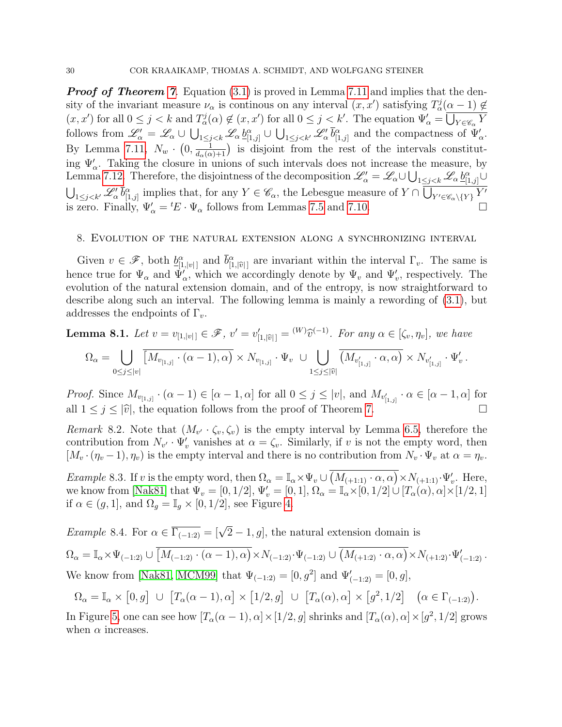**Proof of Theorem [7](#page-8-0).** Equation [\(3.1\)](#page-8-1) is proved in Lemma [7.11](#page-27-0) and implies that the density of the invariant measure  $\nu_{\alpha}$  is continous on any interval  $(x, x')$  satisfying  $T_{\alpha}^{j}(\alpha - 1) \notin$  $(x, x')$  for all  $0 \leq j < k$  and  $T_a^j(\alpha) \notin (x, x')$  for all  $0 \leq j < k'$ . The equation  $\Psi'_\alpha = \overline{\bigcup_{Y \in \mathscr{C}_\alpha} Y}$ follows from  $\mathscr{L}'_{\alpha} = \mathscr{L}_{\alpha} \cup \bigcup_{1 \leq j < k} \mathscr{L}_{\alpha} b^{\alpha}_{[1,j]} \cup \bigcup_{1 \leq j < k'} \mathscr{L}'_{\alpha} \overline{b}^{\alpha}_{[1,j]}$  and the compactness of  $\Psi'_{\alpha}$ . By Lemma [7.11,](#page-27-0)  $N_w \cdot (0, \frac{1}{d_{\alpha}(\alpha)+1})$  is disjoint from the rest of the intervals constituting  $\Psi'_{\alpha}$ . Taking the closure in unions of such intervals does not increase the measure, by Lemma [7.12.](#page-28-0) Therefore, the disjointness of the decomposition  $\mathscr{L}'_\alpha = \mathscr{L}_\alpha \cup \bigcup_{1 \leq j < k} \mathscr{L}_\alpha \underline{b}_{[1,j]}^\alpha \cup$  $\bigcup_{1 \leq j < k'} \mathcal{L}'_{\alpha} \bar{b}^{\alpha}_{[1,j]}$  implies that, for any  $Y \in \mathscr{C}_{\alpha}$ , the Lebesgue measure of  $Y \cap \overline{\bigcup_{Y' \in \mathscr{C}_{\alpha} \setminus \{Y\}} Y'}$ is zero. Finally,  $\Psi'_{\alpha} = {}^{t}E \cdot \Psi_{\alpha}$  follows from Lemmas [7.5](#page-24-5) and [7.10.](#page-26-1)

## <span id="page-29-0"></span>8. Evolution of the natural extension along a synchronizing interval

Given  $v \in \mathscr{F}$ , both  $\underline{b}_{[1,|v|]}^{\alpha}$  and  $\overline{b}_{[1,|\widehat{v}|]}^{\alpha}$  are invariant within the interval  $\Gamma_v$ . The same is hence true for  $\Psi_{\alpha}$  and  $\Psi'_{\alpha}$ , which we accordingly denote by  $\Psi_{v}$  and  $\Psi'_{v}$ , respectively. The evolution of the natural extension domain, and of the entropy, is now straightforward to describe along such an interval. The following lemma is mainly a rewording of [\(3.1\)](#page-8-1), but addresses the endpoints of  $\Gamma_v$ .

<span id="page-29-1"></span>**Lemma 8.1.** Let 
$$
v = v_{[1,|v|]} \in \mathcal{F}
$$
,  $v' = v'_{[1,|\widehat{v}|]} = {}^{(W)}\widehat{v}^{(-1)}$ . For any  $\alpha \in [\zeta_v, \eta_v]$ , we have  

$$
\Omega_{\alpha} = \begin{bmatrix} \prod_{w_{[1, \widehat{v}]} \in \alpha - 1, \alpha \end{bmatrix} \times N_{w_{[1, \widehat{v}]} \cdot \Psi_v} \cup \begin{bmatrix} \prod_{w'_{[1, \widehat{v}]} \in \alpha, \alpha \end{bmatrix} \times N_{v'_{[1, \widehat{v}]} \cdot \Psi_v'}
$$

$$
\Omega_{\alpha} = \bigcup_{0 \leq j \leq |v|} \left[ M_{v_{[1,j]}} \cdot (\alpha - 1), \alpha \right) \times N_{v_{[1,j]}} \cdot \Psi_v \cup \bigcup_{1 \leq j \leq |\widehat{v}|} \left( M_{v'_{[1,j]}} \cdot \alpha, \alpha \right) \times N_{v'_{[1,j]}} \cdot \Psi'_v \, .
$$

*Proof.* Since  $M_{v_{[1,j]}} \cdot (\alpha - 1) \in [\alpha - 1, \alpha]$  for all  $0 \le j \le |v|$ , and  $M_{v'_{[1,j]}} \cdot \alpha \in [\alpha - 1, \alpha]$  for all  $1 \leq j \leq |\hat{v}|$ , the equation follows from the proof of Theorem [7.](#page-8-0)

<span id="page-29-2"></span>Remark 8.2. Note that  $(M_{v'} \cdot \zeta_v, \zeta_v)$  is the empty interval by Lemma [6.5,](#page-16-3) therefore the contribution from  $N_{v'} \cdot \Psi'_v$  vanishes at  $\alpha = \zeta_v$ . Similarly, if v is not the empty word, then  $[M_v \cdot (\eta_v - 1), \eta_v]$  is the empty interval and there is no contribution from  $N_v \cdot \Psi_v$  at  $\alpha = \eta_v$ .

*Example* 8.3. If v is the empty word, then  $\Omega_{\alpha} = \mathbb{I}_{\alpha} \times \Psi_v \cup \overline{(M_{(+1:1)} \cdot \alpha, \alpha)} \times N_{(+1:1)} \cdot \Psi_v'.$  Here, we know from [\[Nak81\]](#page-41-2) that  $\Psi_v = [0, 1/2], \Psi'_v = [0, 1], \Omega_\alpha = \mathbb{I}_\alpha \times [0, 1/2] \cup [T_\alpha(\alpha), \alpha] \times [1/2, 1]$ if  $\alpha \in (g, 1]$ , and  $\Omega_g = \mathbb{I}_g \times [0, 1/2]$ , see Figure [4.](#page-30-0)

*Example* 8.4. For  $\alpha \in \overline{\Gamma_{(-1:2)}} = [\sqrt{2}-1, g]$ , the natural extension domain is

$$
\Omega_{\alpha} = \mathbb{I}_{\alpha} \times \Psi_{(-1:2)} \cup \overline{[M_{(-1:2)} \cdot (\alpha - 1), \alpha)} \times N_{(-1:2)} \cdot \Psi_{(-1:2)} \cup \overline{(M_{(+1:2)} \cdot \alpha, \alpha)} \times N_{(+1:2)} \cdot \Psi'_{(-1:2)}.
$$
  
We know from [Nak81, MCM99] that  $\Psi_{(-1:2)} = [0, g^2]$  and  $\Psi'_{(-1:2)} = [0, g]$ ,

$$
\Omega_{\alpha} = \mathbb{I}_{\alpha} \times [0, g] \cup [T_{\alpha}(\alpha - 1), \alpha] \times [1/2, g] \cup [T_{\alpha}(\alpha), \alpha] \times [g^2, 1/2] \quad (\alpha \in \Gamma_{(-1:2)}).
$$

In Figure [5,](#page-30-1) one can see how  $[T_\alpha(\alpha-1), \alpha] \times [1/2, g]$  shrinks and  $[T_\alpha(\alpha), \alpha] \times [g^2, 1/2]$  grows when  $\alpha$  increases.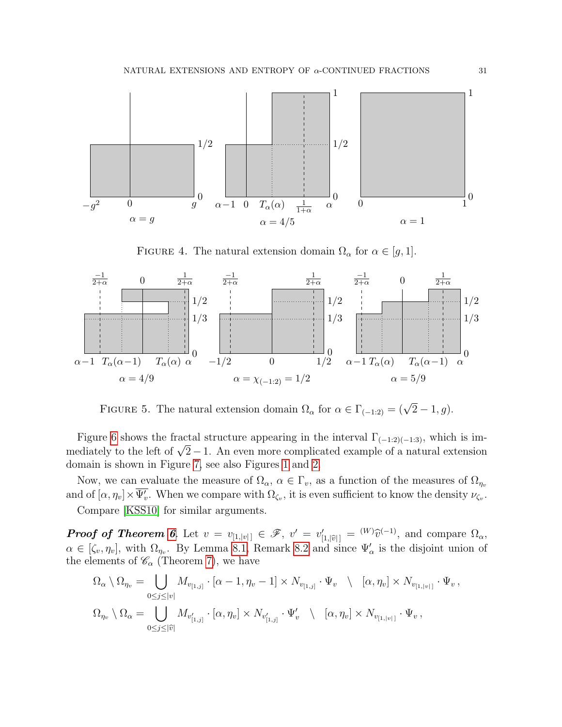

<span id="page-30-0"></span>FIGURE 4. The natural extension domain  $\Omega_{\alpha}$  for  $\alpha \in [g, 1]$ .



<span id="page-30-1"></span>FIGURE 5. The natural extension domain  $\Omega_{\alpha}$  for  $\alpha \in \Gamma_{(-1,2)} = (\sqrt{2} - 1, g)$ .

Figure [6](#page-31-1) shows the fractal structure appearing in the interval  $\Gamma_{(-1:2)(-1:3)}$ , which is imrigure o shows the fractal structure appearing in the litterval  $\Gamma_{(-1,2)(-1,3)}$ , which is im-<br>mediately to the left of  $\sqrt{2}-1$ . An even more complicated example of a natural extension domain is shown in Figure [7,](#page-31-0) see also Figures [1](#page-12-0) and [2.](#page-12-1)

Now, we can evaluate the measure of  $\Omega_{\alpha}$ ,  $\alpha \in \Gamma_{v}$ , as a function of the measures of  $\Omega_{\eta_{v}}$ and of  $[\alpha, \eta_v] \times \overline{\Psi_v'}$ . When we compare with  $\Omega_{\zeta_v}$ , it is even sufficient to know the density  $\nu_{\zeta_v}$ .

Compare [\[KSS10\]](#page-41-7) for similar arguments.

**Proof of Theorem [6](#page-7-1).** Let  $v = v_{[1, |v|]} \in \mathscr{F}$ ,  $v' = v'_{[1, |\hat{v}|]} = {}^{(W)}\hat{v}^{(-1)}$ , and compare  $\Omega_{\alpha}$ ,  $\alpha \in [\zeta_v, \eta_v]$ , with  $\Omega_{\eta_v}$ . By Lemma [8.1,](#page-29-1) Remark [8.2](#page-29-2) and since  $\Psi'_\alpha$  is the disjoint union of the elements of  $\mathcal{C}_{\alpha}$  (Theorem [7\)](#page-8-0), we have

$$
\Omega_{\alpha} \setminus \Omega_{\eta_v} = \bigcup_{0 \leq j \leq |v|} M_{v_{[1,j]}} \cdot [\alpha - 1, \eta_v - 1] \times N_{v_{[1,j]}} \cdot \Psi_v \setminus [\alpha, \eta_v] \times N_{v_{[1,|v|]}} \cdot \Psi_v,
$$
  

$$
\Omega_{\eta_v} \setminus \Omega_{\alpha} = \bigcup_{0 \leq j \leq |\widehat{v}|} M_{v'_{[1,j]}} \cdot [\alpha, \eta_v] \times N_{v'_{[1,j]}} \cdot \Psi'_v \setminus [\alpha, \eta_v] \times N_{v_{[1,|v|]}} \cdot \Psi_v,
$$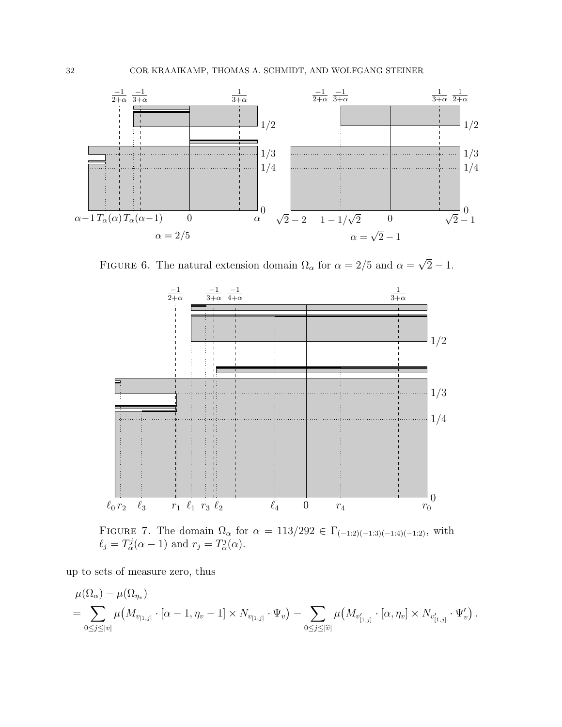

<span id="page-31-1"></span>FIGURE 6. The natural extension domain  $\Omega_{\alpha}$  for  $\alpha = 2/5$  and  $\alpha = \sqrt{\frac{2}{\pi}}$  $2 - 1.$ 



<span id="page-31-0"></span>FIGURE 7. The domain  $\Omega_{\alpha}$  for  $\alpha = 113/292 \in \Gamma_{(-1,2)(-1,3)(-1,4)(-1,2)}$ , with  $\ell_j = T_\alpha^j(\alpha - 1)$  and  $r_j = T_\alpha^j(\alpha)$ .

up to sets of measure zero, thus

$$
\mu(\Omega_{\alpha}) - \mu(\Omega_{\eta_{\nu}}) \n= \sum_{0 \leq j \leq |\nu|} \mu(M_{v_{[1,j]}} \cdot [\alpha - 1, \eta_{\nu} - 1] \times N_{v_{[1,j]}} \cdot \Psi_{\nu}) - \sum_{0 \leq j \leq |\hat{v}|} \mu(M_{v'_{[1,j]}} \cdot [\alpha, \eta_{\nu}] \times N_{v'_{[1,j]}} \cdot \Psi_{\nu}').
$$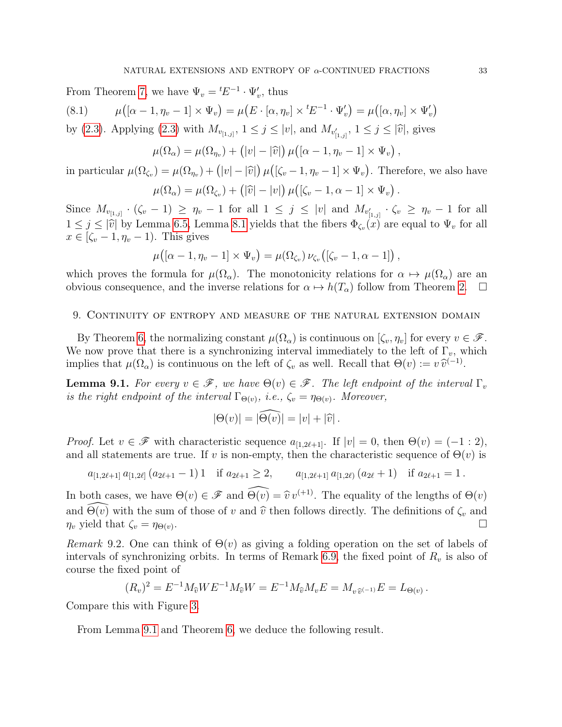<span id="page-32-3"></span>From Theorem [7,](#page-8-0) we have  $\Psi_v = {}^tE^{-1} \cdot \Psi'_v$ , thus  $(8.1)$  $((\alpha - 1, \eta_v - 1] \times \Psi_v) = \mu(E \cdot [\alpha, \eta_v] \times {}^tE^{-1} \cdot \Psi'_v) = \mu([\alpha, \eta_v] \times \Psi'_v)$ by [\(2.3\)](#page-4-1). Applying (2.3) with  $M_{v_{[1,j]}}$ ,  $1 \le j \le |v|$ , and  $M_{v'_{[1,j]}}$ ,  $1 \le j \le |\hat{v}|$ , gives

$$
\mu(\Omega_{\alpha}) = \mu(\Omega_{\eta_v}) + (|v| - |\widehat{v}|)\mu([\alpha - 1, \eta_v - 1] \times \Psi_v),
$$

in particular  $\mu(\Omega_{\zeta_v}) = \mu(\Omega_{\eta_v}) + (|v| - |\hat{v}|) \mu([\zeta_v - 1, \eta_v - 1] \times \Psi_v)$ . Therefore, we also have  $\mu(\Omega_{\alpha}) = \mu(\Omega_{\zeta_v}) + (|\widehat{v}| - |v|) \mu([\zeta_v - 1, \alpha - 1] \times \Psi_v).$ 

Since  $M_{v_{[1,j]}}\cdot(\zeta_v-1) \geq \eta_v-1$  for all  $1 \leq j \leq |v|$  and  $M_{v'_{[1,j]}}\cdot\zeta_v \geq \eta_v-1$  for all  $1 \leq j \leq |\hat{v}|$  by Lemma [6.5,](#page-16-3) Lemma [8.1](#page-29-1) yields that the fibers  $\Phi_{\zeta_v}(x)$  are equal to  $\Psi_v$  for all  $x \in [\zeta - 1, n - 1)$ . This gives  $x \in [\zeta_v - 1, \eta_v - 1]$ . This gives

$$
\mu([\alpha-1,\eta_v-1]\times\Psi_v)=\mu(\Omega_{\zeta_v})\,\nu_{\zeta_v}([\zeta_v-1,\alpha-1])\,,
$$

which proves the formula for  $\mu(\Omega_{\alpha})$ . The monotonicity relations for  $\alpha \mapsto \mu(\Omega_{\alpha})$  are an obvious consequence, and the inverse relations for  $\alpha \mapsto h(T_{\alpha})$  follow from Theorem [2.](#page-6-1)  $\Box$ 

#### <span id="page-32-1"></span>9. Continuity of entropy and measure of the natural extension domain

By Theorem [6,](#page-7-1) the normalizing constant  $\mu(\Omega_{\alpha})$  is continuous on  $[\zeta_v, \eta_v]$  for every  $v \in \mathscr{F}$ . We now prove that there is a synchronizing interval immediately to the left of  $\Gamma_v$ , which implies that  $\mu(\Omega_{\alpha})$  is continuous on the left of  $\zeta_v$  as well. Recall that  $\Theta(v) := v \hat{v}^{(-1)}$ .

<span id="page-32-2"></span>**Lemma 9.1.** For every  $v \in \mathscr{F}$ , we have  $\Theta(v) \in \mathscr{F}$ . The left endpoint of the interval  $\Gamma_v$ is the right endpoint of the interval  $\Gamma_{\Theta(v)}$ , i.e.,  $\zeta_v = \eta_{\Theta(v)}$ . Moreover,

$$
|\Theta(v)| = |\widehat{\Theta(v)}| = |v| + |\widehat{v}|.
$$

*Proof.* Let  $v \in \mathscr{F}$  with characteristic sequence  $a_{[1,2\ell+1]}$ . If  $|v| = 0$ , then  $\Theta(v) = (-1 : 2)$ , and all statements are true. If v is non-empty, then the characteristic sequence of  $\Theta(v)$  is

$$
a_{[1,2\ell+1]} a_{[1,2\ell]} (a_{2\ell+1}-1) 1 \quad \text{if } a_{2\ell+1} \geq 2, \qquad a_{[1,2\ell+1]} a_{[1,2\ell)} (a_{2\ell}+1) \quad \text{if } a_{2\ell+1} = 1.
$$

In both cases, we have  $\Theta(v) \in \mathscr{F}$  and  $\widehat{\Theta(v)} = \widehat{v} v^{(+1)}$ . The equality of the lengths of  $\Theta(v)$ and  $\widehat{\Theta(v)}$  with the sum of those of v and  $\widehat{v}$  then follows directly. The definitions of  $\zeta_v$  and  $\eta_v$  yield that  $\zeta_v = \eta_{\Theta(v)}$ .  $\eta_v$  yield that  $\zeta_v = \eta_{\Theta(v)}$ .

<span id="page-32-0"></span>Remark 9.2. One can think of  $\Theta(v)$  as giving a folding operation on the set of labels of intervals of synchronizing orbits. In terms of Remark [6.9,](#page-19-0) the fixed point of  $R_v$  is also of course the fixed point of

$$
(R_v)^2 = E^{-1} M_{\widehat{v}} W E^{-1} M_{\widehat{v}} W = E^{-1} M_{\widehat{v}} M_v E = M_{v \widehat{v}^{(-1)}} E = L_{\Theta(v)}.
$$

Compare this with Figure [3.](#page-20-0)

From Lemma [9.1](#page-32-2) and Theorem [6,](#page-7-1) we deduce the following result.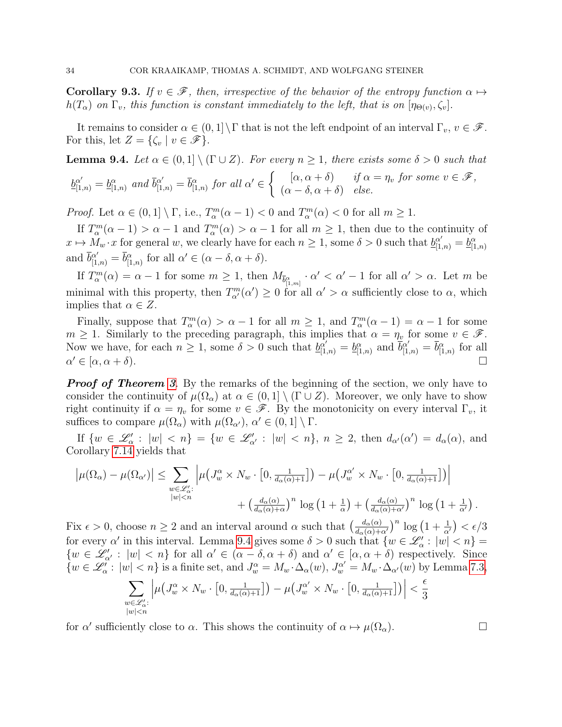**Corollary 9.3.** If  $v \in \mathcal{F}$ , then, irrespective of the behavior of the entropy function  $\alpha \mapsto$  $h(T_{\alpha})$  on  $\Gamma_v$ , this function is constant immediately to the left, that is on  $[\eta_{\Theta(v)}, \zeta_v]$ .

It remains to consider  $\alpha \in (0,1] \setminus \Gamma$  that is not the left endpoint of an interval  $\Gamma_v$ ,  $v \in \mathscr{F}$ . For this, let  $Z = \{ \zeta_v \mid v \in \mathscr{F} \}.$ 

<span id="page-33-0"></span>**Lemma 9.4.** Let  $\alpha \in (0,1] \setminus (\Gamma \cup Z)$ . For every  $n \geq 1$ , there exists some  $\delta > 0$  such that

$$
\underline{b}_{[1,n)}^{\alpha'} = \underline{b}_{[1,n)}^{\alpha} \text{ and } \overline{b}_{[1,n)}^{\alpha'} = \overline{b}_{[1,n)}^{\alpha} \text{ for all } \alpha' \in \left\{ \begin{array}{ll} [\alpha, \alpha + \delta) & \text{if } \alpha = \eta_v \text{ for some } v \in \mathcal{F}, \\ (\alpha - \delta, \alpha + \delta) & \text{else.} \end{array} \right.
$$

*Proof.* Let  $\alpha \in (0,1] \setminus \Gamma$ , i.e.,  $T_\alpha^m(\alpha - 1) < 0$  and  $T_\alpha^m(\alpha) < 0$  for all  $m \ge 1$ .

If  $T_\alpha^m(\alpha-1) > \alpha - 1$  and  $T_\alpha^m(\alpha) > \alpha - 1$  for all  $m \ge 1$ , then due to the continuity of  $x \mapsto M_w \cdot x$  for general w, we clearly have for each  $n \ge 1$ , some  $\delta > 0$  such that  $\underline{b}_{[1,n)}^{\alpha'} = \underline{b}_{[1,n]}^{\alpha}$ and  $\bar{b}_{[1,n)}^{\alpha'} = \bar{b}_{[1,n)}^{\alpha}$  for all  $\alpha' \in (\alpha - \delta, \alpha + \delta)$ .

If  $T_\alpha^m(\alpha) = \alpha - 1$  for some  $m \ge 1$ , then  $M_{\overline{b}_{[1,m]}^{\alpha}} \cdot \alpha' < \alpha' - 1$  for all  $\alpha' > \alpha$ . Let m be minimal with this property, then  $T_{\alpha}^{m}(\alpha') \geq 0$  for all  $\alpha' > \alpha$  sufficiently close to  $\alpha$ , which implies that  $\alpha \in Z$ .

Finally, suppose that  $T_{\alpha}^{m}(\alpha) > \alpha - 1$  for all  $m \ge 1$ , and  $T_{\alpha}^{m}(\alpha - 1) = \alpha - 1$  for some  $m \geq 1$ . Similarly to the preceding paragraph, this implies that  $\alpha = \eta_v$  for some  $v \in \mathscr{F}$ . Now we have, for each  $n \geq 1$ , some  $\delta > 0$  such that  $\underline{b}_{[1,n)}^{\alpha'} = \underline{b}_{[1,n)}^{\alpha}$  and  $\overline{b}_{[1,n)}^{\alpha'} = \overline{b}_{[1,n)}^{\alpha}$  for all  $\alpha' \in [\alpha, \alpha + \delta).$  $\mathcal{O}' \in [\alpha, \alpha + \delta).$ 

**Proof of Theorem [3](#page-6-2).** By the remarks of the beginning of the section, we only have to consider the continuity of  $\mu(\Omega_\alpha)$  at  $\alpha \in (0,1] \setminus (\Gamma \cup Z)$ . Moreover, we only have to show right continuity if  $\alpha = \eta_v$  for some  $v \in \mathscr{F}$ . By the monotonicity on every interval  $\Gamma_v$ , it suffices to compare  $\mu(\Omega_{\alpha})$  with  $\mu(\Omega_{\alpha'})$ ,  $\alpha' \in (0,1] \setminus \Gamma$ .

If  $\{w \in \mathscr{L}'_{\alpha} : |w| < n\} = \{w \in \mathscr{L}'_{\alpha'} : |w| < n\}, n \geq 2$ , then  $d_{\alpha'}(\alpha') = d_{\alpha}(\alpha)$ , and Corollary [7.14](#page-28-1) yields that

$$
\left| \mu(\Omega_{\alpha}) - \mu(\Omega_{\alpha'}) \right| \leq \sum_{\substack{w \in \mathcal{L}'_{\alpha}: \\ |w| < n}} \left| \mu\left(J^{\alpha}_{w} \times N_{w} \cdot \left[0, \frac{1}{d_{\alpha}(\alpha) + 1}\right]\right) - \mu\left(J^{\alpha'}_{w} \times N_{w} \cdot \left[0, \frac{1}{d_{\alpha}(\alpha) + 1}\right]\right) \right|
$$

$$
+ \left(\frac{d_{\alpha}(\alpha)}{d_{\alpha}(\alpha) + \alpha}\right)^{n} \log\left(1 + \frac{1}{\alpha}\right) + \left(\frac{d_{\alpha}(\alpha)}{d_{\alpha}(\alpha) + \alpha'}\right)^{n} \log\left(1 + \frac{1}{\alpha'}\right)
$$

Fix  $\epsilon > 0$ , choose  $n \ge 2$  and an interval around  $\alpha$  such that  $\left(\frac{d_{\alpha}(\alpha)}{d_{\alpha}(\alpha)+\alpha'}\right)^n \log\left(1+\frac{1}{\alpha'}\right) < \epsilon/3$ for every  $\alpha'$  in this interval. Lemma [9.4](#page-33-0) gives some  $\delta > 0$  such that  $\{w \in \mathscr{L}'_\alpha : |w| < n\} =$  $\{w \in \mathcal{L}'_{\alpha'} : |w| < n\}$  for all  $\alpha' \in (\alpha - \delta, \alpha + \delta)$  and  $\alpha' \in [\alpha, \alpha + \delta)$  respectively. Since  $\{w \in \mathscr{L}'_\alpha : |w| < n\}$  is a finite set, and  $J_w^\alpha = M_w \cdot \Delta_\alpha(w)$ ,  $J_w^{\alpha'} = M_w \cdot \Delta_{\alpha'}(w)$  by Lemma [7.3,](#page-23-0)

$$
\sum_{\substack{w \in \mathcal{L}'_{\alpha}: \\ |w| < n}} \left| \mu \big( J^{\alpha}_{w} \times N_{w} \cdot \big[ 0, \frac{1}{d_{\alpha}(\alpha) + 1} \big] \big) - \mu \big( J^{\alpha'}_{w} \times N_{w} \cdot \big[ 0, \frac{1}{d_{\alpha}(\alpha) + 1} \big] \big) \right| < \frac{\epsilon}{3}
$$

for  $\alpha'$  sufficiently close to  $\alpha$ . This shows the continuity of  $\alpha \mapsto \mu(\Omega_{\alpha})$ .

.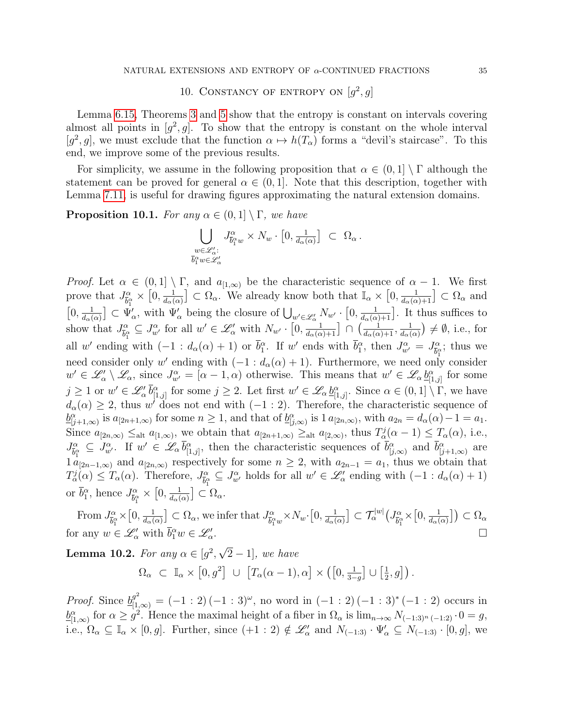# 10. CONSTANCY OF ENTROPY ON  $[g^2, g]$

<span id="page-34-0"></span>Lemma [6.15,](#page-21-2) Theorems [3](#page-6-2) and [5](#page-7-0) show that the entropy is constant on intervals covering almost all points in  $[g^2, g]$ . To show that the entropy is constant on the whole interval [g<sup>2</sup>, g], we must exclude that the function  $\alpha \mapsto h(T_{\alpha})$  forms a "devil's staircase". To this end, we improve some of the previous results.

For simplicity, we assume in the following proposition that  $\alpha \in (0,1] \setminus \Gamma$  although the statement can be proved for general  $\alpha \in (0,1]$ . Note that this description, together with Lemma [7.11,](#page-27-0) is useful for drawing figures approximating the natural extension domains.

<span id="page-34-1"></span>**Proposition 10.1.** For any  $\alpha \in (0,1] \setminus \Gamma$ , we have

$$
\bigcup_{\substack{w \in \mathscr{L}'_\alpha:\\ \overline{b}_1^{\alpha} w \in \mathscr{L}'_\alpha}} J_{\overline{b}_1^{\alpha} w}^{\alpha} \times N_w \cdot [0, \frac{1}{d_\alpha(\alpha)}] \subset \Omega_\alpha.
$$

*Proof.* Let  $\alpha \in (0,1] \setminus \Gamma$ , and  $a_{[1,\infty)}$  be the characteristic sequence of  $\alpha - 1$ . We first prove that  $J^{\alpha}_{\bar{k}^c}$  $\frac{\alpha}{\bar{b}_1^\alpha}\times \left[0,\frac{1}{d_\alpha(\alpha)}\right]$  $[0, \frac{1}{d(\alpha)}] \subset \Psi$  $\frac{1}{d_{\alpha}(\alpha)} \subset \Omega_{\alpha}$ . We already know both that  $\mathbb{I}_{\alpha} \times [0, \frac{1}{d_{\alpha}(\alpha)+1}] \subset \Omega_{\alpha}$  and  $\frac{1}{d_{\alpha}(\alpha)} \subset \Psi'_{\alpha}$ , with  $\Psi'_{\alpha}$  being the closure of  $\bigcup_{w' \in \mathscr{L}'_{\alpha}} N_{w'} \cdot [0, \frac{1}{d_{\alpha}(\alpha)+1}]$ . It thus suffices to show that  $J_{\bar{k}c}^{\alpha}$  $\frac{\partial}{\partial \alpha} \subseteq J_{w'}^{\alpha}$  for all  $w' \in \mathscr{L}'_{\alpha}$  with  $N_{w'} \cdot \left[0, \frac{1}{d_{\alpha}(\alpha)+1}\right] \cap \left(\frac{1}{d_{\alpha}(\alpha)+1}, \frac{1}{d_{\alpha}(\alpha)}\right)$  $\frac{1}{d_{\alpha}(\alpha)}$   $\neq \emptyset$ , i.e., for all w' ending with  $(-1 : d_\alpha(\alpha) + 1)$  or  $\bar{b}_1^\alpha$ . If w' ends with  $\bar{b}_1^\alpha$ , then  $J_{w'}^\alpha = J_{\bar{b}_1^\alpha}^\alpha$  $\frac{\alpha}{\overline{b}_1^{\alpha}}$ ; thus we need consider only w' ending with  $(-1 : d_{\alpha}(\alpha) + 1)$ . Furthermore, we need only consider  $w' \in \mathscr{L}'_{\alpha} \setminus \mathscr{L}_{\alpha}$ , since  $J^{\alpha}_{w'} = [\alpha - 1, \alpha)$  otherwise. This means that  $w' \in \mathscr{L}_{\alpha}$   $\underline{b}^{\alpha}_{[1,j]}$  for some  $j \geq 1$  or  $w' \in \mathscr{L}'_{\alpha}$   $\overline{b}^{\alpha}_{[1,j]}$  for some  $j \geq 2$ . Let first  $w' \in \mathscr{L}_{\alpha}$   $\underline{b}^{\alpha}_{[1,j]}$ . Since  $\alpha \in (0,1] \setminus \Gamma$ , we have  $d_{\alpha}(\alpha) \geq 2$ , thus w' does not end with  $(-1:2)$ . Therefore, the characteristic sequence of  $\underline{b}_{[j+1,\infty)}^{\alpha}$  is  $a_{[2n+1,\infty)}$  for some  $n \geq 1$ , and that of  $\underline{b}_{[j,\infty)}^{\alpha}$  is  $1 a_{[2n,\infty)}$ , with  $a_{2n} = d_{\alpha}(\alpha) - 1 = a_1$ . Since  $a_{[2n,\infty)} \leq_{\text{alt}} a_{[1,\infty)}$ , we obtain that  $a_{[2n+1,\infty)} \geq_{\text{alt}} a_{[2,\infty)}$ , thus  $T_\alpha^j(\alpha-1) \leq T_\alpha(\alpha)$ , i.e.,  $J^{\alpha}_{\overline{k}c}$  $\overline{b}_{\alpha}^{\alpha} \subseteq J_{w'}^{\alpha}$ . If  $w' \in \mathscr{L}_{\alpha}$   $\overline{b}_{[1,j]}^{\alpha}$ , then the characteristic sequences of  $\overline{b}_{[j,\infty)}^{\alpha}$  and  $\overline{b}_{[j+1,\infty)}^{\alpha}$  are  $1 a_{[2n-1,\infty)}$  and  $a_{[2n,\infty)}$  respectively for some  $n \geq 2$ , with  $a_{2n-1} = a_1$ , thus we obtain that  $T_{\alpha}^{j}(\alpha) \leq T_{\alpha}(\alpha)$ . Therefore,  $J_{\overline{b}S}^{\alpha}$  $\mathcal{L}^{\alpha}_{\overline{b}_1^{\alpha}} \subseteq J^{\alpha}_{w'}$  holds for all  $w' \in \mathcal{L}^{\prime}_{\alpha}$  ending with  $(-1 : d_{\alpha}(\alpha) + 1)$ or  $\bar{b}_1^{\alpha}$ , hence  $J_{\bar{b}_1^{\alpha}}^{\alpha}$  $\frac{\alpha}{\overline{b}_1^{\alpha}}\times\left[0,\frac{1}{d_{\alpha\beta}}\right]$  $\frac{1}{d_{\alpha}(\alpha)} \big] \subset \Omega_{\alpha}.$ 

From  $J^{\alpha}_{\bar{\mathbf{k}}^c}$  $\frac{\partial}{\partial \alpha} \times \left[0, \frac{1}{d \alpha}\right]$  $\frac{1}{d_{\alpha}(\alpha)}$   $\big] \subset \Omega_{\alpha}$ , we infer that  $J_{\bar{b}_{1}^{\alpha}}^{\alpha}$  $\frac{\partial}{\partial a} \alpha_{w} \times N_w \cdot \left[0, \frac{1}{d \alpha} \right]$  $\frac{1}{d_{\alpha}(\alpha)} \big] \subset \mathcal{T}_{\alpha}^{|w|} \big( J_{\widetilde{b}_{1}^{\alpha}}^{\alpha}$  $\frac{\partial}{\partial \alpha} \times [0, \frac{1}{d \alpha} ]$  $\frac{1}{d_{\alpha}(\alpha)}\big]\big)\subset\Omega_{\alpha}$ for any  $w \in \mathscr{L}'_\alpha$  with  $\bar{b}_1^{\alpha} w \in \mathscr{L}'_\alpha$ . В последните при последните се при последните се при последните се при последните се при последните си при<br>В последните се при последните се при последните се при последните се при последните се при последните се при

<span id="page-34-2"></span>**Lemma 10.2.** For any  $\alpha \in [g^2,$ √  $2-1$ , we have

$$
\Omega_{\alpha} \subset \mathbb{I}_{\alpha} \times [0, g^2] \cup [T_{\alpha}(\alpha - 1), \alpha] \times ([0, \frac{1}{3 - g}] \cup [\frac{1}{2}, g]).
$$

*Proof.* Since  $\underline{b}_{[1,\infty)}^{g^2} = (-1:2)(-1:3)^{\omega}$ , no word in  $(-1:2)(-1:3)^*(-1:2)$  occurs in  $\underline{b}_{[1,\infty)}^{\alpha}$  for  $\alpha \geq g^2$ . Hence the maximal height of a fiber in  $\Omega_{\alpha}$  is  $\lim_{n\to\infty} N_{(-1:3)^n(-1:2)} \cdot 0 = g$ , i.e.,  $\Omega_{\alpha} \subseteq \mathbb{I}_{\alpha} \times [0, g]$ . Further, since  $(+1: 2) \notin \mathscr{L}'_{\alpha}$  and  $N_{(-1:3)} \cdot \Psi'_{\alpha} \subseteq N_{(-1:3)} \cdot [0, g]$ , we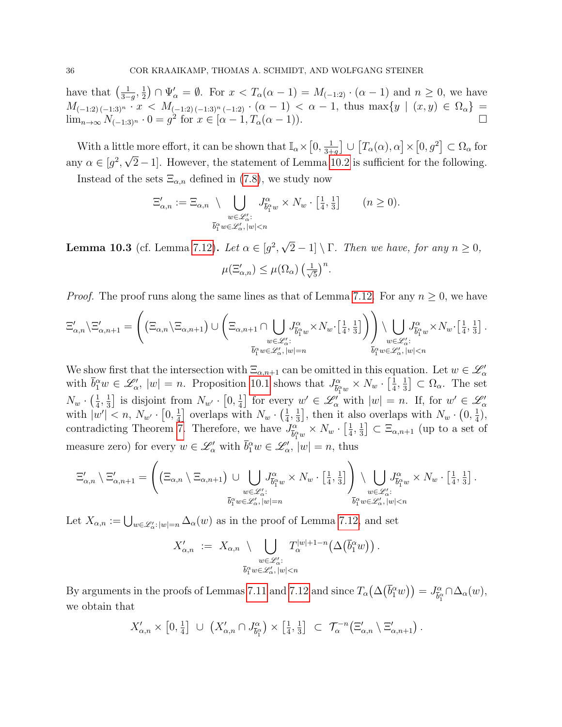have that  $\left(\frac{1}{3}\right)$  $\frac{1}{3-g}, \frac{1}{2}$  $\frac{1}{2}$ )  $\cap$   $\Psi'_{\alpha} = \emptyset$ . For  $x < T_{\alpha}(\alpha - 1) = M_{(-1,2)} \cdot (\alpha - 1)$  and  $n \geq 0$ , we have  $M_{(-1:2)(-1:3)^n} \cdot x \leq M_{(-1:2)(-1:3)^n}(-1:2) \cdot (\alpha-1) \leq \alpha-1$ , thus  $\max\{y \mid (x,y) \in \Omega_\alpha\}$ lim<sub>n→∞</sub>  $N_{(-1:3)^n} \cdot 0 = g^2$  for  $x \in [\alpha - 1, T_\alpha(\alpha - 1)).$ 

With a little more effort, it can be shown that  $\mathbb{I}_{\alpha} \times [0, \frac{1}{3+1}]$ Le more effort, it can be shown that  $\mathbb{I}_{\alpha} \times [0, \frac{1}{3+g}] \cup [T_{\alpha}(\alpha), \alpha] \times [0, g^2] \subset \Omega_{\alpha}$  for any  $\alpha \in [g^2, \sqrt{2}-1]$ . However, the statement of Lemma [10.2](#page-34-2) is sufficient for the following.

Instead of the sets  $\Xi_{\alpha,n}$  defined in [\(7.8\)](#page-28-2), we study now

$$
\Xi'_{\alpha,n} := \Xi_{\alpha,n} \setminus \bigcup_{\substack{w \in \mathscr{L}'_{\alpha}: \\ \overline{b}_1^{\alpha} w \in \mathscr{L}'_{\alpha}, |w| < n}} J^{\alpha}_{\overline{b}_1^{\alpha} w} \times N_w \cdot \left[\frac{1}{4}, \frac{1}{3}\right] \qquad (n \ge 0).
$$

<span id="page-35-0"></span>**Lemma 10.3** (cf. Lemma [7.12\)](#page-28-0). Let  $\alpha \in [g^2,$ √  $2-1$  \ Γ. Then we have, for any  $n \geq 0$ ,  $\mu(\Xi'_{\alpha,n}) \leq \mu(\Omega_{\alpha}) \left(\frac{1}{\sqrt{n}}\right)$  $\frac{1}{5}$ )<sup>n</sup>.

*Proof.* The proof runs along the same lines as that of Lemma [7.12.](#page-28-0) For any  $n \geq 0$ , we have

$$
\Xi'_{\alpha,n}\backslash \Xi'_{\alpha,n+1} = \left( \left( \Xi_{\alpha,n} \backslash \Xi_{\alpha,n+1} \right) \cup \left( \Xi_{\alpha,n+1} \cap \bigcup_{\substack{w \in \mathscr{L}'_{\alpha}: \\ \overline{b}_1^{\alpha} w \in \mathscr{L}'_{\alpha}, |w| = n}} J^{\alpha}_{\overline{b}_1^{\alpha} w} \times N_w \cdot \left[ \frac{1}{4}, \frac{1}{3} \right] \right) \right) \setminus \bigcup_{\substack{w \in \mathscr{L}'_{\alpha}: \\ \overline{b}_1^{\alpha} w \in \mathscr{L}'_{\alpha}, |w| < n}} J^{\alpha}_{\overline{b}_1^{\alpha} w} \times N_w \cdot \left[ \frac{1}{4}, \frac{1}{3} \right].
$$

We show first that the intersection with  $\Xi_{\alpha,n+1}$  can be omitted in this equation. Let  $w \in \mathscr{L}'_\alpha$ with  $\bar{b}_1^{\alpha} w \in \mathscr{L}'_{\alpha}$ ,  $|w| = n$ . Proposition [10.1](#page-34-1) shows that  $J_{\bar{b}_1^{\alpha}}^{\alpha}$  $\frac{\tilde{\omega}_{\alpha}}{\tilde{b}_{1}^{\alpha}w}\times N_{w}\cdot\left[\frac{1}{4}\right]$  $\frac{1}{4}, \frac{1}{3}$  $\frac{1}{3}$   $\subset \Omega_{\alpha}$ . The set  $N_w \cdot \left( \frac{1}{4} \right.$  $\frac{1}{4}, \frac{1}{3}$  $\frac{1}{3}$ ] is disjoint from  $N_{w'} \cdot [0, \frac{1}{4}]$  $\frac{1}{4}$  for every  $w' \in \mathscr{L}'_\alpha$  with  $|w| = n$ . If, for  $w' \in \mathscr{L}'_\alpha$ with  $|w'| < n, N_{w'} \cdot [0, \frac{1}{4}]$  $\frac{1}{4}$ ] overlaps with  $N_w \cdot \left(\frac{1}{4}\right)$  $\frac{1}{4}, \frac{1}{3}$  $\frac{1}{3}$ , then it also overlaps with  $N_w \cdot (0, \frac{1}{4})$ also overlaps with  $N_w \cdot (0, \frac{1}{4}),$ contradicting Theorem [7.](#page-8-0) Therefore, we have  $J_{\bar{k}c}^{\alpha}$  $\frac{\alpha}{\bar{b}_1^{\alpha}w}\times N_w\cdot\left[\frac{1}{4}\right]$  $\frac{1}{4}, \frac{1}{3}$  $\left[\frac{1}{3}\right] \subset \Xi_{\alpha,n+1}$  (up to a set of measure zero) for every  $w \in \mathscr{L}'_\alpha$  with  $\bar{b}_1^{\alpha} w \in \mathscr{L}'_\alpha$ ,  $|w| = n$ , thus

$$
\Xi'_{\alpha,n} \setminus \Xi'_{\alpha,n+1} = \left( \left( \Xi_{\alpha,n} \setminus \Xi_{\alpha,n+1} \right) \cup \bigcup_{\substack{w \in \mathscr{L}'_{\alpha}: \\ \bar{b}_1^{\alpha} w \in \mathscr{L}'_{\alpha}, |w| = n}} J^{\alpha}_{\bar{b}_1^{\alpha} w} \times N_w \cdot \left[ \frac{1}{4}, \frac{1}{3} \right] \right) \setminus \bigcup_{\substack{w \in \mathscr{L}'_{\alpha}: \\ \bar{b}_1^{\alpha} w \in \mathscr{L}'_{\alpha}, |w| < n}} J^{\alpha}_{\bar{b}_1^{\alpha} w} \times N_w \cdot \left[ \frac{1}{4}, \frac{1}{3} \right].
$$

Let  $X_{\alpha,n} := \bigcup_{w \in \mathscr{L}'_{\alpha}: |w|=n} \Delta_{\alpha}(w)$  as in the proof of Lemma [7.12,](#page-28-0) and set

$$
X'_{\alpha,n} := X_{\alpha,n} \setminus \bigcup_{\substack{w \in \mathscr{L}'_{\alpha}: \\ \overline{b}_1^{\alpha} w \in \mathscr{L}'_{\alpha}, |w| < n}} T_{\alpha}^{|w|+1-n}(\Delta(\overline{b}_1^{\alpha}w)) .
$$

By arguments in the proofs of Lemmas [7.11](#page-27-0) and [7.12](#page-28-0) and since  $T_{\alpha}(\Delta(\bar{b}_1^{\alpha}w)) = J_{\bar{b}_1^{\alpha}}^{\alpha}$  $\overline{b}_{1}^{\alpha} \cap \Delta_{\alpha}(w),$ we obtain that

$$
X'_{\alpha,n} \times [0, \frac{1}{4}] \cup (X'_{\alpha,n} \cap J_{\bar{b}_1^{\alpha}}) \times [\frac{1}{4}, \frac{1}{3}] \subset \mathcal{T}_{\alpha}^{-n}(\Xi'_{\alpha,n} \setminus \Xi'_{\alpha,n+1}).
$$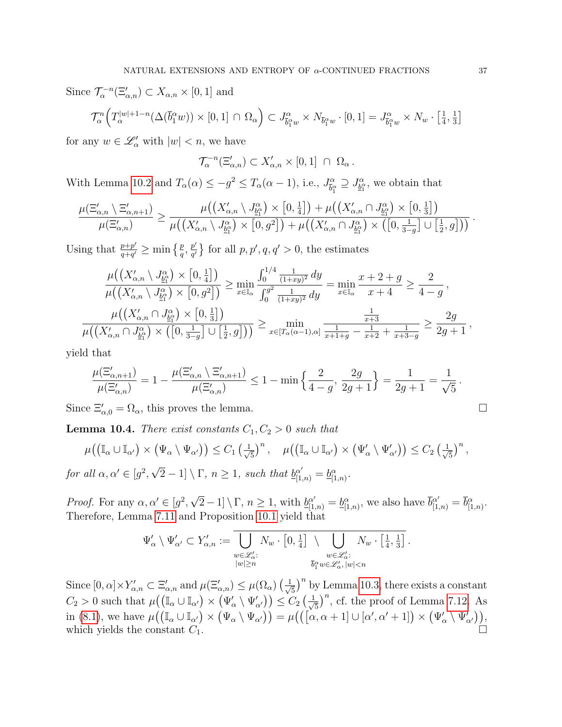Since  $\mathcal{T}_{\alpha}^{-n}(\Xi'_{\alpha,n}) \subset X_{\alpha,n} \times [0,1]$  and

$$
\mathcal{T}_{\alpha}^{n}\Big(T_{\alpha}^{|w|+1-n}(\Delta(\overline{b}_{1}^{\alpha}w))\times[0,1]\,\cap\,\Omega_{\alpha}\Big)\subset J_{\overline{b}_{1}^{\alpha}w}^{\alpha}\times N_{\overline{b}_{1}^{\alpha}w}\cdot[0,1]=J_{\overline{b}_{1}^{\alpha}w}^{\alpha}\times N_{w}\cdot\left[\frac{1}{4},\frac{1}{3}\right]
$$

for any  $w \in \mathscr{L}'_\alpha$  with  $|w| < n$ , we have

$$
\mathcal{T}_{\alpha}^{-n}(\Xi'_{\alpha,n}) \subset X'_{\alpha,n} \times [0,1] \cap \Omega_{\alpha}.
$$

With Lemma [10.2](#page-34-2) and  $T_{\alpha}(\alpha) \leq -g^2 \leq T_{\alpha}(\alpha-1)$ , i.e.,  $J_{\bar{k}c}^{\alpha}$  $\overline{b}_{\overline{1}}^{\alpha} \supseteq J_{\underline{b}_{1}}^{\alpha}$ , we obtain that

$$
\frac{\mu(\Xi'_{\alpha,n}\setminus \Xi'_{\alpha,n+1})}{\mu(\Xi'_{\alpha,n})}\geq \frac{\mu((X'_{\alpha,n}\setminus J_{\underline{\mathbb{B}}^{\alpha}_{1}}^{\alpha})\times [0,\frac{1}{4}]) + \mu((X'_{\alpha,n}\cap J_{\underline{\mathbb{B}}^{\alpha}_{1}}^{\alpha})\times [0,\frac{1}{3}])}{\mu((X'_{\alpha,n}\setminus J_{\underline{\mathbb{B}}^{\alpha}_{1}}^{\alpha})\times [0,g^{2}]) + \mu((X'_{\alpha,n}\cap J_{\underline{\mathbb{B}}^{\alpha}_{1}}^{\alpha})\times ([0,\frac{1}{3-g}]\cup [\frac{1}{2},g]))}.
$$

Using that  $\frac{p+p'}{q+a'}$  $\frac{p+p'}{q+q'}\geq \min\left\{\frac{p}{q},\frac{p'}{q'}\right\}$  $\frac{p'}{q'}\}$  for all  $p, p', q, q' > 0$ , the estimates

$$
\frac{\mu((X'_{\alpha,n} \setminus J^{\alpha}_{\underline{b}^{\alpha}_{1}}) \times [0, \frac{1}{4}])}{\mu((X'_{\alpha,n} \setminus J^{\alpha}_{\underline{b}^{\alpha}_{1}}) \times [0, g^{2}])} \ge \min_{x \in \mathbb{I}_{\alpha}} \frac{\int_{0}^{1/4} \frac{1}{(1+xy)^{2}} dy}{\int_{0}^{g^{2}} \frac{1}{(1+xy)^{2}} dy} = \min_{x \in \mathbb{I}_{\alpha}} \frac{x+2+g}{x+4} \ge \frac{2}{4-g},
$$
  

$$
\frac{\mu((X'_{\alpha,n} \cap J^{\alpha}_{\underline{b}^{\alpha}_{1}}) \times [0, \frac{1}{3}])}{\mu((X'_{\alpha,n} \cap J^{\alpha}_{\underline{b}^{\alpha}_{1}}) \times ([0, \frac{1}{3-g}] \cup [\frac{1}{2}, g]))} \ge \min_{x \in [T_{\alpha}(\alpha-1), \alpha]} \frac{\frac{1}{x+3}}{\frac{1}{x+1+g} - \frac{1}{x+2} + \frac{1}{x+3-g}} \ge \frac{2g}{2g+1},
$$

yield that

$$
\frac{\mu(\Xi'_{\alpha,n+1})}{\mu(\Xi'_{\alpha,n})}=1-\frac{\mu(\Xi'_{\alpha,n}\setminus\Xi'_{\alpha,n+1})}{\mu(\Xi'_{\alpha,n})}\leq 1-\min\left\{\frac{2}{4-g},\,\frac{2g}{2g+1}\right\}=\frac{1}{2g+1}=\frac{1}{\sqrt{5}}\,.
$$

Since  $\Xi'_{\alpha,0} = \Omega_{\alpha}$ , this proves the lemma.

<span id="page-36-0"></span>**Lemma 10.4.** There exist constants  $C_1, C_2 > 0$  such that

$$
\mu\big(\big(\mathbb{I}_{\alpha}\cup\mathbb{I}_{\alpha'}\big)\times\big(\Psi_{\alpha}\setminus\Psi_{\alpha'}\big)\big)\leq C_{1}\left(\frac{1}{\sqrt{5}}\right)^{n},\quad\mu\big(\big(\mathbb{I}_{\alpha}\cup\mathbb{I}_{\alpha'}\big)\times\big(\Psi'_{\alpha}\setminus\Psi'_{\alpha'}\big)\big)\leq C_{2}\left(\frac{1}{\sqrt{5}}\right)^{n}
$$
  
for all  $\alpha, \alpha' \in [g^{2}, \sqrt{2}-1] \setminus \Gamma$ ,  $n \geq 1$ , such that  $\underline{b}_{[1,n)}^{\alpha'} = \underline{b}_{[1,n]}^{\alpha}$ .

*Proof.* For any  $\alpha, \alpha' \in [g^2,$ √  $\overline{2} - 1] \setminus \Gamma$ ,  $n \ge 1$ , with  $\underline{b}_{[1,n)}^{\alpha'} = \underline{b}_{[1,n)}^{\alpha}$ , we also have  $\overline{b}_{[1,n)}^{\alpha'} = \overline{b}_{[1,n)}^{\alpha}$ .

Therefore, Lemma 7.11 and Proposition 10.1 yield that  
\n
$$
\Psi'_{\alpha} \setminus \Psi'_{\alpha'} \subset Y'_{\alpha,n} := \boxed{\phantom{a}}{\phantom{a}}{\phantom{a}}{\phantom{a}}{\phantom{a}}{\phantom{a}}{\phantom{a}}{\phantom{a}}{\phantom{a}}{\phantom{a}}{\phantom{a}}{\phantom{a}}{\phantom{a}}{\phantom{a}}{\phantom{a}}{\phantom{a}}{\phantom{a}}{\phantom{a}}{\phantom{a}}{\phantom{a}}{\phantom{a}}{\phantom{a}}{\phantom{a}}{\phantom{a}}{\phantom{a}}{\phantom{a}}{\phantom{a}}{\phantom{a}}{\phantom{a}}{\phantom{a}}{\phantom{a}}{\phantom{a}}{\phantom{a}}{\phantom{a}}{\phantom{a}}{\phantom{a}}{\phantom{a}}{\phantom{a}}{\phantom{a}}{\phantom{a}}{\phantom{a}}{\phantom{a}}{\phantom{a}}{\phantom{a}}{\phantom{a}}{\phantom{a}}{\phantom{a}}{\phantom{a}}{\phantom{a}}{\phantom{a}}{\phantom{a}}{\phantom{a}}{\phantom{a}}{\phantom{a}}{\phantom{a}}{\phantom{a}}{\phantom{a}}{\phantom{a}}{\phantom{a}}{\phantom{a}}{\phantom{a}}{\phantom{a}}{\phantom{a}}{\phantom{a}}{\phantom{a}}{\phantom{a}}{\phantom{a}}{\phantom{a}}{\phantom{a}}{\phantom{a}}{\phantom{a}}{\phantom{a}}{\phantom{a}}{\phantom{a}}{\phantom{a}}{\phantom{a}}{\phantom{a}}{\phantom{a}}{\phantom{a}}{\phantom{a}}{\phantom{a}}{\phantom{a}}{\phantom{a}}{\phantom{a}}{\phantom{a}}{\phantom{a}}{\phantom{a}}{\phantom{a}}{\phantom{a}}{\phantom{a}}{\phantom{a}}{\phantom{a}}{\phantom{a}}{\phantom{a}}{\phantom{a}}{\phantom{a}}{\phantom{a}}{\phantom{a}}{\phantom{a}}{\phantom{a}}{\phantom{a}}{\phantom{a}}{\phantom{a}}{\phantom{a}}{\phantom{a}}{\phantom{a}}{\phantom{a}}{\phantom{a}}{\phantom{a}}{\phantom{a}}{\phantom{a}}{\phantom{a}}{\phantom{a}}{\phantom{a}}{\phantom{a}}{\phantom{a}}{\phantom{a}}{\phantom{a}}{\phantom
$$

$$
\Psi'_{\alpha} \setminus \Psi'_{\alpha'} \subset Y'_{\alpha,n} := \bigcup_{\substack{w \in \mathcal{L}'_{\alpha}: \\ |w| \ge n}} N_w \cdot \left[0, \frac{1}{4}\right] \setminus \bigcup_{\substack{w \in \mathcal{L}'_{\alpha}: \\ \overline{b}_1^{\alpha} w \in \mathcal{L}'_{\alpha}: \\ \overline{b}_1^{\alpha} w \in \mathcal{L}'_{\alpha}, |w| < n}} N_w \cdot \left[\frac{1}{4}, \frac{1}{3}\right].
$$

Since  $[0, \alpha] \times Y'_{\alpha,n} \subset \Xi'_{\alpha,n}$  and  $\mu(\Xi'_{\alpha,n}) \leq \mu(\Omega_{\alpha}) \left(\frac{1}{\sqrt{5}}\right)^n$  by Lemma [10.3,](#page-35-0) there exists a constant 5  $C_2 > 0$  such that  $\mu((\mathbb{I}_{\alpha} \cup \mathbb{I}_{\alpha'}) \times (\Psi'_{\alpha} \setminus \Psi'_{\alpha'})) \leq C_2 \left(\frac{1}{\sqrt{\alpha}}\right)$  $(\frac{1}{5})^n$ , cf. the proof of Lemma [7.12.](#page-28-0) As in [\(8.1\)](#page-32-3), we have  $\mu((\mathbb{I}_{\alpha}\cup\mathbb{I}_{\alpha'})\times(\Psi_{\alpha}\setminus\Psi_{\alpha'}))=\mu((\vec{[\alpha,\alpha+1]}\cup[\alpha',\alpha'+1])\times(\Psi'_{\alpha}\setminus\Psi'_{\alpha'})),$ which yields the constant  $C_1$ .

,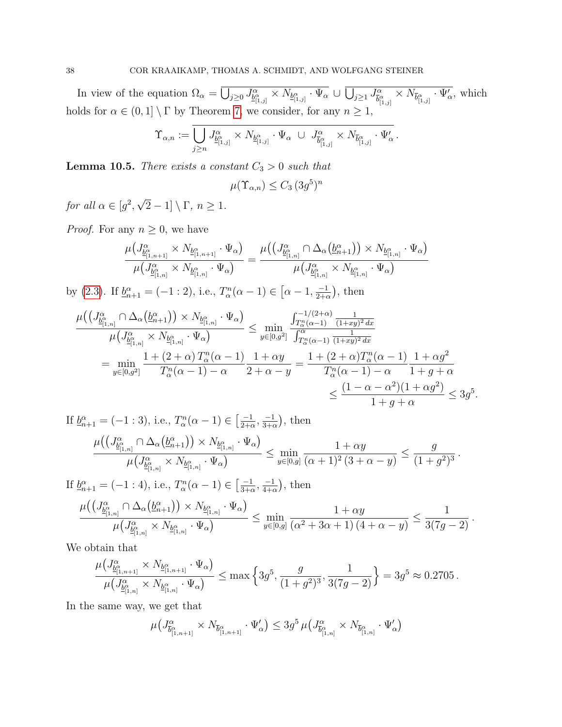In view of the equation  $\Omega_{\alpha} = \bigcup_{j\geq 0} J_{\underline{\beta}_{[1,j]}^{\alpha}}^{\alpha} \times N_{\underline{b}_{[1,j]}^{\alpha}} \cdot \Psi_{\alpha} \cup \bigcup_{j\geq 1} J_{\overline{\beta}_{[1,j]}^{\alpha}}^{\alpha}$  $\frac{\partial}{\partial \alpha} \times N_{\overline{b}^{\alpha}_{[1,j]}} \cdot \Psi'_{\alpha}$ , which holds for  $\alpha \in (0,1] \setminus \Gamma$  by Theorem [7,](#page-8-0) we consider, for any  $n \geq 1$ ,

$$
\Upsilon_{\alpha,n} := \overline{\bigcup_{j\geq n} J^\alpha_{\underline{b}^\alpha_{[1,j]}}\times N_{\underline{b}^\alpha_{[1,j]}}\cdot \Psi_\alpha\ \cup\ J^\alpha_{\overline{b}^\alpha_{[1,j]}}\times N_{\overline{b}^\alpha_{[1,j]}}\cdot \Psi'_\alpha}\,.
$$

<span id="page-37-0"></span>**Lemma 10.5.** There exists a constant  $C_3 > 0$  such that

$$
\mu(\Upsilon_{\alpha,n}) \le C_3 \, (3g^5)^n
$$

for all  $\alpha \in [g^2,$ √  $[2-1] \setminus \Gamma$ ,  $n \geq 1$ .

*Proof.* For any  $n \geq 0$ , we have

$$
\frac{\mu\left(J^{\alpha}_{\underline{b}^{\alpha}_{[1,n+1]}} \times N_{\underline{b}^{\alpha}_{[1,n+1]}} \cdot \Psi_{\alpha}\right)}{\mu\left(J^{\alpha}_{\underline{b}^{\alpha}_{[1,n]}} \times N_{\underline{b}^{\alpha}_{[1,n]}} \cdot \Psi_{\alpha}\right)} = \frac{\mu\left(\left(J^{\alpha}_{\underline{b}^{\alpha}_{[1,n]}} \cap \Delta_{\alpha}\left(\underline{b}^{\alpha}_{n+1}\right)\right) \times N_{\underline{b}^{\alpha}_{[1,n]}} \cdot \Psi_{\alpha}\right)}{\mu\left(J^{\alpha}_{\underline{b}^{\alpha}_{[1,n]}} \times N_{\underline{b}^{\alpha}_{[1,n]}} \cdot \Psi_{\alpha}\right)}
$$

by [\(2.3\)](#page-4-1). If  $\underline{b}_{n+1}^{\alpha} = (-1:2)$ , i.e.,  $T_{\alpha}^{n}(\alpha - 1) \in [\alpha - 1, \frac{-1}{2+\alpha}]$  $\frac{-1}{2+\alpha}$ , then

$$
\frac{\mu\left(\left(J^{\alpha}_{\underline{b}^{\alpha}_{[1,n]}} \cap \Delta_{\alpha}(\underline{b}^{\alpha}_{n+1})\right) \times N_{\underline{b}^{\alpha}_{[1,n]}} \cdot \Psi_{\alpha}\right)}{\mu\left(J^{\alpha}_{\underline{b}^{\alpha}_{[1,n]}} \times N_{\underline{b}^{\alpha}_{[1,n]}} \cdot \Psi_{\alpha}\right)} \leq \min_{y \in [0,g^2]} \frac{\int_{T^{\alpha}_{\alpha}(\alpha-1)}^{-1/(2+\alpha)} \frac{1}{(1+xy)^2 dx}}{\int_{T^{\alpha}_{\alpha}(\alpha-1)} \frac{1}{(1+xy)^2 dx}}}{\int_{T^{\alpha}_{\alpha}(\alpha-1)}^{\alpha} \frac{1}{(1+xy)^2 dx}} = \min_{y \in [0,g^2]} \frac{1 + (2+\alpha)T^{\alpha}_{\alpha}(\alpha-1)}{T^{\alpha}_{\alpha}(\alpha-1) - \alpha} \frac{1 + \alpha g^2}{2 + \alpha - y} = \frac{1 + (2+\alpha)T^{\alpha}_{\alpha}(\alpha-1)}{T^{\alpha}_{\alpha}(\alpha-1) - \alpha} \frac{1 + \alpha g^2}{1 + g + \alpha} \leq \frac{(1 - \alpha - \alpha^2)(1 + \alpha g^2)}{1 + g + \alpha} \leq 3g^5.
$$

If 
$$
\underline{b}_{n+1}^{\alpha} = (-1:3)
$$
, i.e.,  $T_{\alpha}^{n}(\alpha - 1) \in \left[\frac{-1}{2+\alpha}, \frac{-1}{3+\alpha}\right)$ , then  
\n
$$
\frac{\mu\left(\left(J_{\underline{b}_{[1,n]}^{\alpha}}^{\alpha} \cap \Delta_{\alpha}\left(\underline{b}_{n+1}^{\alpha}\right)\right) \times N_{\underline{b}_{[1,n]}^{\alpha}} \cdot \Psi_{\alpha}\right)}{\mu\left(J_{\underline{b}_{[1,n]}^{\alpha}}^{\alpha} \times N_{\underline{b}_{[1,n]}^{\alpha}} \cdot \Psi_{\alpha}\right)} \le \min_{y \in [0,g]} \frac{1+\alpha y}{(\alpha+1)^{2} (3+\alpha-y)} \le \frac{g}{(1+g^{2})^{3}}.
$$
\nIf  $b^{\alpha} = (-1:4)$ , i.e.,  $T_{\alpha}^{n}(\alpha - 1) \in \left[-1, -1\right)$ , then

If 
$$
\underline{b}_{n+1}^{\alpha} = (-1: 4)
$$
, i.e.,  $T_{\alpha}^{n}(\alpha - 1) \in \left[\frac{-1}{3+\alpha}, \frac{-1}{4+\alpha}\right)$ , then  
\n
$$
\frac{\mu\left(\left(J_{\underline{b}_{[1,n]}^{\alpha}}^{\alpha} \cap \Delta_{\alpha}(\underline{b}_{n+1}^{\alpha})\right) \times N_{\underline{b}_{[1,n]}^{\alpha}} \cdot \Psi_{\alpha}\right)}{\mu\left(J_{\underline{b}_{[1,n]}^{\alpha}} \times N_{\underline{b}_{[1,n]}^{\alpha}} \cdot \Psi_{\alpha}\right)} \le \min_{y \in [0,g]} \frac{1 + \alpha y}{(\alpha^{2} + 3\alpha + 1) (4 + \alpha - y)} \le \frac{1}{3(7g - 2)}.
$$

We obtain that

$$
\frac{\mu\big(J^{\alpha}_{\underline{b}^{\alpha}_{[1,n+1]}} \times N_{\underline{b}^{\alpha}_{[1,n+1]}} \cdot \Psi_{\alpha}\big)}{\mu\big(J^{\alpha}_{\underline{b}^{\alpha}_{[1,n]}} \times N_{\underline{b}^{\alpha}_{[1,n]}} \cdot \Psi_{\alpha}\big)} \leq \max\left\{3g^5, \frac{g}{(1+g^2)^3}, \frac{1}{3(7g-2)}\right\} = 3g^5 \approx 0.2705.
$$

In the same way, we get that

$$
\mu\big(J_{\overline{b}_{[1,n+1]}^{\alpha}} \times N_{\overline{b}_{[1,n+1]}^{\alpha}} \cdot \Psi'_{\alpha}\big) \leq 3g^5 \,\mu\big(J_{\overline{b}_{[1,n]}^{\alpha}} \times N_{\overline{b}_{[1,n]}^{\alpha}} \cdot \Psi'_{\alpha}\big)
$$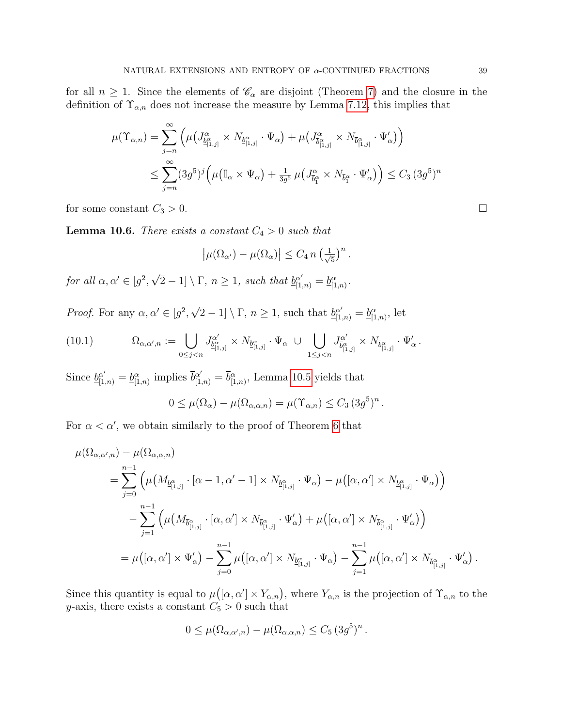for all  $n \geq 1$ . Since the elements of  $\mathcal{C}_{\alpha}$  are disjoint (Theorem [7\)](#page-8-0) and the closure in the definition of  $\Upsilon_{\alpha,n}$  does not increase the measure by Lemma [7.12,](#page-28-0) this implies that

$$
\mu(\Upsilon_{\alpha,n}) = \sum_{j=n}^{\infty} \left( \mu \left( J_{\underline{b}_{[1,j]}^{\alpha}}^{\alpha} \times N_{\underline{b}_{[1,j]}^{\alpha}} \cdot \Psi_{\alpha} \right) + \mu \left( J_{\overline{b}_{[1,j]}^{\alpha}}^{\alpha} \times N_{\overline{b}_{[1,j]}^{\alpha}} \cdot \Psi_{\alpha}' \right) \right)
$$
  

$$
\leq \sum_{j=n}^{\infty} (3g^5)^j \left( \mu \left( \mathbb{I}_{\alpha} \times \Psi_{\alpha} \right) + \frac{1}{3g^5} \mu \left( J_{\overline{b}_{1}^{\alpha}}^{\alpha} \times N_{\overline{b}_{1}^{\alpha}} \cdot \Psi_{\alpha}' \right) \right) \leq C_3 \left( 3g^5 \right)^n
$$

for some constant  $C_3 > 0$ .

<span id="page-38-0"></span>**Lemma 10.6.** There exists a constant  $C_4 > 0$  such that

$$
\left|\mu(\Omega_{\alpha'})-\mu(\Omega_{\alpha})\right| \leq C_4 n \left(\frac{1}{\sqrt{5}}\right)^n.
$$

for all  $\alpha, \alpha' \in [g^2,$ √  $\boxed{2} - 1 \rvert \setminus \Gamma, n \geq 1$ , such that  $\underline{b}_{[1,n)}^{\alpha'} = \underline{b}_{[1,n)}^{\alpha}$ .

*Proof.* For any  $\alpha, \alpha' \in [g^2,$ √  $\overline{2} - 1] \setminus \Gamma$ ,  $n \ge 1$ , such that  $\underline{b}_{[1,n)}^{\alpha'} = \underline{b}_{[1,n)}^{\alpha}$ , let

$$
(10.1) \t\Omega_{\alpha,\alpha',n} := \bigcup_{0 \leq j < n} J_{\underline{b}_{[1,j]}^{\alpha'}}^{\alpha'} \times N_{\underline{b}_{[1,j]}^{\alpha}} \cdot \Psi_{\alpha} \cup \bigcup_{1 \leq j < n} J_{\overline{b}_{[1,j]}^{\alpha'}}^{\alpha'} \times N_{\overline{b}_{[1,j]}^{\alpha}} \cdot \Psi_{\alpha}'.
$$

Since  $\underline{b}_{[1,n)}^{\alpha'} = \underline{b}_{[1,n)}^{\alpha}$  implies  $\overline{b}_{[1,n)}^{\alpha'} = \overline{b}_{[1,n)}^{\alpha}$ , Lemma [10.5](#page-37-0) yields that

$$
0 \leq \mu(\Omega_{\alpha}) - \mu(\Omega_{\alpha,\alpha,n}) = \mu(\Upsilon_{\alpha,n}) \leq C_3 \, (3g^5)^n \, .
$$

For  $\alpha < \alpha'$ , we obtain similarly to the proof of Theorem [6](#page-7-1) that

$$
\mu(\Omega_{\alpha,\alpha',n}) - \mu(\Omega_{\alpha,\alpha,n})
$$
\n
$$
= \sum_{j=0}^{n-1} \left( \mu\left(M_{\underline{b}_{[1,j]}^{\alpha}} \cdot [\alpha-1,\alpha'-1] \times N_{\underline{b}_{[1,j]}^{\alpha}} \cdot \Psi_{\alpha}\right) - \mu\left([\alpha,\alpha'] \times N_{\underline{b}_{[1,j]}^{\alpha}} \cdot \Psi_{\alpha}\right) \right)
$$
\n
$$
- \sum_{j=1}^{n-1} \left( \mu\left(M_{\overline{b}_{[1,j]}^{\alpha}} \cdot [\alpha,\alpha'] \times N_{\overline{b}_{[1,j]}^{\alpha}} \cdot \Psi_{\alpha}'\right) + \mu\left([\alpha,\alpha'] \times N_{\overline{b}_{[1,j]}^{\alpha}} \cdot \Psi_{\alpha}'\right) \right)
$$
\n
$$
= \mu\left([\alpha,\alpha'] \times \Psi_{\alpha}'\right) - \sum_{j=0}^{n-1} \mu\left([\alpha,\alpha'] \times N_{\underline{b}_{[1,j]}^{\alpha}} \cdot \Psi_{\alpha}\right) - \sum_{j=1}^{n-1} \mu\left([\alpha,\alpha'] \times N_{\overline{b}_{[1,j]}^{\alpha}} \cdot \Psi_{\alpha}'\right).
$$

Since this quantity is equal to  $\mu([\alpha, \alpha'] \times Y_{\alpha,n})$ , where  $Y_{\alpha,n}$  is the projection of  $\Upsilon_{\alpha,n}$  to the y-axis, there exists a constant  $C_5 > 0$  such that

$$
0 \leq \mu(\Omega_{\alpha,\alpha',n}) - \mu(\Omega_{\alpha,\alpha,n}) \leq C_5 \,(3g^5)^n.
$$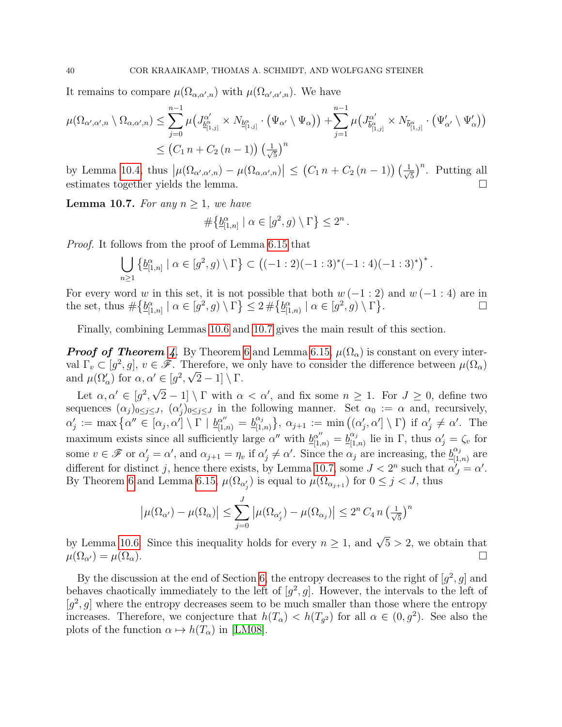It remains to compare  $\mu(\Omega_{\alpha,\alpha',n})$  with  $\mu(\Omega_{\alpha',\alpha',n})$ . We have

$$
\mu(\Omega_{\alpha',\alpha',n} \setminus \Omega_{\alpha,\alpha',n}) \leq \sum_{j=0}^{n-1} \mu\left(J_{\underline{b}_{[1,j]}^{\alpha'}}^{\alpha'} \times N_{\underline{b}_{[1,j]}^{\alpha}} \cdot (\Psi_{\alpha'} \setminus \Psi_{\alpha})\right) + \sum_{j=1}^{n-1} \mu\left(J_{\overline{b}_{[1,j]}^{\alpha'}}^{\alpha'} \times N_{\overline{b}_{[1,j]}^{\alpha}} \cdot (\Psi_{\alpha'}' \setminus \Psi_{\alpha}')\right)
$$
  

$$
\leq (C_1 n + C_2 (n-1)) \left(\frac{1}{\sqrt{5}}\right)^n
$$

by Lemma [10.4,](#page-36-0) thus  $|\mu(\Omega_{\alpha',\alpha',n}) - \mu(\Omega_{\alpha,\alpha',n})| \leq (C_1 n + C_2 (n-1)) \left(\frac{1}{\sqrt{n}}\right)$  $(\frac{1}{5})^n$ . Putting all estimates together yields the lemma.

<span id="page-39-0"></span>**Lemma 10.7.** For any  $n \geq 1$ , we have

$$
\#\big\{\underline{b}_{[1,n]}^{\alpha}\mid \alpha\in[g^2,g)\setminus\Gamma\big\}\leq 2^n.
$$

Proof. It follows from the proof of Lemma [6.15](#page-21-2) that

$$
\bigcup_{n\geq 1} \left\{ \underline{b}_{[1,n]}^{\alpha} \mid \alpha \in [g^2, g) \setminus \Gamma \right\} \subset \left( (-1:2)(-1:3)^*(-1:4)(-1:3)^* \right)^*
$$

.

For every word w in this set, it is not possible that both  $w(-1:2)$  and  $w(-1:4)$  are in the set, thus  $\#\{\underline{b}_{[1,n]}^{\alpha} \mid \alpha \in [g^2, g) \setminus \Gamma\} \leq 2 \#\{\underline{b}_{[1,n]}^{\alpha} \mid \alpha \in [g^2, g) \setminus \Gamma\}$ .

Finally, combining Lemmas [10.6](#page-38-0) and [10.7](#page-39-0) gives the main result of this section.

**Proof of Theorem [4](#page-6-3).** By Theorem [6](#page-7-1) and Lemma [6.15,](#page-21-2)  $\mu(\Omega_{\alpha})$  is constant on every interval  $\Gamma_v \subset [g^2, g], v \in \mathscr{F}$ . Therefore, we only have to consider the difference between  $\mu(\Omega_\alpha)$ and  $\mu(\Omega'_\alpha)$  for  $\alpha, \alpha' \in [g^2, \sqrt{2}-1] \setminus \Gamma$ . √

Let  $\alpha, \alpha' \in [g^2,$  $\overline{2} - 1$  \  $\Gamma$  with  $\alpha < \alpha'$ , and fix some  $n \geq 1$ . For  $J \geq 0$ , define two sequences  $(\alpha_j)_{0 \leq j \leq J}$ ,  $(\alpha'_j)_{0 \leq j \leq J}$  in the following manner. Set  $\alpha_0 := \alpha$  and, recursively,  $\alpha'_j \,:=\, \max\big\{\alpha''\in \overline{[\alpha_j,\alpha']}\setminus \overline{\Gamma}\,\,|\,\, \underline{b}_{[1,n)}^{\alpha''} \,=\, \underline{b}_{[1,n)}^{\alpha_j}$  $\begin{array}{c} \alpha_j \ (\alpha_{j+1}) \end{array}$ ;  $\alpha_{j+1} := \min ((\alpha'_j, \alpha' ] \setminus \Gamma)$  if  $\alpha'_j \neq \alpha'$ . The maximum exists since all sufficiently large  $\alpha''$  with  $\underline{b}_{[1,n)}^{\alpha''} = \underline{b}_{[1,n]}^{\alpha_j}$  $\chi_{[1,n)}^{\alpha_j}$  lie in  $\Gamma$ , thus  $\alpha'_j = \zeta_v$  for some  $v \in \mathscr{F}$  or  $\alpha'_j = \alpha'$ , and  $\alpha_{j+1} = \eta_v$  if  $\alpha'_j \neq \alpha'$ . Since the  $\alpha_j$  are increasing, the  $\underline{b}_{[1, 1]}^{\alpha_j}$  $\frac{\alpha_j}{[1,n)}$  are different for distinct j, hence there exists, by Lemma [10.7,](#page-39-0) some  $J < 2<sup>n</sup>$  such that  $\alpha'_{J} = \alpha'$ . By Theorem [6](#page-7-1) and Lemma [6.15,](#page-21-2)  $\mu(\Omega_{\alpha'_j})$  is equal to  $\mu(\Omega_{\alpha_{j+1}})$  for  $0 \leq j < J$ , thus

$$
\left|\mu(\Omega_{\alpha'})-\mu(\Omega_{\alpha})\right| \leq \sum_{j=0}^{J} \left|\mu(\Omega_{\alpha'_j})-\mu(\Omega_{\alpha_j})\right| \leq 2^n C_4 n \left(\frac{1}{\sqrt{5}}\right)^n
$$

by Lemma [10.6.](#page-38-0) Since this inequality holds for every  $n \geq 1$ , and  $\sqrt{5} > 2$ , we obtain that  $\mu(\Omega_{\alpha'}) = \mu(\Omega_{\alpha}).$ 

By the discussion at the end of Section [6,](#page-15-1) the entropy decreases to the right of  $[g^2, g]$  and behaves chaotically immediately to the left of  $[g^2, g]$ . However, the intervals to the left of  $[g^2, g]$  where the entropy decreases seem to be much smaller than those where the entropy increases. Therefore, we conjecture that  $h(T_\alpha) < h(T_{g^2})$  for all  $\alpha \in (0, g^2)$ . See also the plots of the function  $\alpha \mapsto h(T_\alpha)$  in [\[LM08\]](#page-41-5).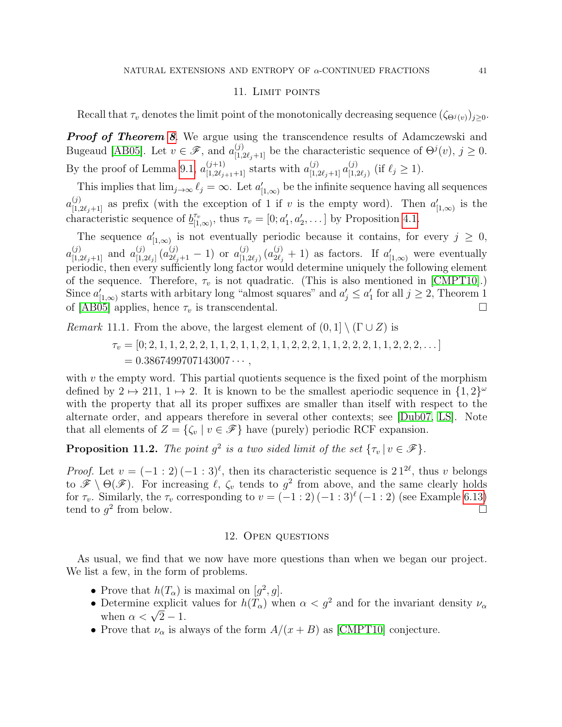## 11. LIMIT POINTS

<span id="page-40-0"></span>Recall that  $\tau_v$  denotes the limit point of the monotonically decreasing sequence  $(\zeta_{\Theta^j(v)})_{i\geq 0}$ .

**Proof of Theorem [8](#page-8-2).** We argue using the transcendence results of Adamczewski and Bugeaud [\[AB05\]](#page-41-12). Let  $v \in \mathscr{F}$ , and  $a_{[1,2\ell_j+1]}^{(j)}$  be the characteristic sequence of  $\Theta^j(v)$ ,  $j \geq 0$ . By the proof of Lemma [9.1,](#page-32-2)  $a_{[1,2\ell_{j+1}+1]}^{(j+1)}$  starts with  $a_{[1,2\ell_{j}+1]}^{(j)} a_{[1,i]}^{(j)}$  $_{[1,2\ell_j)}^{(j)}$  (if  $\ell_j \geq 1$ ).

This implies that  $\lim_{j\to\infty} \ell_j = \infty$ . Let  $a'_{[1,\infty)}$  be the infinite sequence having all sequences  $a_{[1,2\ell_j+1]}^{(j)}$  as prefix (with the exception of 1 if v is the empty word). Then  $a'_{[1,\infty)}$  is the characteristic sequence of  $\underline{b}_{11}^{\tau_v}$  $\tau_{\nu}^{\tau_v}$ , thus  $\tau_v = [0; a'_1, a'_2, \dots]$  by Proposition [4.1.](#page-9-1)

The sequence  $a'_{[1,\infty)}$  is not eventually periodic because it contains, for every  $j \geq 0$ ,  $a^{(j)}_{[1,2\ell_j+1]}$  and  $a^{(j)}_{[1,2]}$  $\stackrel{(j)}{_{[1,2\ell_j]}} (a_{2\ell_j+1}^{(j)}-1) \ \text{or} \ a_{[1,i]}^{(j)}$  $\lim_{(1,2\ell_j)} (a_{2\ell_j}^{(j)} + 1)$  as factors. If  $a'_{[1,\infty)}$  were eventually periodic, then every sufficiently long factor would determine uniquely the following element of the sequence. Therefore,  $\tau_v$  is not quadratic. (This is also mentioned in [\[CMPT10\]](#page-41-9).) Since  $a'_{[1,\infty)}$  starts with arbitary long "almost squares" and  $a'_j \le a'_1$  for all  $j \ge 2$ , Theorem 1 of [\[AB05\]](#page-41-12) applies, hence  $\tau_v$  is transcendental.

*Remark* 11.1. From the above, the largest element of  $(0,1] \setminus (\Gamma \cup Z)$  is

$$
\tau_v = [0; 2, 1, 1, 2, 2, 2, 1, 1, 2, 1, 1, 2, 1, 1, 2, 2, 2, 1, 1, 2, 2, 2, 1, 1, 2, 2, 2, \dots]
$$
  
= 0.3867499707143007...

with  $v$  the empty word. This partial quotients sequence is the fixed point of the morphism defined by  $2 \mapsto 211$ ,  $1 \mapsto 2$ . It is known to be the smallest aperiodic sequence in  $\{1,2\}^{\omega}$ with the property that all its proper suffixes are smaller than itself with respect to the alternate order, and appears therefore in several other contexts; see [\[Dub07,](#page-41-13) [LS\]](#page-41-14). Note that all elements of  $Z = \{ \zeta_v \mid v \in \mathcal{F} \}$  have (purely) periodic RCF expansion.

**Proposition 11.2.** The point  $g^2$  is a two sided limit of the set  $\{\tau_v | v \in \mathscr{F}\}.$ 

*Proof.* Let  $v = (-1:2)(-1:3)^{\ell}$ , then its characteristic sequence is  $21^{2\ell}$ , thus v belongs to  $\mathscr{F} \setminus \Theta(\mathscr{F})$ . For increasing  $\ell, \zeta_v$  tends to  $g^2$  from above, and the same clearly holds for  $\tau_v$ . Similarly, the  $\tau_v$  corresponding to  $v = (-1:2)(-1:3)^{\ell}(-1:2)$  (see Example [6.13\)](#page-21-1) tend to  $g^2$  from below.

#### 12. Open questions

As usual, we find that we now have more questions than when we began our project. We list a few, in the form of problems.

- Prove that  $h(T_\alpha)$  is maximal on  $[g^2, g]$ .
- Determine explicit values for  $h(T_\alpha)$  when  $\alpha < g^2$  and for the invariant density  $\nu_\alpha$ Determine explicit<br>when  $\alpha < \sqrt{2} - 1$ .
- Prove that  $\nu_{\alpha}$  is always of the form  $A/(x+B)$  as [\[CMPT10\]](#page-41-9) conjecture.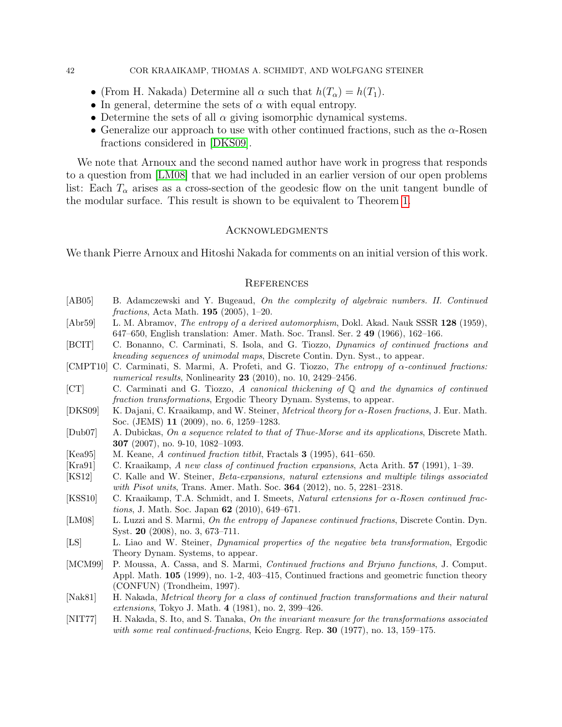#### 42 COR KRAAIKAMP, THOMAS A. SCHMIDT, AND WOLFGANG STEINER

- (From H. Nakada) Determine all  $\alpha$  such that  $h(T_{\alpha}) = h(T_1)$ .
- In general, determine the sets of  $\alpha$  with equal entropy.
- Determine the sets of all  $\alpha$  giving isomorphic dynamical systems.
- Generalize our approach to use with other continued fractions, such as the  $\alpha$ -Rosen fractions considered in [\[DKS09\]](#page-41-15).

We note that Arnoux and the second named author have work in progress that responds to a question from [\[LM08\]](#page-41-5) that we had included in an earlier version of our open problems list: Each  $T_{\alpha}$  arises as a cross-section of the geodesic flow on the unit tangent bundle of the modular surface. This result is shown to be equivalent to Theorem [1.](#page-6-4)

#### Acknowledgments

We thank Pierre Arnoux and Hitoshi Nakada for comments on an initial version of this work.

#### **REFERENCES**

- <span id="page-41-12"></span>[AB05] B. Adamczewski and Y. Bugeaud, On the complexity of algebraic numbers. II. Continued fractions, Acta Math. 195 (2005), 1–20.
- <span id="page-41-11"></span>[Abr59] L. M. Abramov, *The entropy of a derived automorphism*, Dokl. Akad. Nauk SSSR 128 (1959), 647–650, English translation: Amer. Math. Soc. Transl. Ser. 2 49 (1966), 162–166.
- <span id="page-41-10"></span>[BCIT] C. Bonanno, C. Carminati, S. Isola, and G. Tiozzo, Dynamics of continued fractions and kneading sequences of unimodal maps, Discrete Contin. Dyn. Syst., to appear.
- <span id="page-41-9"></span>[CMPT10] C. Carminati, S. Marmi, A. Profeti, and G. Tiozzo, The entropy of  $\alpha$ -continued fractions: numerical results, Nonlinearity **23** (2010), no. 10, 2429–2456.
- <span id="page-41-6"></span>[CT] C. Carminati and G. Tiozzo, A canonical thickening of Q and the dynamics of continued fraction transformations, Ergodic Theory Dynam. Systems, to appear.
- <span id="page-41-15"></span>[DKS09] K. Dajani, C. Kraaikamp, and W. Steiner, *Metrical theory for*  $\alpha$ *-Rosen fractions*, J. Eur. Math. Soc. (JEMS) 11 (2009), no. 6, 1259–1283.
- <span id="page-41-13"></span>[Dub07] A. Dubickas, On a sequence related to that of Thue-Morse and its applications, Discrete Math. 307 (2007), no. 9-10, 1082–1093.
- <span id="page-41-1"></span>[Kea95] M. Keane, A continued fraction titbit, Fractals 3 (1995), 641–650.
- <span id="page-41-3"></span>[Kra91] C. Kraaikamp, A new class of continued fraction expansions, Acta Arith.  $57$  (1991), 1–39.
- <span id="page-41-8"></span>[KS12] C. Kalle and W. Steiner, Beta-expansions, natural extensions and multiple tilings associated with Pisot units, Trans. Amer. Math. Soc. **364** (2012), no. 5, 2281–2318.
- <span id="page-41-7"></span>[KSS10] C. Kraaikamp, T.A. Schmidt, and I. Smeets, Natural extensions for α-Rosen continued fractions, J. Math. Soc. Japan 62 (2010), 649–671.
- <span id="page-41-5"></span>[LM08] L. Luzzi and S. Marmi, On the entropy of Japanese continued fractions, Discrete Contin. Dyn. Syst. 20 (2008), no. 3, 673–711.
- <span id="page-41-14"></span>[LS] L. Liao and W. Steiner, Dynamical properties of the negative beta transformation, Ergodic Theory Dynam. Systems, to appear.
- <span id="page-41-4"></span>[MCM99] P. Moussa, A. Cassa, and S. Marmi, *Continued fractions and Brjuno functions*, J. Comput. Appl. Math. 105 (1999), no. 1-2, 403–415, Continued fractions and geometric function theory (CONFUN) (Trondheim, 1997).
- <span id="page-41-2"></span>[Nak81] H. Nakada, Metrical theory for a class of continued fraction transformations and their natural extensions, Tokyo J. Math. 4 (1981), no. 2, 399–426.
- <span id="page-41-0"></span>[NIT77] H. Nakada, S. Ito, and S. Tanaka, On the invariant measure for the transformations associated with some real continued-fractions, Keio Engrg. Rep. 30 (1977), no. 13, 159–175.